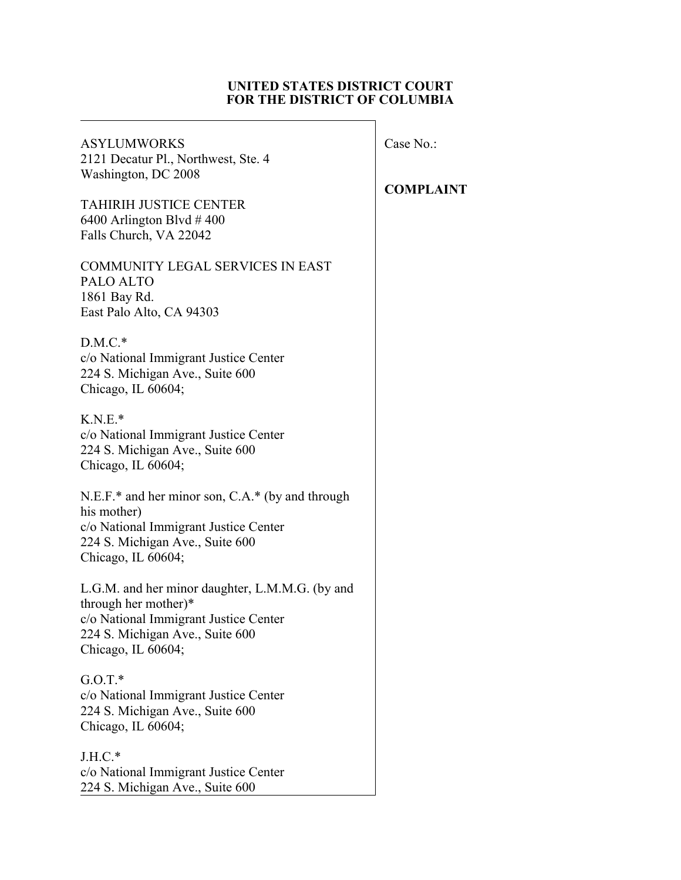### **UNITED STATES DISTRICT COURT FOR THE DISTRICT OF COLUMBIA**

| <b>ASYLUMWORKS</b><br>2121 Decatur Pl., Northwest, Ste. 4<br>Washington, DC 2008<br><b>TAHIRIH JUSTICE CENTER</b><br>6400 Arlington Blvd $\#$ 400<br>Falls Church, VA 22042 | Case No<br><b>COMP</b> |
|-----------------------------------------------------------------------------------------------------------------------------------------------------------------------------|------------------------|
| <b>COMMUNITY LEGAL SERVICES IN EAST</b><br>PALO ALTO<br>1861 Bay Rd.<br>East Palo Alto, CA 94303                                                                            |                        |
| $D.M.C.*$<br>c/o National Immigrant Justice Center<br>224 S. Michigan Ave., Suite 600<br>Chicago, IL 60604;                                                                 |                        |
| $K.N.E.*$<br>c/o National Immigrant Justice Center<br>224 S. Michigan Ave., Suite 600<br>Chicago, IL 60604;                                                                 |                        |
| N.E.F.* and her minor son, C.A.* (by and through<br>his mother)<br>c/o National Immigrant Justice Center<br>224 S. Michigan Ave., Suite 600<br>Chicago, IL 60604;           |                        |
| L.G.M. and her minor daughter, L.M.M.G. (by and<br>through her mother)*<br>c/o National Immigrant Justice Center<br>224 S. Michigan Ave., Suite 600<br>Chicago, IL 60604;   |                        |
| $G.O.T.*$<br>c/o National Immigrant Justice Center<br>224 S. Michigan Ave., Suite 600<br>Chicago, IL 60604;                                                                 |                        |
| $J.H.C.*$<br>c/o National Immigrant Justice Center<br>224 S. Michigan Ave., Suite 600                                                                                       |                        |

# $\overline{\text{o}}$ .:

# **COMPLAINT**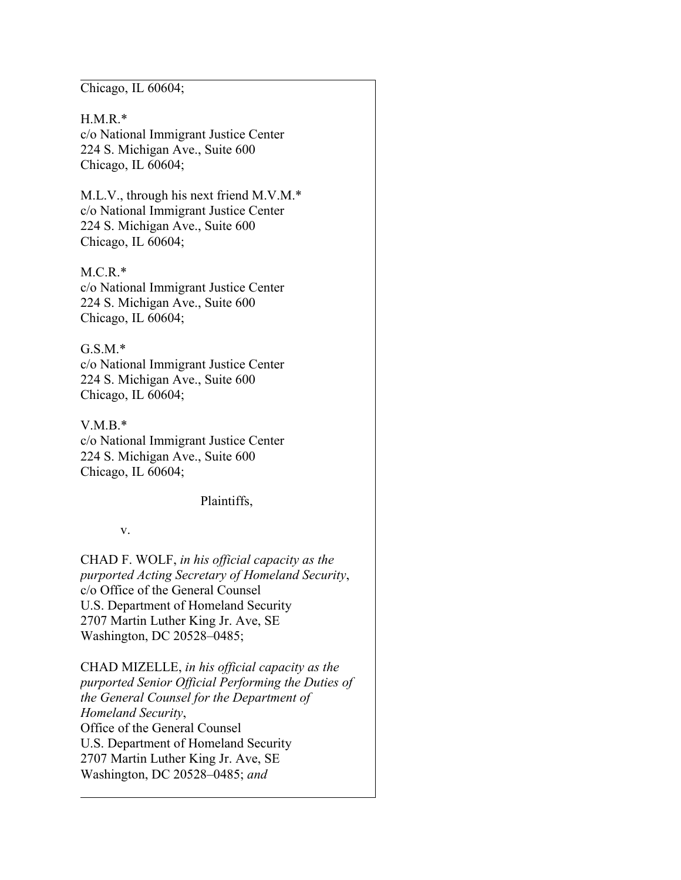Chicago, IL 60604;

H.M.R.\* c/o National Immigrant Justice Center 224 S. Michigan Ave., Suite 600 Chicago, IL 60604;

M.L.V., through his next friend M.V.M.\* c/o National Immigrant Justice Center 224 S. Michigan Ave., Suite 600 Chicago, IL 60604;

M.C.R.\* c/o National Immigrant Justice Center 224 S. Michigan Ave., Suite 600 Chicago, IL 60604;

### G.S.M.\*

c/o National Immigrant Justice Center 224 S. Michigan Ave., Suite 600 Chicago, IL 60604;

V.M.B.\* c/o National Immigrant Justice Center 224 S. Michigan Ave., Suite 600 Chicago, IL 60604;

Plaintiffs,

### v.

CHAD F. WOLF, *in his official capacity as the purported Acting Secretary of Homeland Security*, c/o Office of the General Counsel U.S. Department of Homeland Security 2707 Martin Luther King Jr. Ave, SE Washington, DC 20528–0485;

CHAD MIZELLE, *in his official capacity as the purported Senior Official Performing the Duties of the General Counsel for the Department of Homeland Security*, Office of the General Counsel U.S. Department of Homeland Security 2707 Martin Luther King Jr. Ave, SE Washington, DC 20528–0485; *and*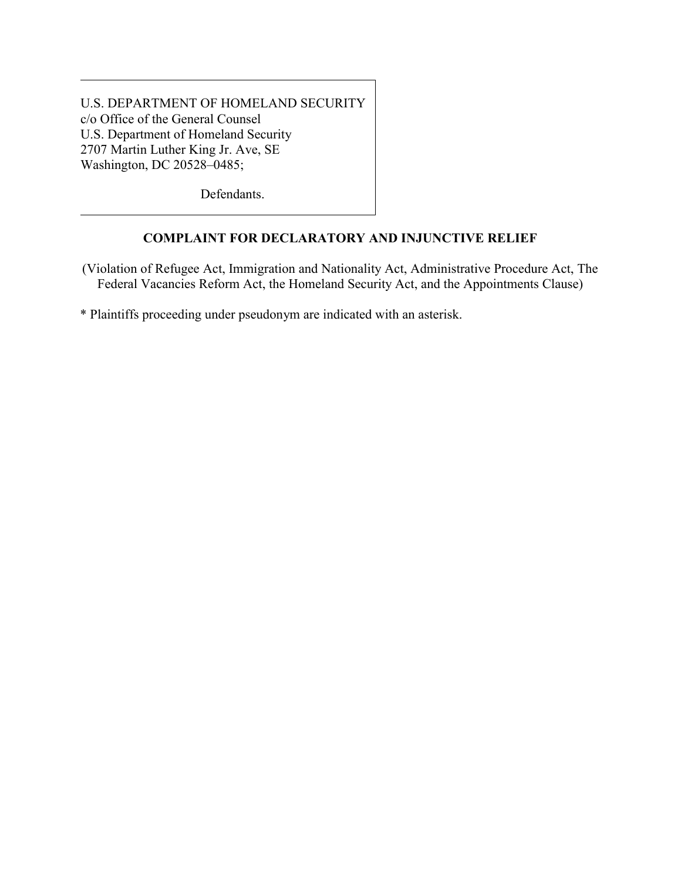U.S. DEPARTMENT OF HOMELAND SECURITY c/o Office of the General Counsel U.S. Department of Homeland Security 2707 Martin Luther King Jr. Ave, SE Washington, DC 20528–0485;

Defendants.

# **COMPLAINT FOR DECLARATORY AND INJUNCTIVE RELIEF**

(Violation of Refugee Act, Immigration and Nationality Act, Administrative Procedure Act, The Federal Vacancies Reform Act, the Homeland Security Act, and the Appointments Clause)

\* Plaintiffs proceeding under pseudonym are indicated with an asterisk.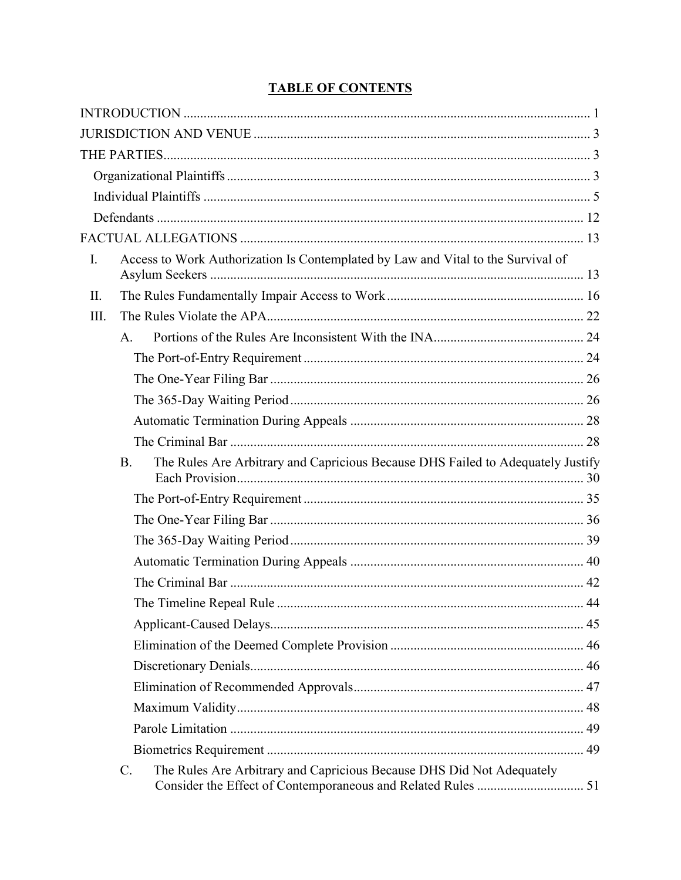| I. | Access to Work Authorization Is Contemplated by Law and Vital to the Survival of             |  |
|----|----------------------------------------------------------------------------------------------|--|
| П. |                                                                                              |  |
| Ш. |                                                                                              |  |
|    | A <sub>1</sub>                                                                               |  |
|    |                                                                                              |  |
|    |                                                                                              |  |
|    |                                                                                              |  |
|    |                                                                                              |  |
|    |                                                                                              |  |
|    | The Rules Are Arbitrary and Capricious Because DHS Failed to Adequately Justify<br><b>B.</b> |  |
|    |                                                                                              |  |
|    |                                                                                              |  |
|    |                                                                                              |  |
|    |                                                                                              |  |
|    |                                                                                              |  |
|    |                                                                                              |  |
|    |                                                                                              |  |
|    |                                                                                              |  |
|    |                                                                                              |  |
|    |                                                                                              |  |
|    |                                                                                              |  |
|    |                                                                                              |  |
|    |                                                                                              |  |
|    | The Rules Are Arbitrary and Capricious Because DHS Did Not Adequately<br>$\mathcal{C}$ .     |  |

# **TABLE OF CONTENTS**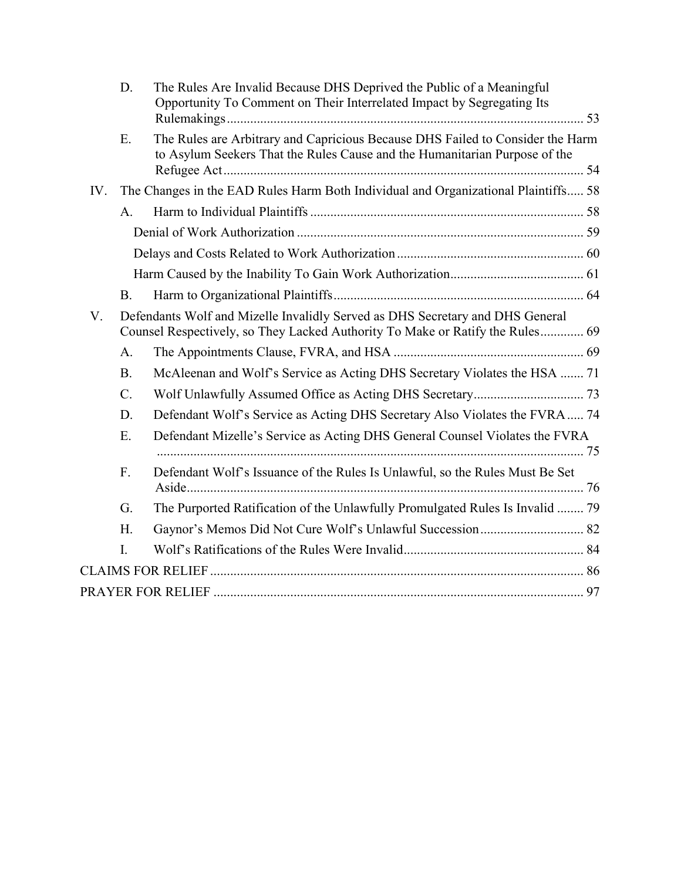|     | D.                                                                                                                                                             | The Rules Are Invalid Because DHS Deprived the Public of a Meaningful<br>Opportunity To Comment on Their Interrelated Impact by Segregating Its              |  |
|-----|----------------------------------------------------------------------------------------------------------------------------------------------------------------|--------------------------------------------------------------------------------------------------------------------------------------------------------------|--|
|     | Ε.                                                                                                                                                             | The Rules are Arbitrary and Capricious Because DHS Failed to Consider the Harm<br>to Asylum Seekers That the Rules Cause and the Humanitarian Purpose of the |  |
| IV. |                                                                                                                                                                | The Changes in the EAD Rules Harm Both Individual and Organizational Plaintiffs 58                                                                           |  |
|     | A.                                                                                                                                                             |                                                                                                                                                              |  |
|     |                                                                                                                                                                |                                                                                                                                                              |  |
|     |                                                                                                                                                                |                                                                                                                                                              |  |
|     |                                                                                                                                                                |                                                                                                                                                              |  |
|     | <b>B.</b>                                                                                                                                                      |                                                                                                                                                              |  |
| V.  | Defendants Wolf and Mizelle Invalidly Served as DHS Secretary and DHS General<br>Counsel Respectively, so They Lacked Authority To Make or Ratify the Rules 69 |                                                                                                                                                              |  |
|     | A.                                                                                                                                                             |                                                                                                                                                              |  |
|     | <b>B.</b>                                                                                                                                                      | McAleenan and Wolf's Service as Acting DHS Secretary Violates the HSA  71                                                                                    |  |
|     | C.                                                                                                                                                             |                                                                                                                                                              |  |
|     | D.                                                                                                                                                             | Defendant Wolf's Service as Acting DHS Secretary Also Violates the FVRA  74                                                                                  |  |
|     | Ε.                                                                                                                                                             | Defendant Mizelle's Service as Acting DHS General Counsel Violates the FVRA                                                                                  |  |
|     | F.                                                                                                                                                             | Defendant Wolf's Issuance of the Rules Is Unlawful, so the Rules Must Be Set                                                                                 |  |
|     | G.                                                                                                                                                             | The Purported Ratification of the Unlawfully Promulgated Rules Is Invalid  79                                                                                |  |
|     | H.                                                                                                                                                             |                                                                                                                                                              |  |
|     | I.                                                                                                                                                             |                                                                                                                                                              |  |
|     |                                                                                                                                                                |                                                                                                                                                              |  |
|     |                                                                                                                                                                |                                                                                                                                                              |  |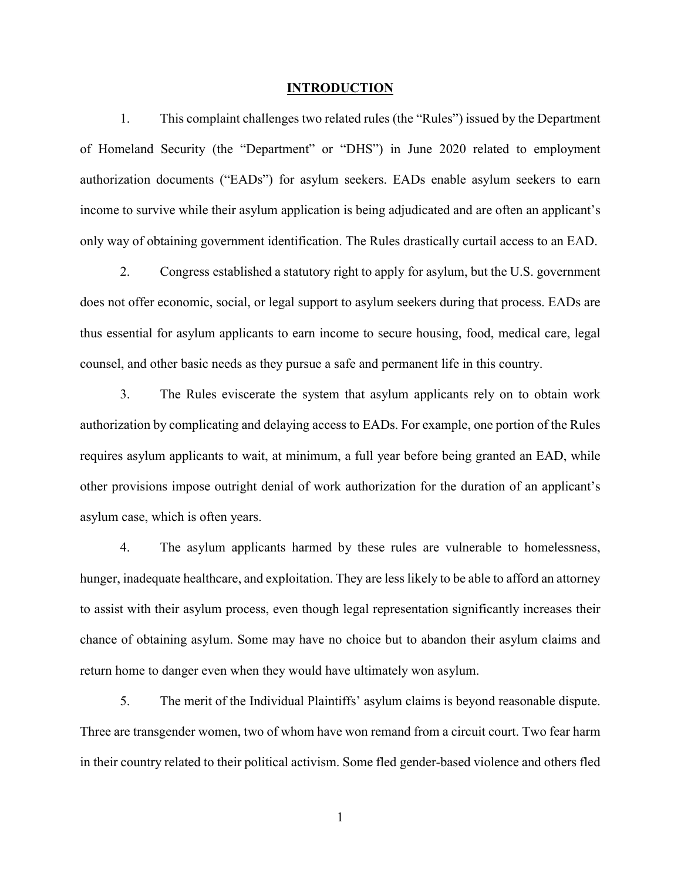#### <span id="page-5-0"></span>**INTRODUCTION**

1. This complaint challenges two related rules (the "Rules") issued by the Department of Homeland Security (the "Department" or "DHS") in June 2020 related to employment authorization documents ("EADs") for asylum seekers. EADs enable asylum seekers to earn income to survive while their asylum application is being adjudicated and are often an applicant's only way of obtaining government identification. The Rules drastically curtail access to an EAD.

2. Congress established a statutory right to apply for asylum, but the U.S. government does not offer economic, social, or legal support to asylum seekers during that process. EADs are thus essential for asylum applicants to earn income to secure housing, food, medical care, legal counsel, and other basic needs as they pursue a safe and permanent life in this country.

3. The Rules eviscerate the system that asylum applicants rely on to obtain work authorization by complicating and delaying access to EADs. For example, one portion of the Rules requires asylum applicants to wait, at minimum, a full year before being granted an EAD, while other provisions impose outright denial of work authorization for the duration of an applicant's asylum case, which is often years.

4. The asylum applicants harmed by these rules are vulnerable to homelessness, hunger, inadequate healthcare, and exploitation. They are less likely to be able to afford an attorney to assist with their asylum process, even though legal representation significantly increases their chance of obtaining asylum. Some may have no choice but to abandon their asylum claims and return home to danger even when they would have ultimately won asylum.

5. The merit of the Individual Plaintiffs' asylum claims is beyond reasonable dispute. Three are transgender women, two of whom have won remand from a circuit court. Two fear harm in their country related to their political activism. Some fled gender-based violence and others fled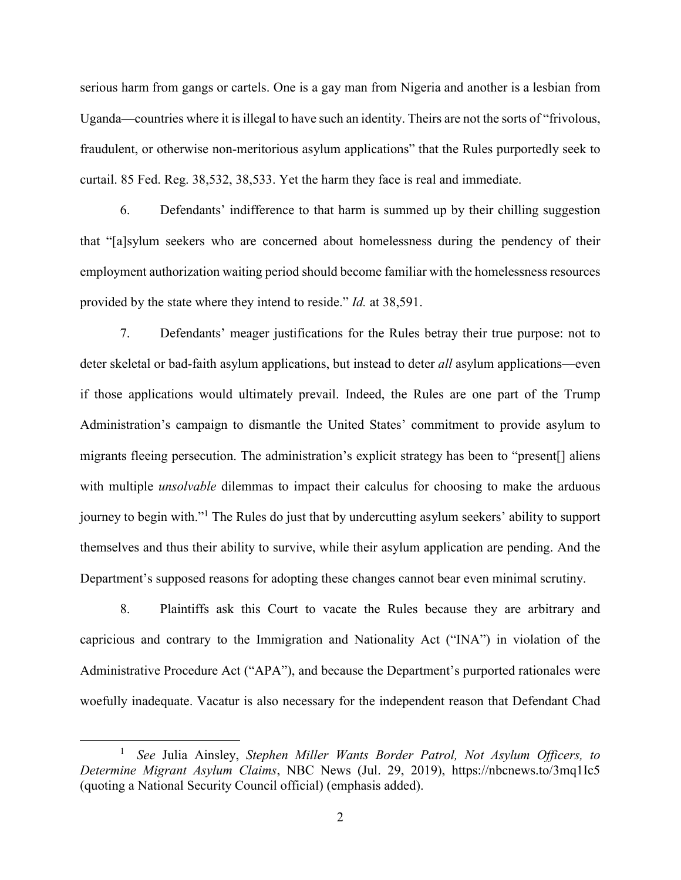serious harm from gangs or cartels. One is a gay man from Nigeria and another is a lesbian from Uganda—countries where it is illegal to have such an identity. Theirs are not the sorts of "frivolous, fraudulent, or otherwise non-meritorious asylum applications" that the Rules purportedly seek to curtail. 85 Fed. Reg. 38,532, 38,533. Yet the harm they face is real and immediate.

6. Defendants' indifference to that harm is summed up by their chilling suggestion that "[a]sylum seekers who are concerned about homelessness during the pendency of their employment authorization waiting period should become familiar with the homelessness resources provided by the state where they intend to reside." *Id.* at 38,591.

7. Defendants' meager justifications for the Rules betray their true purpose: not to deter skeletal or bad-faith asylum applications, but instead to deter *all* asylum applications—even if those applications would ultimately prevail. Indeed, the Rules are one part of the Trump Administration's campaign to dismantle the United States' commitment to provide asylum to migrants fleeing persecution. The administration's explicit strategy has been to "present[] aliens with multiple *unsolvable* dilemmas to impact their calculus for choosing to make the arduous journey to begin with."<sup>1</sup> The Rules do just that by undercutting asylum seekers' ability to support themselves and thus their ability to survive, while their asylum application are pending. And the Department's supposed reasons for adopting these changes cannot bear even minimal scrutiny.

8. Plaintiffs ask this Court to vacate the Rules because they are arbitrary and capricious and contrary to the Immigration and Nationality Act ("INA") in violation of the Administrative Procedure Act ("APA"), and because the Department's purported rationales were woefully inadequate. Vacatur is also necessary for the independent reason that Defendant Chad

 $\overline{a}$ 

<sup>1</sup> *See* Julia Ainsley, *Stephen Miller Wants Border Patrol, Not Asylum Officers, to Determine Migrant Asylum Claims*, NBC News (Jul. 29, 2019), https://nbcnews.to/3mq1Ic5 (quoting a National Security Council official) (emphasis added).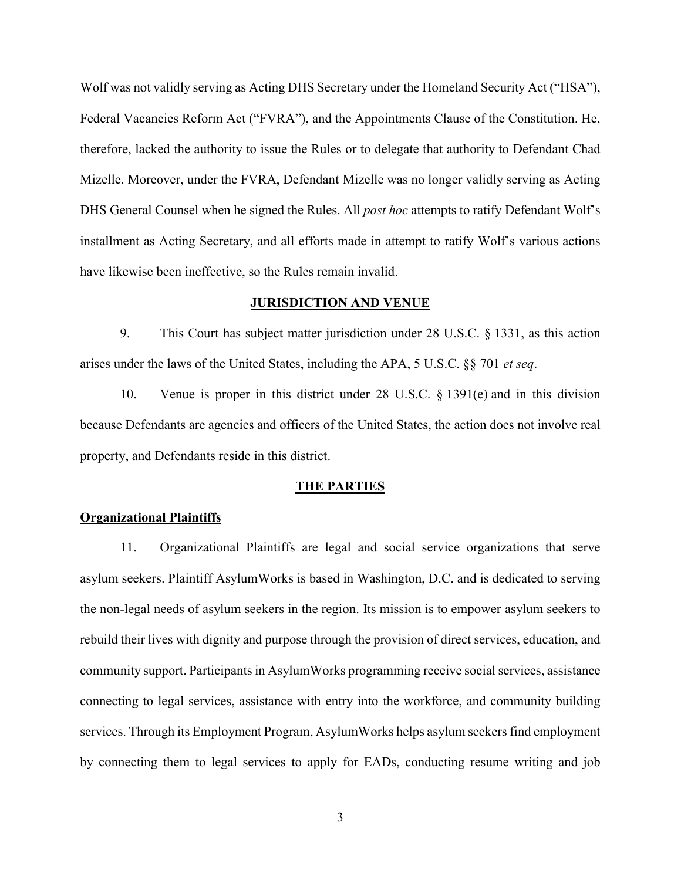Wolf was not validly serving as Acting DHS Secretary under the Homeland Security Act ("HSA"), Federal Vacancies Reform Act ("FVRA"), and the Appointments Clause of the Constitution. He, therefore, lacked the authority to issue the Rules or to delegate that authority to Defendant Chad Mizelle. Moreover, under the FVRA, Defendant Mizelle was no longer validly serving as Acting DHS General Counsel when he signed the Rules. All *post hoc* attempts to ratify Defendant Wolf's installment as Acting Secretary, and all efforts made in attempt to ratify Wolf's various actions have likewise been ineffective, so the Rules remain invalid.

### <span id="page-7-0"></span>**JURISDICTION AND VENUE**

9. This Court has subject matter jurisdiction under 28 U.S.C. § 1331, as this action arises under the laws of the United States, including the APA, 5 U.S.C. §§ 701 *et seq*.

10. Venue is proper in this district under 28 U.S.C. § 1391(e) and in this division because Defendants are agencies and officers of the United States, the action does not involve real property, and Defendants reside in this district.

#### <span id="page-7-1"></span>**THE PARTIES**

### <span id="page-7-2"></span>**Organizational Plaintiffs**

11. Organizational Plaintiffs are legal and social service organizations that serve asylum seekers. Plaintiff AsylumWorks is based in Washington, D.C. and is dedicated to serving the non-legal needs of asylum seekers in the region. Its mission is to empower asylum seekers to rebuild their lives with dignity and purpose through the provision of direct services, education, and community support. Participants in AsylumWorks programming receive social services, assistance connecting to legal services, assistance with entry into the workforce, and community building services. Through its Employment Program, AsylumWorks helps asylum seekers find employment by connecting them to legal services to apply for EADs, conducting resume writing and job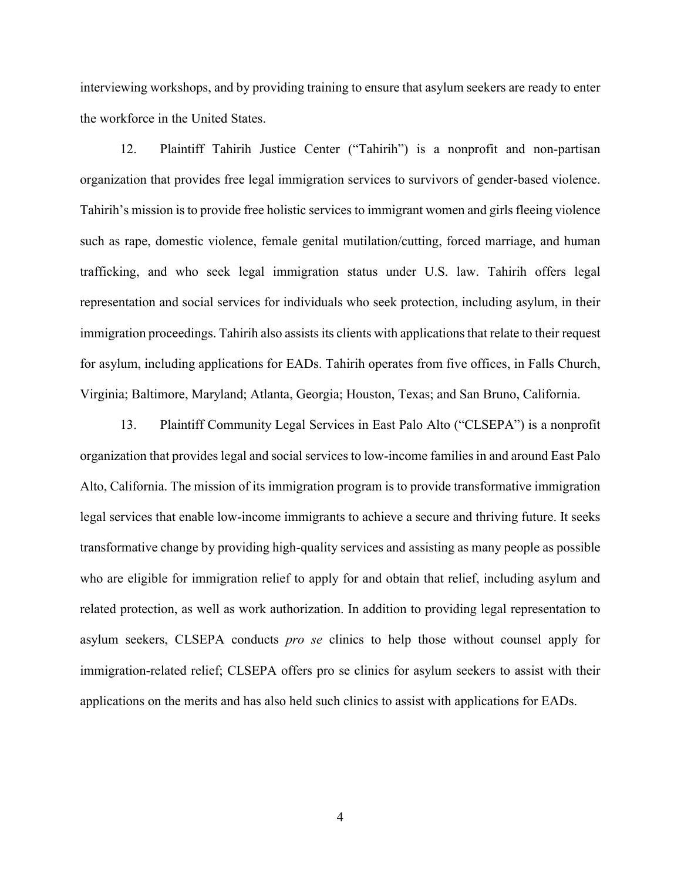interviewing workshops, and by providing training to ensure that asylum seekers are ready to enter the workforce in the United States.

12. Plaintiff Tahirih Justice Center ("Tahirih") is a nonprofit and non-partisan organization that provides free legal immigration services to survivors of gender-based violence. Tahirih's mission is to provide free holistic services to immigrant women and girls fleeing violence such as rape, domestic violence, female genital mutilation/cutting, forced marriage, and human trafficking, and who seek legal immigration status under U.S. law. Tahirih offers legal representation and social services for individuals who seek protection, including asylum, in their immigration proceedings. Tahirih also assists its clients with applications that relate to their request for asylum, including applications for EADs. Tahirih operates from five offices, in Falls Church, Virginia; Baltimore, Maryland; Atlanta, Georgia; Houston, Texas; and San Bruno, California.

13. Plaintiff Community Legal Services in East Palo Alto ("CLSEPA") is a nonprofit organization that provides legal and social services to low-income families in and around East Palo Alto, California. The mission of its immigration program is to provide transformative immigration legal services that enable low-income immigrants to achieve a secure and thriving future. It seeks transformative change by providing high-quality services and assisting as many people as possible who are eligible for immigration relief to apply for and obtain that relief, including asylum and related protection, as well as work authorization. In addition to providing legal representation to asylum seekers, CLSEPA conducts *pro se* clinics to help those without counsel apply for immigration-related relief; CLSEPA offers pro se clinics for asylum seekers to assist with their applications on the merits and has also held such clinics to assist with applications for EADs.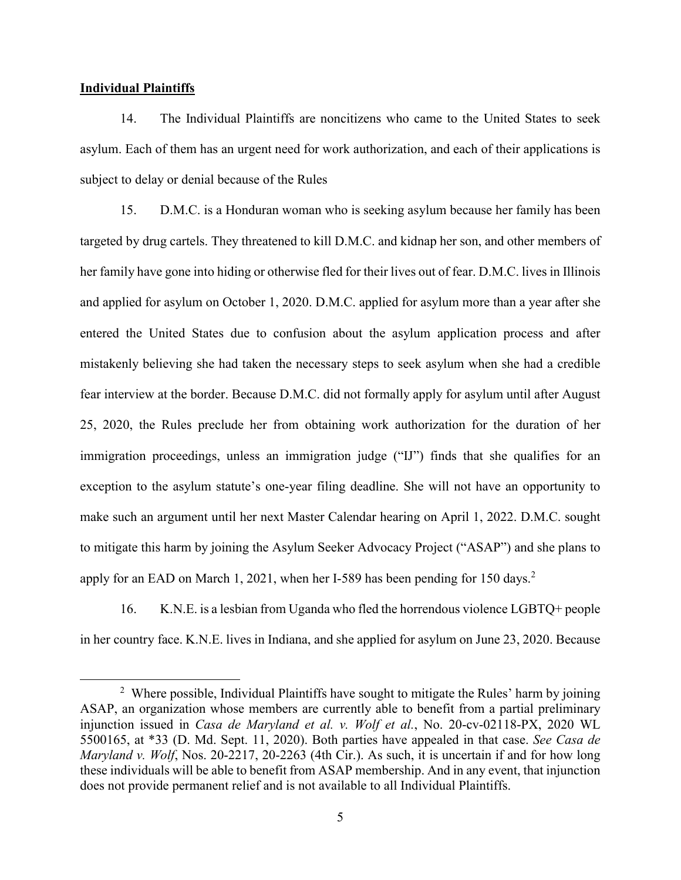### <span id="page-9-0"></span>**Individual Plaintiffs**

 $\overline{a}$ 

14. The Individual Plaintiffs are noncitizens who came to the United States to seek asylum. Each of them has an urgent need for work authorization, and each of their applications is subject to delay or denial because of the Rules

15. D.M.C. is a Honduran woman who is seeking asylum because her family has been targeted by drug cartels. They threatened to kill D.M.C. and kidnap her son, and other members of her family have gone into hiding or otherwise fled for their lives out of fear. D.M.C. lives in Illinois and applied for asylum on October 1, 2020. D.M.C. applied for asylum more than a year after she entered the United States due to confusion about the asylum application process and after mistakenly believing she had taken the necessary steps to seek asylum when she had a credible fear interview at the border. Because D.M.C. did not formally apply for asylum until after August 25, 2020, the Rules preclude her from obtaining work authorization for the duration of her immigration proceedings, unless an immigration judge ("IJ") finds that she qualifies for an exception to the asylum statute's one-year filing deadline. She will not have an opportunity to make such an argument until her next Master Calendar hearing on April 1, 2022. D.M.C. sought to mitigate this harm by joining the Asylum Seeker Advocacy Project ("ASAP") and she plans to apply for an EAD on March 1, 2021, when her I-589 has been pending for 150 days.<sup>2</sup>

16. K.N.E. is a lesbian from Uganda who fled the horrendous violence LGBTQ+ people in her country face. K.N.E. lives in Indiana, and she applied for asylum on June 23, 2020. Because

<sup>&</sup>lt;sup>2</sup> Where possible, Individual Plaintiffs have sought to mitigate the Rules' harm by joining ASAP, an organization whose members are currently able to benefit from a partial preliminary injunction issued in *Casa de Maryland et al. v. Wolf et al.*, No. 20-cv-02118-PX, 2020 WL 5500165, at \*33 (D. Md. Sept. 11, 2020). Both parties have appealed in that case. *See Casa de Maryland v. Wolf*, Nos. 20-2217, 20-2263 (4th Cir.). As such, it is uncertain if and for how long these individuals will be able to benefit from ASAP membership. And in any event, that injunction does not provide permanent relief and is not available to all Individual Plaintiffs.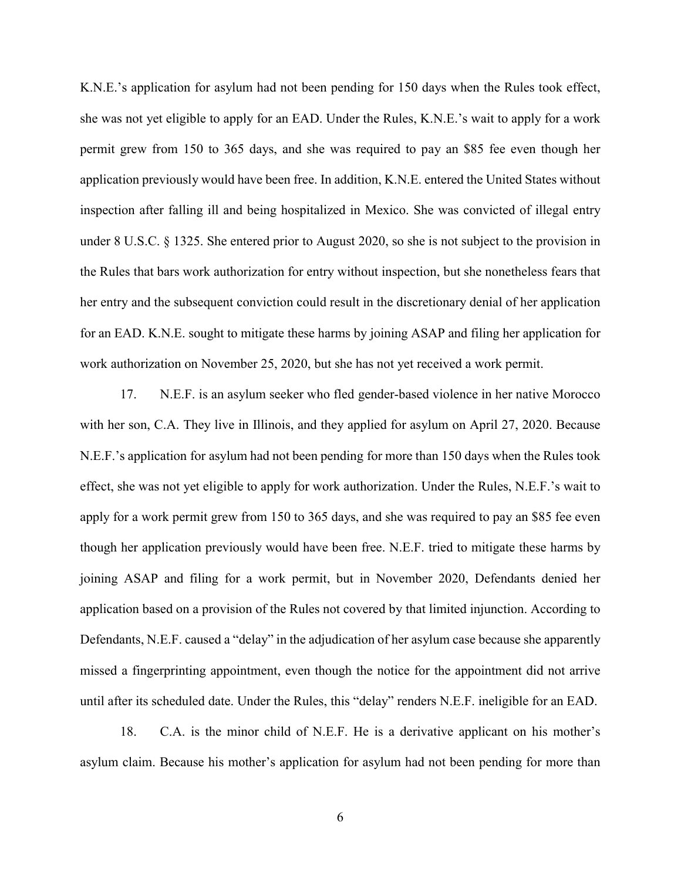K.N.E.'s application for asylum had not been pending for 150 days when the Rules took effect, she was not yet eligible to apply for an EAD. Under the Rules, K.N.E.'s wait to apply for a work permit grew from 150 to 365 days, and she was required to pay an \$85 fee even though her application previously would have been free. In addition, K.N.E. entered the United States without inspection after falling ill and being hospitalized in Mexico. She was convicted of illegal entry under 8 U.S.C. § 1325. She entered prior to August 2020, so she is not subject to the provision in the Rules that bars work authorization for entry without inspection, but she nonetheless fears that her entry and the subsequent conviction could result in the discretionary denial of her application for an EAD. K.N.E. sought to mitigate these harms by joining ASAP and filing her application for work authorization on November 25, 2020, but she has not yet received a work permit.

17. N.E.F. is an asylum seeker who fled gender-based violence in her native Morocco with her son, C.A. They live in Illinois, and they applied for asylum on April 27, 2020. Because N.E.F.'s application for asylum had not been pending for more than 150 days when the Rules took effect, she was not yet eligible to apply for work authorization. Under the Rules, N.E.F.'s wait to apply for a work permit grew from 150 to 365 days, and she was required to pay an \$85 fee even though her application previously would have been free. N.E.F. tried to mitigate these harms by joining ASAP and filing for a work permit, but in November 2020, Defendants denied her application based on a provision of the Rules not covered by that limited injunction. According to Defendants, N.E.F. caused a "delay" in the adjudication of her asylum case because she apparently missed a fingerprinting appointment, even though the notice for the appointment did not arrive until after its scheduled date. Under the Rules, this "delay" renders N.E.F. ineligible for an EAD.

18. C.A. is the minor child of N.E.F. He is a derivative applicant on his mother's asylum claim. Because his mother's application for asylum had not been pending for more than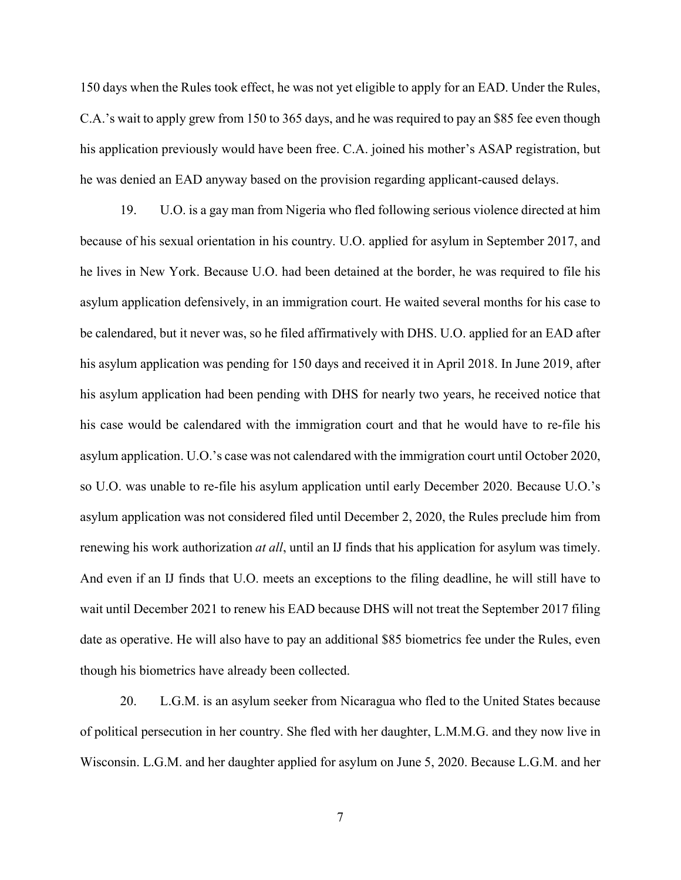150 days when the Rules took effect, he was not yet eligible to apply for an EAD. Under the Rules, C.A.'s wait to apply grew from 150 to 365 days, and he was required to pay an \$85 fee even though his application previously would have been free. C.A. joined his mother's ASAP registration, but he was denied an EAD anyway based on the provision regarding applicant-caused delays.

19. U.O. is a gay man from Nigeria who fled following serious violence directed at him because of his sexual orientation in his country. U.O. applied for asylum in September 2017, and he lives in New York. Because U.O. had been detained at the border, he was required to file his asylum application defensively, in an immigration court. He waited several months for his case to be calendared, but it never was, so he filed affirmatively with DHS. U.O. applied for an EAD after his asylum application was pending for 150 days and received it in April 2018. In June 2019, after his asylum application had been pending with DHS for nearly two years, he received notice that his case would be calendared with the immigration court and that he would have to re-file his asylum application. U.O.'s case was not calendared with the immigration court until October 2020, so U.O. was unable to re-file his asylum application until early December 2020. Because U.O.'s asylum application was not considered filed until December 2, 2020, the Rules preclude him from renewing his work authorization *at all*, until an IJ finds that his application for asylum was timely. And even if an IJ finds that U.O. meets an exceptions to the filing deadline, he will still have to wait until December 2021 to renew his EAD because DHS will not treat the September 2017 filing date as operative. He will also have to pay an additional \$85 biometrics fee under the Rules, even though his biometrics have already been collected.

20. L.G.M. is an asylum seeker from Nicaragua who fled to the United States because of political persecution in her country. She fled with her daughter, L.M.M.G. and they now live in Wisconsin. L.G.M. and her daughter applied for asylum on June 5, 2020. Because L.G.M. and her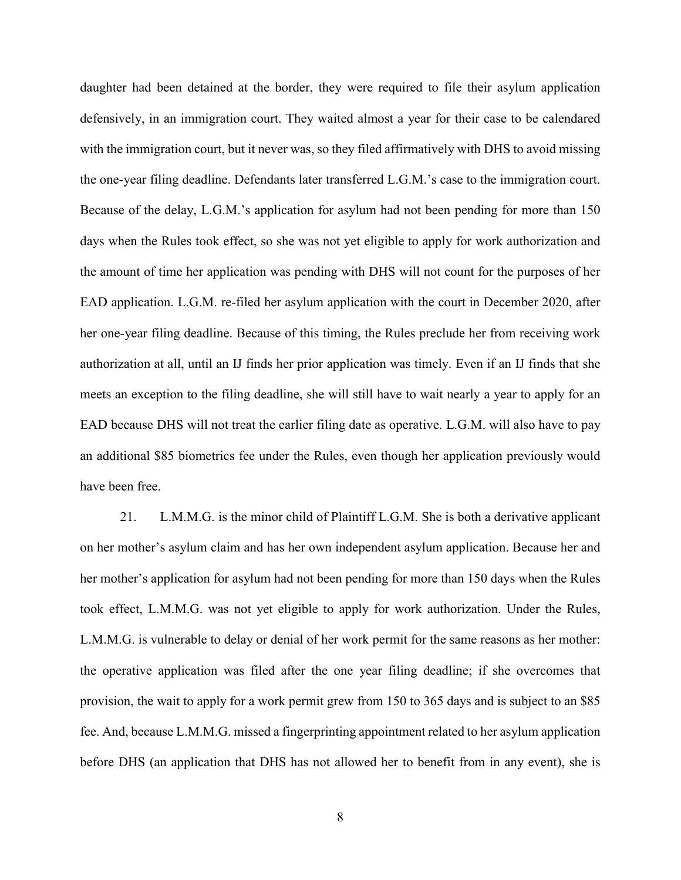daughter had been detained at the border, they were required to file their asylum application defensively, in an immigration court. They waited almost a year for their case to be calendared with the immigration court, but it never was, so they filed affirmatively with DHS to avoid missing the one-year filing deadline. Defendants later transferred L.G.M.'s case to the immigration court. Because of the delay, L.G.M.'s application for asylum had not been pending for more than 150 days when the Rules took effect, so she was not yet eligible to apply for work authorization and the amount of time her application was pending with DHS will not count for the purposes of her EAD application. L.G.M. re-filed her asylum application with the court in December 2020, after her one-year filing deadline. Because of this timing, the Rules preclude her from receiving work authorization at all, until an IJ finds her prior application was timely. Even if an IJ finds that she meets an exception to the filing deadline, she will still have to wait nearly a year to apply for an EAD because DHS will not treat the earlier filing date as operative. L.G.M. will also have to pay an additional \$85 biometrics fee under the Rules, even though her application previously would have been free.

21. L.M.M.G. is the minor child of Plaintiff L.G.M. She is both a derivative applicant on her mother's asylum claim and has her own independent asylum application. Because her and her mother's application for asylum had not been pending for more than 150 days when the Rules took effect, L.M.M.G. was not yet eligible to apply for work authorization. Under the Rules, L.M.M.G. is vulnerable to delay or denial of her work permit for the same reasons as her mother: the operative application was filed after the one year filing deadline; if she overcomes that provision, the wait to apply for a work permit grew from 150 to 365 days and is subject to an \$85 fee. And, because L.M.M.G. missed a fingerprinting appointment related to her asylum application before DHS (an application that DHS has not allowed her to benefit from in any event), she is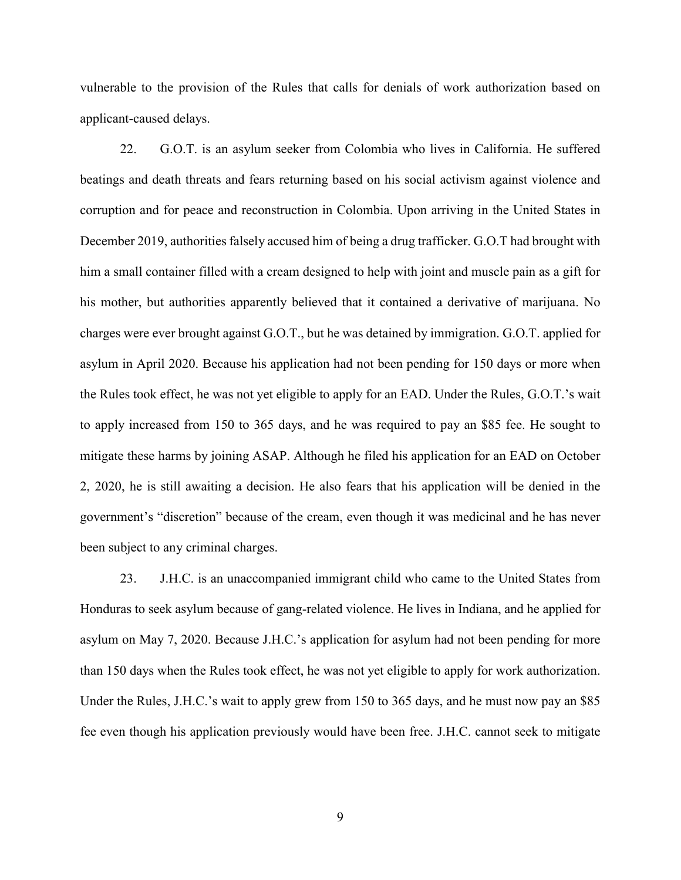vulnerable to the provision of the Rules that calls for denials of work authorization based on applicant-caused delays.

22. G.O.T. is an asylum seeker from Colombia who lives in California. He suffered beatings and death threats and fears returning based on his social activism against violence and corruption and for peace and reconstruction in Colombia. Upon arriving in the United States in December 2019, authorities falsely accused him of being a drug trafficker. G.O.T had brought with him a small container filled with a cream designed to help with joint and muscle pain as a gift for his mother, but authorities apparently believed that it contained a derivative of marijuana. No charges were ever brought against G.O.T., but he was detained by immigration. G.O.T. applied for asylum in April 2020. Because his application had not been pending for 150 days or more when the Rules took effect, he was not yet eligible to apply for an EAD. Under the Rules, G.O.T.'s wait to apply increased from 150 to 365 days, and he was required to pay an \$85 fee. He sought to mitigate these harms by joining ASAP. Although he filed his application for an EAD on October 2, 2020, he is still awaiting a decision. He also fears that his application will be denied in the government's "discretion" because of the cream, even though it was medicinal and he has never been subject to any criminal charges.

23. J.H.C. is an unaccompanied immigrant child who came to the United States from Honduras to seek asylum because of gang-related violence. He lives in Indiana, and he applied for asylum on May 7, 2020. Because J.H.C.'s application for asylum had not been pending for more than 150 days when the Rules took effect, he was not yet eligible to apply for work authorization. Under the Rules, J.H.C.'s wait to apply grew from 150 to 365 days, and he must now pay an \$85 fee even though his application previously would have been free. J.H.C. cannot seek to mitigate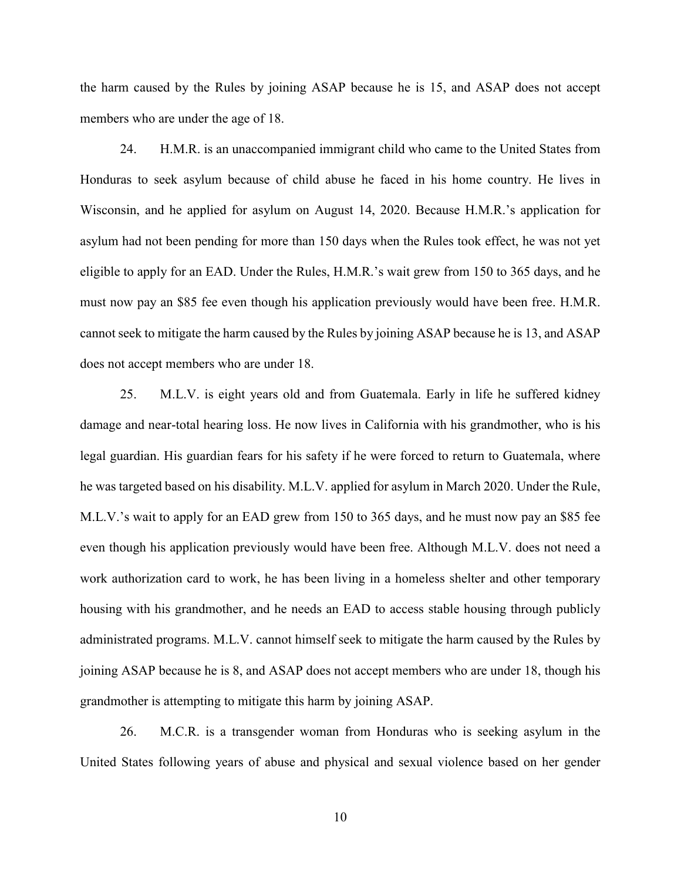the harm caused by the Rules by joining ASAP because he is 15, and ASAP does not accept members who are under the age of 18.

24. H.M.R. is an unaccompanied immigrant child who came to the United States from Honduras to seek asylum because of child abuse he faced in his home country. He lives in Wisconsin, and he applied for asylum on August 14, 2020. Because H.M.R.'s application for asylum had not been pending for more than 150 days when the Rules took effect, he was not yet eligible to apply for an EAD. Under the Rules, H.M.R.'s wait grew from 150 to 365 days, and he must now pay an \$85 fee even though his application previously would have been free. H.M.R. cannot seek to mitigate the harm caused by the Rules by joining ASAP because he is 13, and ASAP does not accept members who are under 18.

25. M.L.V. is eight years old and from Guatemala. Early in life he suffered kidney damage and near-total hearing loss. He now lives in California with his grandmother, who is his legal guardian. His guardian fears for his safety if he were forced to return to Guatemala, where he was targeted based on his disability. M.L.V. applied for asylum in March 2020. Under the Rule, M.L.V.'s wait to apply for an EAD grew from 150 to 365 days, and he must now pay an \$85 fee even though his application previously would have been free. Although M.L.V. does not need a work authorization card to work, he has been living in a homeless shelter and other temporary housing with his grandmother, and he needs an EAD to access stable housing through publicly administrated programs. M.L.V. cannot himself seek to mitigate the harm caused by the Rules by joining ASAP because he is 8, and ASAP does not accept members who are under 18, though his grandmother is attempting to mitigate this harm by joining ASAP.

26. M.C.R. is a transgender woman from Honduras who is seeking asylum in the United States following years of abuse and physical and sexual violence based on her gender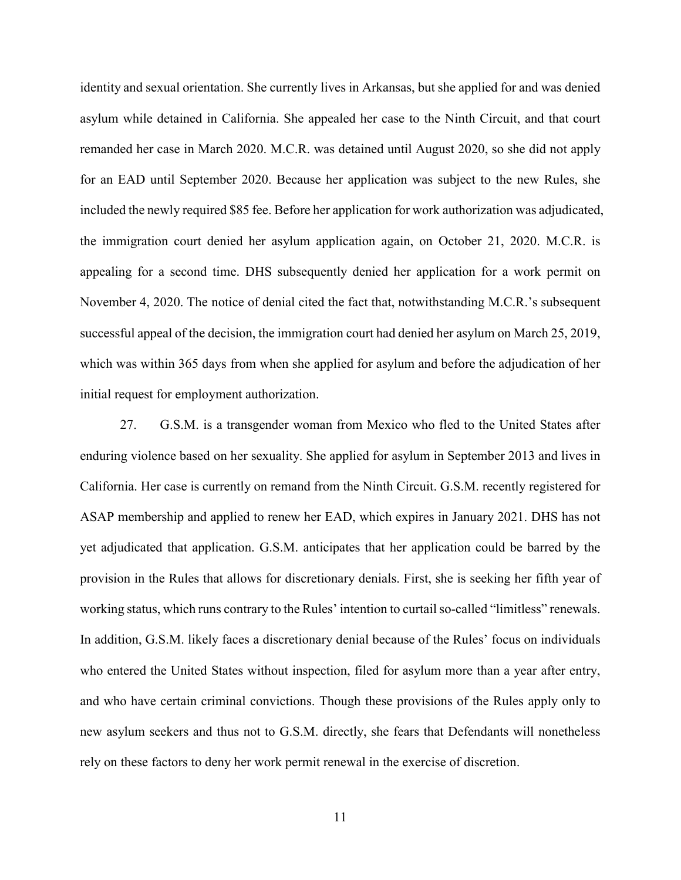identity and sexual orientation. She currently lives in Arkansas, but she applied for and was denied asylum while detained in California. She appealed her case to the Ninth Circuit, and that court remanded her case in March 2020. M.C.R. was detained until August 2020, so she did not apply for an EAD until September 2020. Because her application was subject to the new Rules, she included the newly required \$85 fee. Before her application for work authorization was adjudicated, the immigration court denied her asylum application again, on October 21, 2020. M.C.R. is appealing for a second time. DHS subsequently denied her application for a work permit on November 4, 2020. The notice of denial cited the fact that, notwithstanding M.C.R.'s subsequent successful appeal of the decision, the immigration court had denied her asylum on March 25, 2019, which was within 365 days from when she applied for asylum and before the adjudication of her initial request for employment authorization.

27. G.S.M. is a transgender woman from Mexico who fled to the United States after enduring violence based on her sexuality. She applied for asylum in September 2013 and lives in California. Her case is currently on remand from the Ninth Circuit. G.S.M. recently registered for ASAP membership and applied to renew her EAD, which expires in January 2021. DHS has not yet adjudicated that application. G.S.M. anticipates that her application could be barred by the provision in the Rules that allows for discretionary denials. First, she is seeking her fifth year of working status, which runs contrary to the Rules' intention to curtail so-called "limitless" renewals. In addition, G.S.M. likely faces a discretionary denial because of the Rules' focus on individuals who entered the United States without inspection, filed for asylum more than a year after entry, and who have certain criminal convictions. Though these provisions of the Rules apply only to new asylum seekers and thus not to G.S.M. directly, she fears that Defendants will nonetheless rely on these factors to deny her work permit renewal in the exercise of discretion.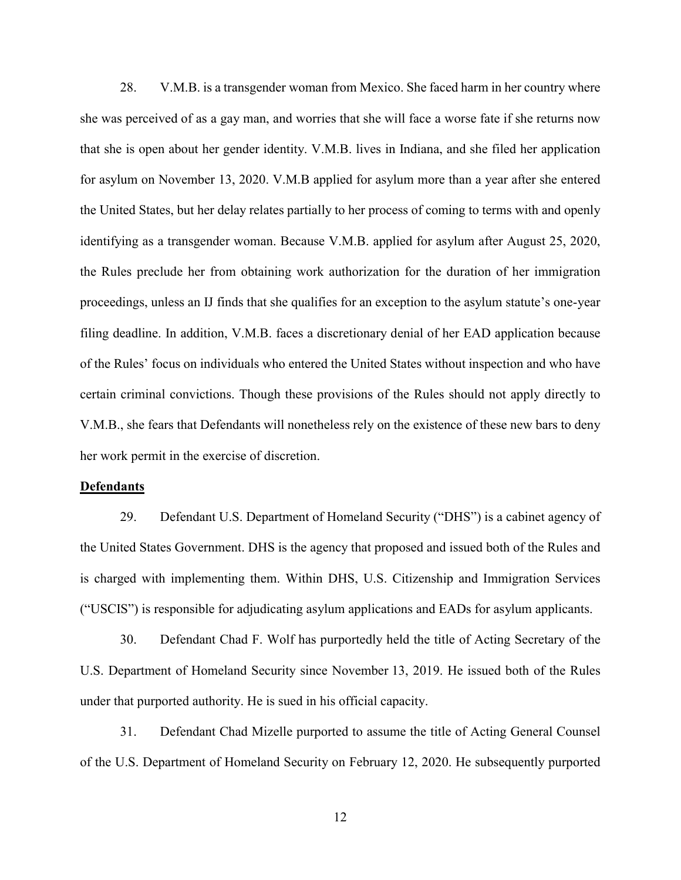28. V.M.B. is a transgender woman from Mexico. She faced harm in her country where she was perceived of as a gay man, and worries that she will face a worse fate if she returns now that she is open about her gender identity. V.M.B. lives in Indiana, and she filed her application for asylum on November 13, 2020. V.M.B applied for asylum more than a year after she entered the United States, but her delay relates partially to her process of coming to terms with and openly identifying as a transgender woman. Because V.M.B. applied for asylum after August 25, 2020, the Rules preclude her from obtaining work authorization for the duration of her immigration proceedings, unless an IJ finds that she qualifies for an exception to the asylum statute's one-year filing deadline. In addition, V.M.B. faces a discretionary denial of her EAD application because of the Rules' focus on individuals who entered the United States without inspection and who have certain criminal convictions. Though these provisions of the Rules should not apply directly to V.M.B., she fears that Defendants will nonetheless rely on the existence of these new bars to deny her work permit in the exercise of discretion.

#### <span id="page-16-0"></span>**Defendants**

29. Defendant U.S. Department of Homeland Security ("DHS") is a cabinet agency of the United States Government. DHS is the agency that proposed and issued both of the Rules and is charged with implementing them. Within DHS, U.S. Citizenship and Immigration Services ("USCIS") is responsible for adjudicating asylum applications and EADs for asylum applicants.

30. Defendant Chad F. Wolf has purportedly held the title of Acting Secretary of the U.S. Department of Homeland Security since November 13, 2019. He issued both of the Rules under that purported authority. He is sued in his official capacity.

31. Defendant Chad Mizelle purported to assume the title of Acting General Counsel of the U.S. Department of Homeland Security on February 12, 2020. He subsequently purported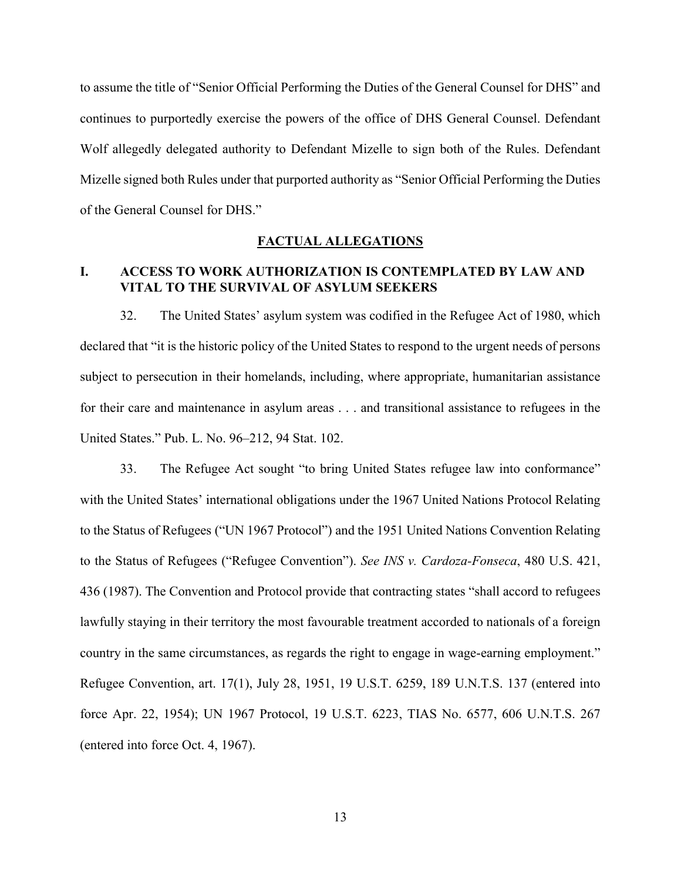to assume the title of "Senior Official Performing the Duties of the General Counsel for DHS" and continues to purportedly exercise the powers of the office of DHS General Counsel. Defendant Wolf allegedly delegated authority to Defendant Mizelle to sign both of the Rules. Defendant Mizelle signed both Rules under that purported authority as "Senior Official Performing the Duties of the General Counsel for DHS."

### <span id="page-17-1"></span><span id="page-17-0"></span>**FACTUAL ALLEGATIONS**

### **I. ACCESS TO WORK AUTHORIZATION IS CONTEMPLATED BY LAW AND VITAL TO THE SURVIVAL OF ASYLUM SEEKERS**

32. The United States' asylum system was codified in the Refugee Act of 1980, which declared that "it is the historic policy of the United States to respond to the urgent needs of persons subject to persecution in their homelands, including, where appropriate, humanitarian assistance for their care and maintenance in asylum areas . . . and transitional assistance to refugees in the United States." Pub. L. No. 96–212, 94 Stat. 102.

33. The Refugee Act sought "to bring United States refugee law into conformance" with the United States' international obligations under the 1967 United Nations Protocol Relating to the Status of Refugees ("UN 1967 Protocol") and the 1951 United Nations Convention Relating to the Status of Refugees ("Refugee Convention"). *See INS v. Cardoza-Fonseca*, 480 U.S. 421, 436 (1987). The Convention and Protocol provide that contracting states "shall accord to refugees lawfully staying in their territory the most favourable treatment accorded to nationals of a foreign country in the same circumstances, as regards the right to engage in wage-earning employment." Refugee Convention, art. 17(1), July 28, 1951, 19 U.S.T. 6259, 189 U.N.T.S. 137 (entered into force Apr. 22, 1954); UN 1967 Protocol, 19 U.S.T. 6223, TIAS No. 6577, 606 U.N.T.S. 267 (entered into force Oct. 4, 1967).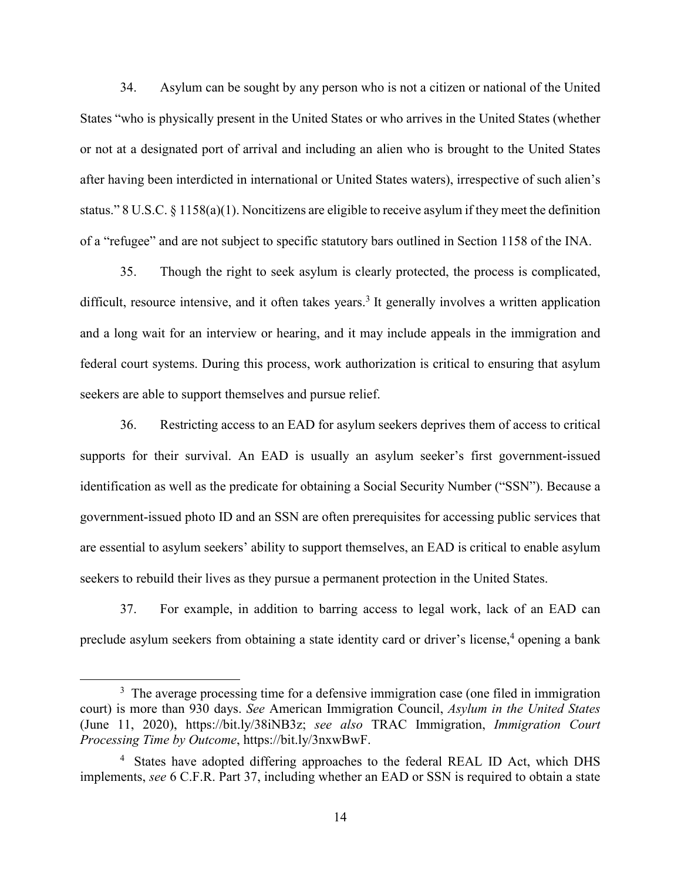34. Asylum can be sought by any person who is not a citizen or national of the United States "who is physically present in the United States or who arrives in the United States (whether or not at a designated port of arrival and including an alien who is brought to the United States after having been interdicted in international or United States waters), irrespective of such alien's status." 8 U.S.C. § 1158(a)(1). Noncitizens are eligible to receive asylum if they meet the definition of a "refugee" and are not subject to specific statutory bars outlined in Section 1158 of the INA.

35. Though the right to seek asylum is clearly protected, the process is complicated, difficult, resource intensive, and it often takes years.<sup>3</sup> It generally involves a written application and a long wait for an interview or hearing, and it may include appeals in the immigration and federal court systems. During this process, work authorization is critical to ensuring that asylum seekers are able to support themselves and pursue relief.

36. Restricting access to an EAD for asylum seekers deprives them of access to critical supports for their survival. An EAD is usually an asylum seeker's first government-issued identification as well as the predicate for obtaining a Social Security Number ("SSN"). Because a government-issued photo ID and an SSN are often prerequisites for accessing public services that are essential to asylum seekers' ability to support themselves, an EAD is critical to enable asylum seekers to rebuild their lives as they pursue a permanent protection in the United States.

37. For example, in addition to barring access to legal work, lack of an EAD can preclude asylum seekers from obtaining a state identity card or driver's license,<sup>4</sup> opening a bank

 $\overline{a}$ 

<sup>&</sup>lt;sup>3</sup> The average processing time for a defensive immigration case (one filed in immigration court) is more than 930 days. *See* American Immigration Council, *Asylum in the United States* (June 11, 2020), https://bit.ly/38iNB3z; *see also* TRAC Immigration, *Immigration Court Processing Time by Outcome*, https://bit.ly/3nxwBwF.

<sup>&</sup>lt;sup>4</sup> States have adopted differing approaches to the federal REAL ID Act, which DHS implements, *see* 6 C.F.R. Part 37, including whether an EAD or SSN is required to obtain a state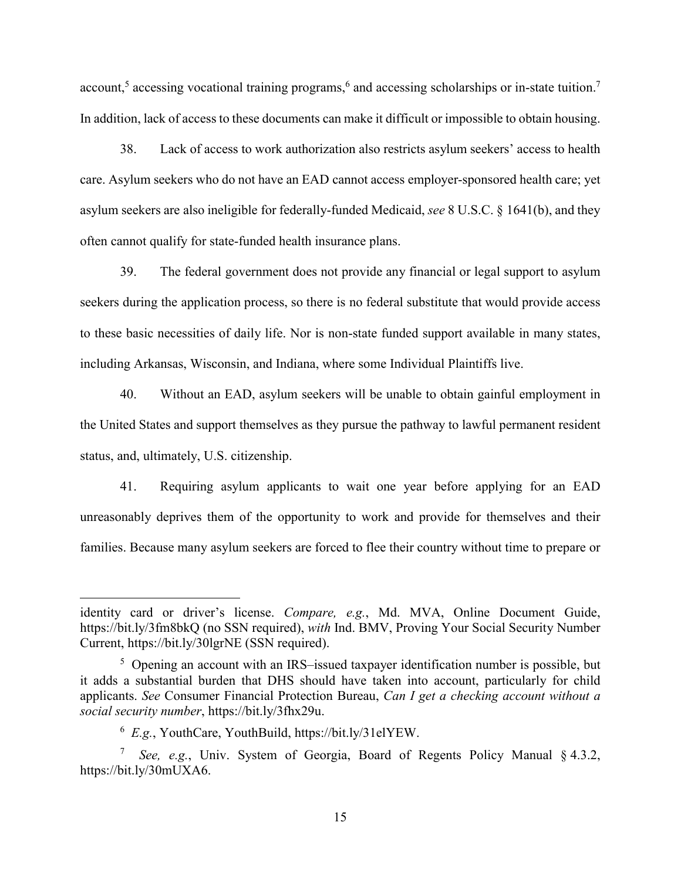account,<sup>5</sup> accessing vocational training programs,<sup>6</sup> and accessing scholarships or in-state tuition.<sup>7</sup> In addition, lack of access to these documents can make it difficult or impossible to obtain housing.

38. Lack of access to work authorization also restricts asylum seekers' access to health care. Asylum seekers who do not have an EAD cannot access employer-sponsored health care; yet asylum seekers are also ineligible for federally-funded Medicaid, *see* 8 U.S.C. § 1641(b), and they often cannot qualify for state-funded health insurance plans.

39. The federal government does not provide any financial or legal support to asylum seekers during the application process, so there is no federal substitute that would provide access to these basic necessities of daily life. Nor is non-state funded support available in many states, including Arkansas, Wisconsin, and Indiana, where some Individual Plaintiffs live.

40. Without an EAD, asylum seekers will be unable to obtain gainful employment in the United States and support themselves as they pursue the pathway to lawful permanent resident status, and, ultimately, U.S. citizenship.

41. Requiring asylum applicants to wait one year before applying for an EAD unreasonably deprives them of the opportunity to work and provide for themselves and their families. Because many asylum seekers are forced to flee their country without time to prepare or

 $\overline{a}$ 

identity card or driver's license. *Compare, e.g.*, Md. MVA, Online Document Guide, https://bit.ly/3fm8bkQ (no SSN required), *with* Ind. BMV, Proving Your Social Security Number Current, https://bit.ly/30lgrNE (SSN required).

<sup>&</sup>lt;sup>5</sup> Opening an account with an IRS-issued taxpayer identification number is possible, but it adds a substantial burden that DHS should have taken into account, particularly for child applicants. *See* Consumer Financial Protection Bureau, *Can I get a checking account without a social security number*, https://bit.ly/3fhx29u.

<sup>6</sup> *E.g.*, YouthCare, YouthBuild, https://bit.ly/31elYEW.

<sup>7</sup> *See, e.g.*, Univ. System of Georgia, Board of Regents Policy Manual § 4.3.2, https://bit.ly/30mUXA6.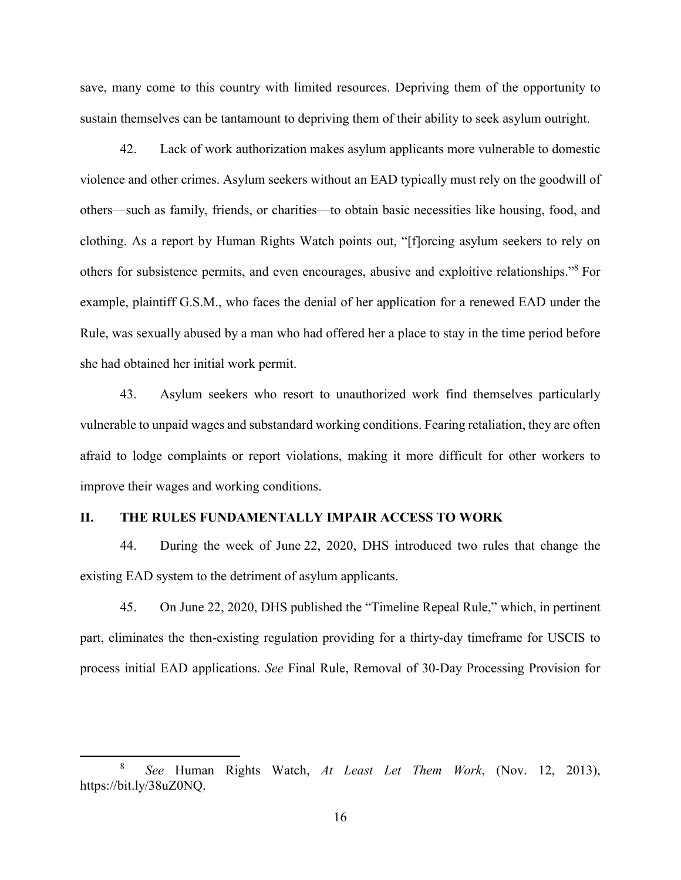save, many come to this country with limited resources. Depriving them of the opportunity to sustain themselves can be tantamount to depriving them of their ability to seek asylum outright.

42. Lack of work authorization makes asylum applicants more vulnerable to domestic violence and other crimes. Asylum seekers without an EAD typically must rely on the goodwill of others—such as family, friends, or charities—to obtain basic necessities like housing, food, and clothing. As a report by Human Rights Watch points out, "[f]orcing asylum seekers to rely on others for subsistence permits, and even encourages, abusive and exploitive relationships." <sup>8</sup> For example, plaintiff G.S.M., who faces the denial of her application for a renewed EAD under the Rule, was sexually abused by a man who had offered her a place to stay in the time period before she had obtained her initial work permit.

43. Asylum seekers who resort to unauthorized work find themselves particularly vulnerable to unpaid wages and substandard working conditions. Fearing retaliation, they are often afraid to lodge complaints or report violations, making it more difficult for other workers to improve their wages and working conditions.

### <span id="page-20-0"></span>**II. THE RULES FUNDAMENTALLY IMPAIR ACCESS TO WORK**

 $\overline{a}$ 

44. During the week of June 22, 2020, DHS introduced two rules that change the existing EAD system to the detriment of asylum applicants.

45. On June 22, 2020, DHS published the "Timeline Repeal Rule," which, in pertinent part, eliminates the then-existing regulation providing for a thirty-day timeframe for USCIS to process initial EAD applications. *See* Final Rule, Removal of 30-Day Processing Provision for

<sup>8</sup> *See* Human Rights Watch, *At Least Let Them Work*, (Nov. 12, 2013), https://bit.ly/38uZ0NQ.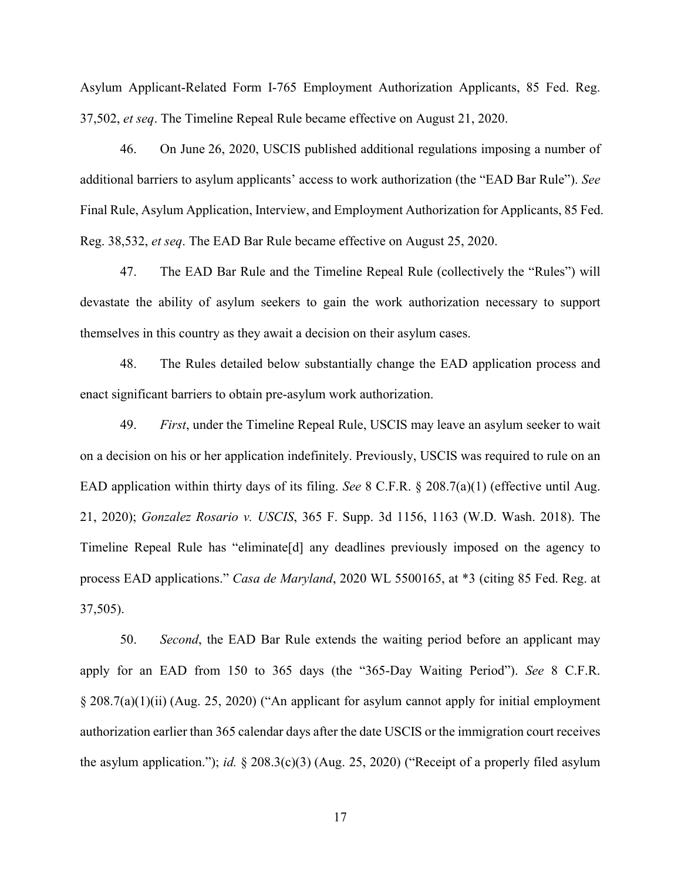Asylum Applicant-Related Form I-765 Employment Authorization Applicants, 85 Fed. Reg. 37,502, *et seq*. The Timeline Repeal Rule became effective on August 21, 2020.

46. On June 26, 2020, USCIS published additional regulations imposing a number of additional barriers to asylum applicants' access to work authorization (the "EAD Bar Rule"). *See*  Final Rule, Asylum Application, Interview, and Employment Authorization for Applicants, 85 Fed. Reg. 38,532, *et seq*. The EAD Bar Rule became effective on August 25, 2020.

47. The EAD Bar Rule and the Timeline Repeal Rule (collectively the "Rules") will devastate the ability of asylum seekers to gain the work authorization necessary to support themselves in this country as they await a decision on their asylum cases.

48. The Rules detailed below substantially change the EAD application process and enact significant barriers to obtain pre-asylum work authorization.

49. *First*, under the Timeline Repeal Rule, USCIS may leave an asylum seeker to wait on a decision on his or her application indefinitely. Previously, USCIS was required to rule on an EAD application within thirty days of its filing. *See* 8 C.F.R. § 208.7(a)(1) (effective until Aug. 21, 2020); *Gonzalez Rosario v. USCIS*, 365 F. Supp. 3d 1156, 1163 (W.D. Wash. 2018). The Timeline Repeal Rule has "eliminate[d] any deadlines previously imposed on the agency to process EAD applications." *Casa de Maryland*, 2020 WL 5500165, at \*3 (citing 85 Fed. Reg. at 37,505).

50. *Second*, the EAD Bar Rule extends the waiting period before an applicant may apply for an EAD from 150 to 365 days (the "365-Day Waiting Period"). *See* 8 C.F.R. § 208.7(a)(1)(ii) (Aug. 25, 2020) ("An applicant for asylum cannot apply for initial employment authorization earlier than 365 calendar days after the date USCIS or the immigration court receives the asylum application."); *id.* § 208.3(c)(3) (Aug. 25, 2020) ("Receipt of a properly filed asylum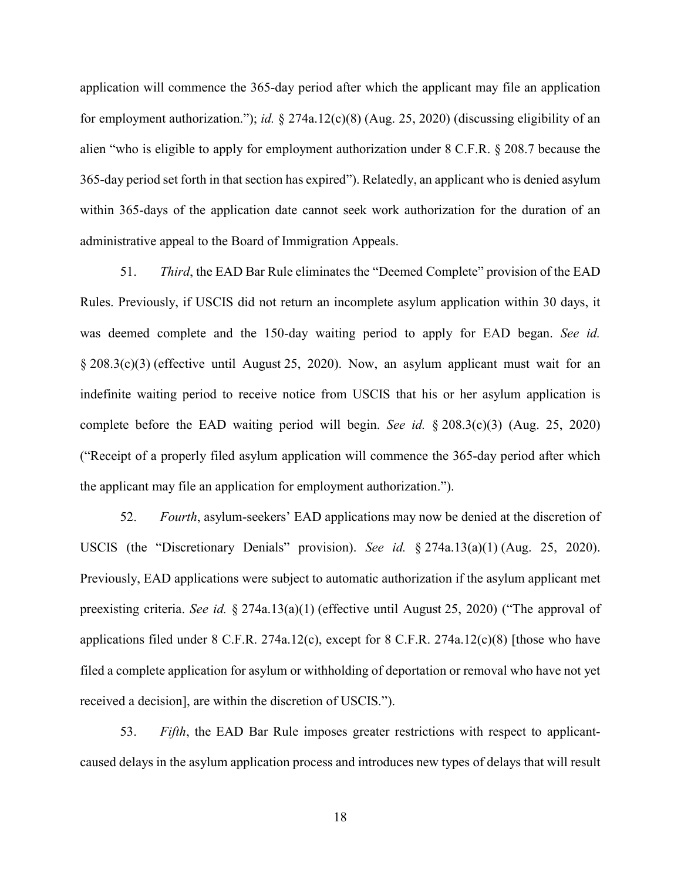application will commence the 365-day period after which the applicant may file an application for employment authorization."); *id.* § 274a.12(c)(8) (Aug. 25, 2020) (discussing eligibility of an alien "who is eligible to apply for employment authorization under 8 C.F.R. § 208.7 because the 365-day period set forth in that section has expired"). Relatedly, an applicant who is denied asylum within 365-days of the application date cannot seek work authorization for the duration of an administrative appeal to the Board of Immigration Appeals.

51. *Third*, the EAD Bar Rule eliminates the "Deemed Complete" provision of the EAD Rules. Previously, if USCIS did not return an incomplete asylum application within 30 days, it was deemed complete and the 150-day waiting period to apply for EAD began. *See id.* § 208.3(c)(3) (effective until August 25, 2020). Now, an asylum applicant must wait for an indefinite waiting period to receive notice from USCIS that his or her asylum application is complete before the EAD waiting period will begin. *See id.* § 208.3(c)(3) (Aug. 25, 2020) ("Receipt of a properly filed asylum application will commence the 365-day period after which the applicant may file an application for employment authorization.").

52. *Fourth*, asylum-seekers' EAD applications may now be denied at the discretion of USCIS (the "Discretionary Denials" provision). *See id.* § 274a.13(a)(1) (Aug. 25, 2020). Previously, EAD applications were subject to automatic authorization if the asylum applicant met preexisting criteria. *See id.* § 274a.13(a)(1) (effective until August 25, 2020) ("The approval of applications filed under  $8$  C.F.R. 274a.12(c), except for  $8$  C.F.R. 274a.12(c)(8) [those who have filed a complete application for asylum or withholding of deportation or removal who have not yet received a decision], are within the discretion of USCIS.").

53. *Fifth*, the EAD Bar Rule imposes greater restrictions with respect to applicantcaused delays in the asylum application process and introduces new types of delays that will result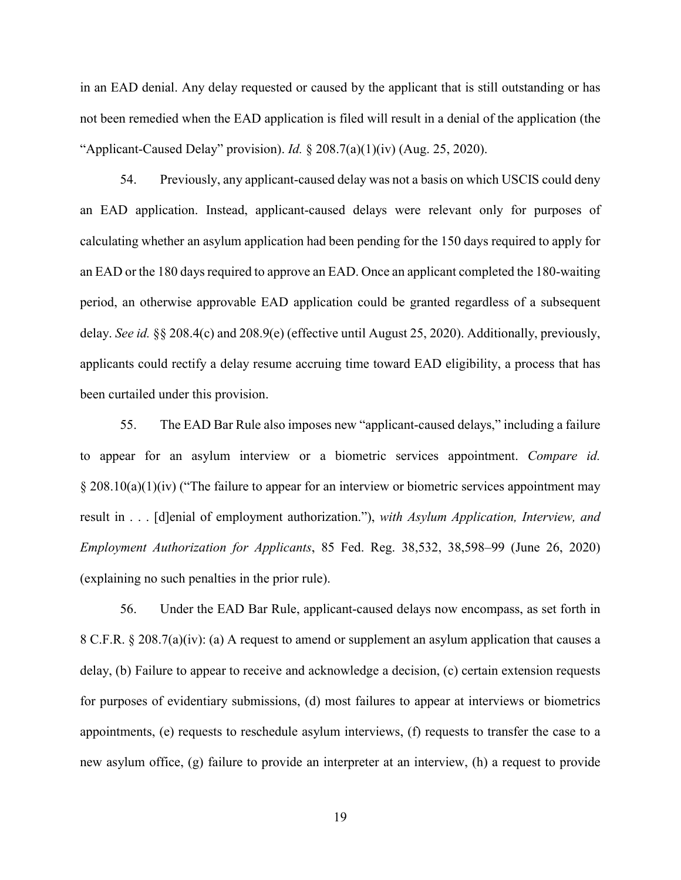in an EAD denial. Any delay requested or caused by the applicant that is still outstanding or has not been remedied when the EAD application is filed will result in a denial of the application (the "Applicant-Caused Delay" provision). *Id.* § 208.7(a)(1)(iv) (Aug. 25, 2020).

54. Previously, any applicant-caused delay was not a basis on which USCIS could deny an EAD application. Instead, applicant-caused delays were relevant only for purposes of calculating whether an asylum application had been pending for the 150 days required to apply for an EAD or the 180 days required to approve an EAD. Once an applicant completed the 180-waiting period, an otherwise approvable EAD application could be granted regardless of a subsequent delay. *See id.* §§ 208.4(c) and 208.9(e) (effective until August 25, 2020). Additionally, previously, applicants could rectify a delay resume accruing time toward EAD eligibility, a process that has been curtailed under this provision.

55. The EAD Bar Rule also imposes new "applicant-caused delays," including a failure to appear for an asylum interview or a biometric services appointment. *Compare id.*  $\S 208.10(a)(1)(iv)$  ("The failure to appear for an interview or biometric services appointment may result in . . . [d]enial of employment authorization."), *with Asylum Application, Interview, and Employment Authorization for Applicants*, 85 Fed. Reg. 38,532, 38,598–99 (June 26, 2020) (explaining no such penalties in the prior rule).

56. Under the EAD Bar Rule, applicant-caused delays now encompass, as set forth in 8 C.F.R. § 208.7(a)(iv): (a) A request to amend or supplement an asylum application that causes a delay, (b) Failure to appear to receive and acknowledge a decision, (c) certain extension requests for purposes of evidentiary submissions, (d) most failures to appear at interviews or biometrics appointments, (e) requests to reschedule asylum interviews, (f) requests to transfer the case to a new asylum office, (g) failure to provide an interpreter at an interview, (h) a request to provide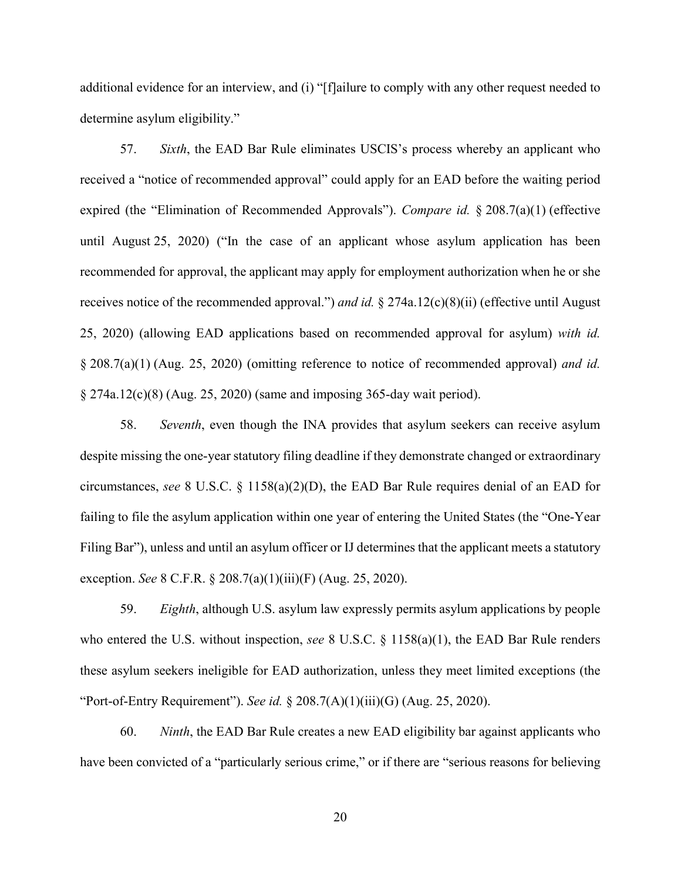additional evidence for an interview, and (i) "[f]ailure to comply with any other request needed to determine asylum eligibility."

57. *Sixth*, the EAD Bar Rule eliminates USCIS's process whereby an applicant who received a "notice of recommended approval" could apply for an EAD before the waiting period expired (the "Elimination of Recommended Approvals"). *Compare id.* § 208.7(a)(1) (effective until August 25, 2020) ("In the case of an applicant whose asylum application has been recommended for approval, the applicant may apply for employment authorization when he or she receives notice of the recommended approval.") *and id.* § 274a.12(c)(8)(ii) (effective until August 25, 2020) (allowing EAD applications based on recommended approval for asylum) *with id.*  § 208.7(a)(1) (Aug. 25, 2020) (omitting reference to notice of recommended approval) *and id.* § 274a.12(c)(8) (Aug. 25, 2020) (same and imposing 365-day wait period).

58. *Seventh*, even though the INA provides that asylum seekers can receive asylum despite missing the one-year statutory filing deadline if they demonstrate changed or extraordinary circumstances, *see* 8 U.S.C. § 1158(a)(2)(D), the EAD Bar Rule requires denial of an EAD for failing to file the asylum application within one year of entering the United States (the "One-Year Filing Bar"), unless and until an asylum officer or IJ determines that the applicant meets a statutory exception. *See* 8 C.F.R. § 208.7(a)(1)(iii)(F) (Aug. 25, 2020).

59. *Eighth*, although U.S. asylum law expressly permits asylum applications by people who entered the U.S. without inspection, *see* 8 U.S.C. § 1158(a)(1), the EAD Bar Rule renders these asylum seekers ineligible for EAD authorization, unless they meet limited exceptions (the "Port-of-Entry Requirement"). *See id.* § 208.7(A)(1)(iii)(G) (Aug. 25, 2020).

60. *Ninth*, the EAD Bar Rule creates a new EAD eligibility bar against applicants who have been convicted of a "particularly serious crime," or if there are "serious reasons for believing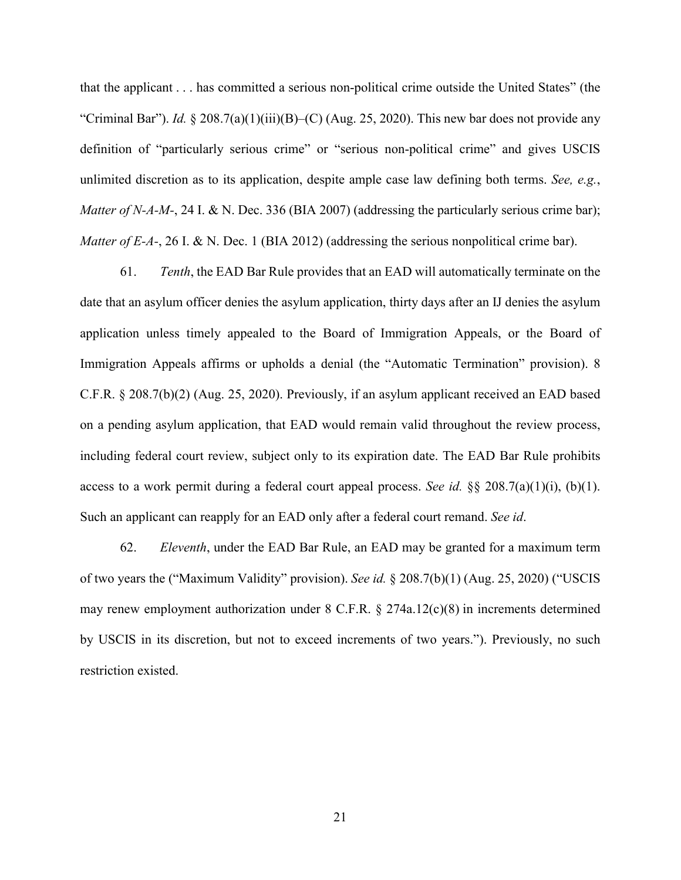that the applicant . . . has committed a serious non-political crime outside the United States" (the "Criminal Bar"). *Id.* § 208.7(a)(1)(iii)(B)–(C) (Aug. 25, 2020). This new bar does not provide any definition of "particularly serious crime" or "serious non-political crime" and gives USCIS unlimited discretion as to its application, despite ample case law defining both terms. *See, e.g.*, *Matter of N-A-M-*, 24 I. & N. Dec. 336 (BIA 2007) (addressing the particularly serious crime bar); *Matter of E-A-*, 26 I. & N. Dec. 1 (BIA 2012) (addressing the serious nonpolitical crime bar).

61. *Tenth*, the EAD Bar Rule provides that an EAD will automatically terminate on the date that an asylum officer denies the asylum application, thirty days after an IJ denies the asylum application unless timely appealed to the Board of Immigration Appeals, or the Board of Immigration Appeals affirms or upholds a denial (the "Automatic Termination" provision). 8 C.F.R. § 208.7(b)(2) (Aug. 25, 2020). Previously, if an asylum applicant received an EAD based on a pending asylum application, that EAD would remain valid throughout the review process, including federal court review, subject only to its expiration date. The EAD Bar Rule prohibits access to a work permit during a federal court appeal process. *See id.*  $\S$  208.7(a)(1)(i), (b)(1). Such an applicant can reapply for an EAD only after a federal court remand. *See id*.

62. *Eleventh*, under the EAD Bar Rule, an EAD may be granted for a maximum term of two years the ("Maximum Validity" provision). *See id.* § 208.7(b)(1) (Aug. 25, 2020) ("USCIS may renew employment authorization under 8 C.F.R. § 274a.12(c)(8) in increments determined by USCIS in its discretion, but not to exceed increments of two years."). Previously, no such restriction existed.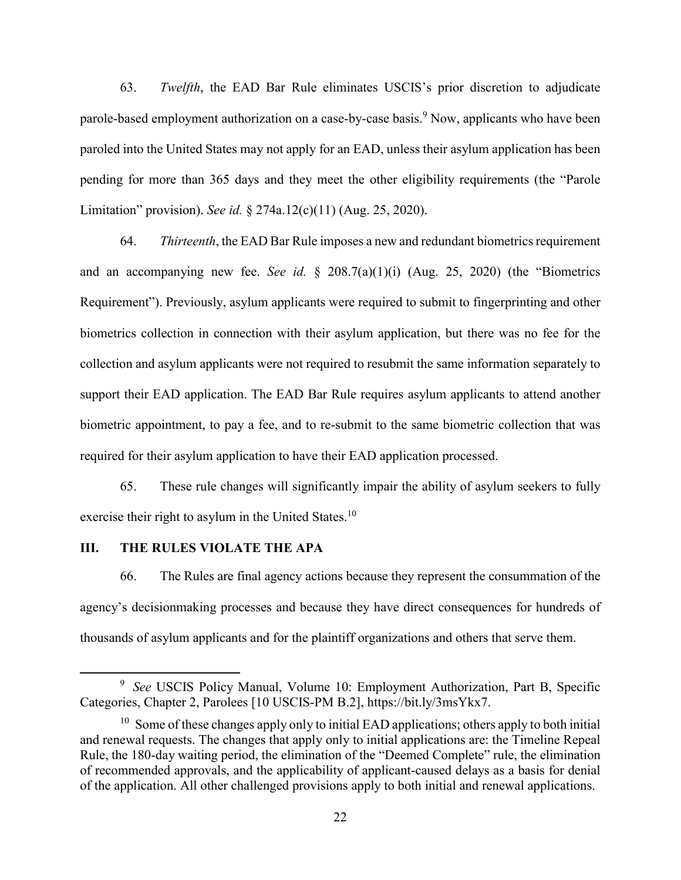63. *Twelfth*, the EAD Bar Rule eliminates USCIS's prior discretion to adjudicate parole-based employment authorization on a case-by-case basis.<sup>9</sup> Now, applicants who have been paroled into the United States may not apply for an EAD, unless their asylum application has been pending for more than 365 days and they meet the other eligibility requirements (the "Parole Limitation" provision). *See id.* § 274a.12(c)(11) (Aug. 25, 2020).

64. *Thirteenth*, the EAD Bar Rule imposes a new and redundant biometrics requirement and an accompanying new fee. *See id.* § 208.7(a)(1)(i) (Aug. 25, 2020) (the "Biometrics Requirement"). Previously, asylum applicants were required to submit to fingerprinting and other biometrics collection in connection with their asylum application, but there was no fee for the collection and asylum applicants were not required to resubmit the same information separately to support their EAD application. The EAD Bar Rule requires asylum applicants to attend another biometric appointment, to pay a fee, and to re-submit to the same biometric collection that was required for their asylum application to have their EAD application processed.

65. These rule changes will significantly impair the ability of asylum seekers to fully exercise their right to asylum in the United States.<sup>10</sup>

### <span id="page-26-0"></span>**III. THE RULES VIOLATE THE APA**

 $\overline{a}$ 

66. The Rules are final agency actions because they represent the consummation of the agency's decisionmaking processes and because they have direct consequences for hundreds of thousands of asylum applicants and for the plaintiff organizations and others that serve them.

<sup>&</sup>lt;sup>9</sup> See USCIS Policy Manual, Volume 10: Employment Authorization, Part B, Specific Categories, Chapter 2, Parolees [10 USCIS-PM B.2], https://bit.ly/3msYkx7.

<sup>&</sup>lt;sup>10</sup> Some of these changes apply only to initial EAD applications; others apply to both initial and renewal requests. The changes that apply only to initial applications are: the Timeline Repeal Rule, the 180-day waiting period, the elimination of the "Deemed Complete" rule, the elimination of recommended approvals, and the applicability of applicant-caused delays as a basis for denial of the application. All other challenged provisions apply to both initial and renewal applications.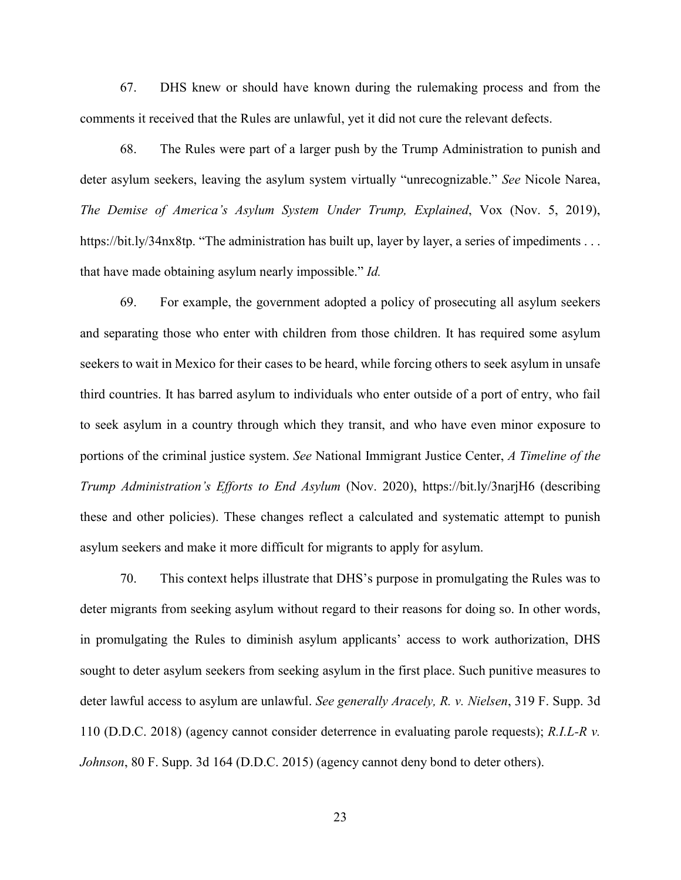67. DHS knew or should have known during the rulemaking process and from the comments it received that the Rules are unlawful, yet it did not cure the relevant defects.

68. The Rules were part of a larger push by the Trump Administration to punish and deter asylum seekers, leaving the asylum system virtually "unrecognizable." *See* Nicole Narea, *The Demise of America's Asylum System Under Trump, Explained*, Vox (Nov. 5, 2019), https://bit.ly/34nx8tp. "The administration has built up, layer by layer, a series of impediments ... that have made obtaining asylum nearly impossible." *Id.*

69. For example, the government adopted a policy of prosecuting all asylum seekers and separating those who enter with children from those children. It has required some asylum seekers to wait in Mexico for their cases to be heard, while forcing others to seek asylum in unsafe third countries. It has barred asylum to individuals who enter outside of a port of entry, who fail to seek asylum in a country through which they transit, and who have even minor exposure to portions of the criminal justice system. *See* National Immigrant Justice Center, *A Timeline of the Trump Administration's Efforts to End Asylum* (Nov. 2020), <https://bit.ly/3narjH6> (describing these and other policies). These changes reflect a calculated and systematic attempt to punish asylum seekers and make it more difficult for migrants to apply for asylum.

70. This context helps illustrate that DHS's purpose in promulgating the Rules was to deter migrants from seeking asylum without regard to their reasons for doing so. In other words, in promulgating the Rules to diminish asylum applicants' access to work authorization, DHS sought to deter asylum seekers from seeking asylum in the first place. Such punitive measures to deter lawful access to asylum are unlawful. *See generally Aracely, R. v. Nielsen*, 319 F. Supp. 3d 110 (D.D.C. 2018) (agency cannot consider deterrence in evaluating parole requests); *R.I.L-R v. Johnson*, 80 F. Supp. 3d 164 (D.D.C. 2015) (agency cannot deny bond to deter others).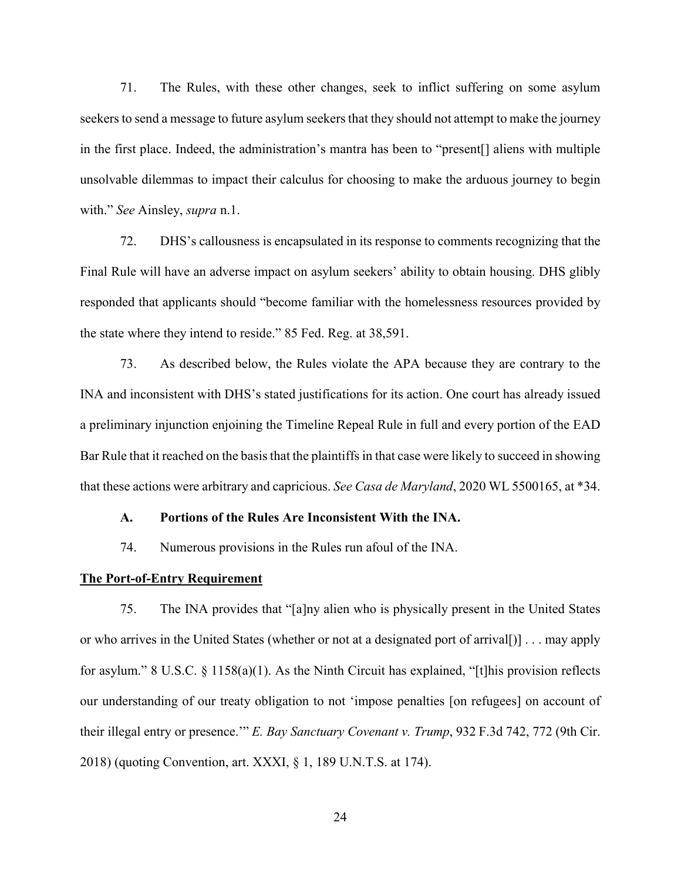71. The Rules, with these other changes, seek to inflict suffering on some asylum seekers to send a message to future asylum seekers that they should not attempt to make the journey in the first place. Indeed, the administration's mantra has been to "present[] aliens with multiple unsolvable dilemmas to impact their calculus for choosing to make the arduous journey to begin with." *See* Ainsley, *supra* n.1.

72. DHS's callousness is encapsulated in its response to comments recognizing that the Final Rule will have an adverse impact on asylum seekers' ability to obtain housing. DHS glibly responded that applicants should "become familiar with the homelessness resources provided by the state where they intend to reside." 85 Fed. Reg. at 38,591.

73. As described below, the Rules violate the APA because they are contrary to the INA and inconsistent with DHS's stated justifications for its action. One court has already issued a preliminary injunction enjoining the Timeline Repeal Rule in full and every portion of the EAD Bar Rule that it reached on the basis that the plaintiffs in that case were likely to succeed in showing that these actions were arbitrary and capricious. *See Casa de Maryland*, 2020 WL 5500165, at \*34.

#### <span id="page-28-0"></span>**A. Portions of the Rules Are Inconsistent With the INA.**

74. Numerous provisions in the Rules run afoul of the INA.

### <span id="page-28-1"></span>**The Port-of-Entry Requirement**

75. The INA provides that "[a]ny alien who is physically present in the United States or who arrives in the United States (whether or not at a designated port of arrival[)] . . . may apply for asylum." 8 U.S.C. § 1158(a)(1). As the Ninth Circuit has explained, "[t]his provision reflects our understanding of our treaty obligation to not 'impose penalties [on refugees] on account of their illegal entry or presence.'" *E. Bay Sanctuary Covenant v. Trump*, 932 F.3d 742, 772 (9th Cir. 2018) (quoting Convention, art. XXXI, § 1, 189 U.N.T.S. at 174).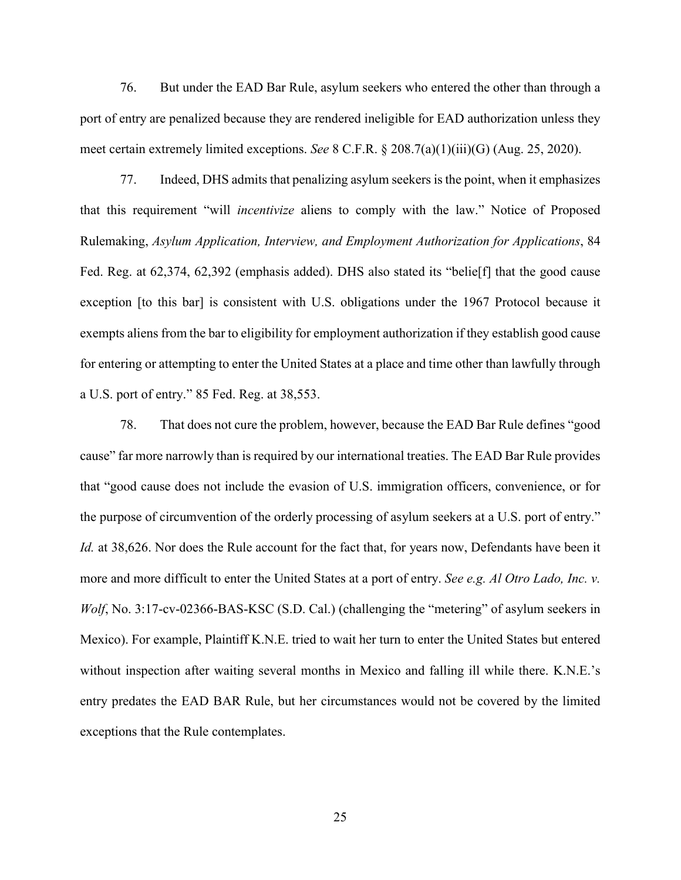76. But under the EAD Bar Rule, asylum seekers who entered the other than through a port of entry are penalized because they are rendered ineligible for EAD authorization unless they meet certain extremely limited exceptions. *See* 8 C.F.R. § 208.7(a)(1)(iii)(G) (Aug. 25, 2020).

77. Indeed, DHS admits that penalizing asylum seekers is the point, when it emphasizes that this requirement "will *incentivize* aliens to comply with the law." Notice of Proposed Rulemaking, *Asylum Application, Interview, and Employment Authorization for Applications*, 84 Fed. Reg. at 62,374, 62,392 (emphasis added). DHS also stated its "belieff] that the good cause exception [to this bar] is consistent with U.S. obligations under the 1967 Protocol because it exempts aliens from the bar to eligibility for employment authorization if they establish good cause for entering or attempting to enter the United States at a place and time other than lawfully through a U.S. port of entry." 85 Fed. Reg. at 38,553.

78. That does not cure the problem, however, because the EAD Bar Rule defines "good cause" far more narrowly than is required by our international treaties. The EAD Bar Rule provides that "good cause does not include the evasion of U.S. immigration officers, convenience, or for the purpose of circumvention of the orderly processing of asylum seekers at a U.S. port of entry." *Id.* at 38,626. Nor does the Rule account for the fact that, for years now, Defendants have been it more and more difficult to enter the United States at a port of entry. *See e.g. Al Otro Lado, Inc. v. Wolf*, No. 3:17-cv-02366-BAS-KSC (S.D. Cal.) (challenging the "metering" of asylum seekers in Mexico). For example, Plaintiff K.N.E. tried to wait her turn to enter the United States but entered without inspection after waiting several months in Mexico and falling ill while there. K.N.E.'s entry predates the EAD BAR Rule, but her circumstances would not be covered by the limited exceptions that the Rule contemplates.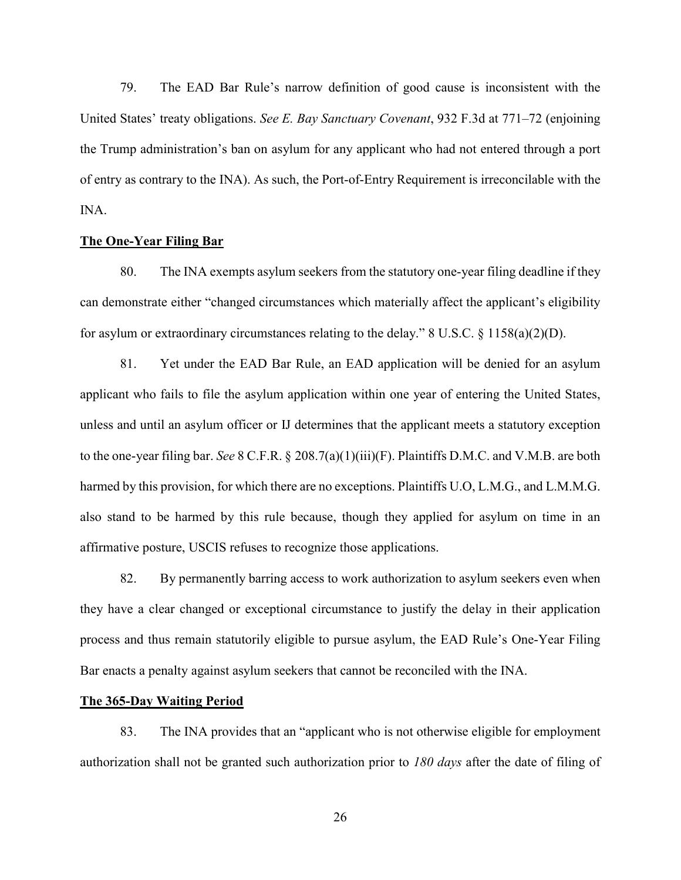79. The EAD Bar Rule's narrow definition of good cause is inconsistent with the United States' treaty obligations. *See E. Bay Sanctuary Covenant*, 932 F.3d at 771–72 (enjoining the Trump administration's ban on asylum for any applicant who had not entered through a port of entry as contrary to the INA). As such, the Port-of-Entry Requirement is irreconcilable with the INA.

### <span id="page-30-0"></span>**The One-Year Filing Bar**

80. The INA exempts asylum seekers from the statutory one-year filing deadline if they can demonstrate either "changed circumstances which materially affect the applicant's eligibility for asylum or extraordinary circumstances relating to the delay."  $8 \text{ U.S.C. } 8 \text{ 1158(a)(2)(D)}$ .

81. Yet under the EAD Bar Rule, an EAD application will be denied for an asylum applicant who fails to file the asylum application within one year of entering the United States, unless and until an asylum officer or IJ determines that the applicant meets a statutory exception to the one-year filing bar. *See* 8 C.F.R. § 208.7(a)(1)(iii)(F). Plaintiffs D.M.C. and V.M.B. are both harmed by this provision, for which there are no exceptions. Plaintiffs U.O, L.M.G., and L.M.M.G. also stand to be harmed by this rule because, though they applied for asylum on time in an affirmative posture, USCIS refuses to recognize those applications.

82. By permanently barring access to work authorization to asylum seekers even when they have a clear changed or exceptional circumstance to justify the delay in their application process and thus remain statutorily eligible to pursue asylum, the EAD Rule's One-Year Filing Bar enacts a penalty against asylum seekers that cannot be reconciled with the INA.

#### <span id="page-30-1"></span>**The 365-Day Waiting Period**

83. The INA provides that an "applicant who is not otherwise eligible for employment authorization shall not be granted such authorization prior to *180 days* after the date of filing of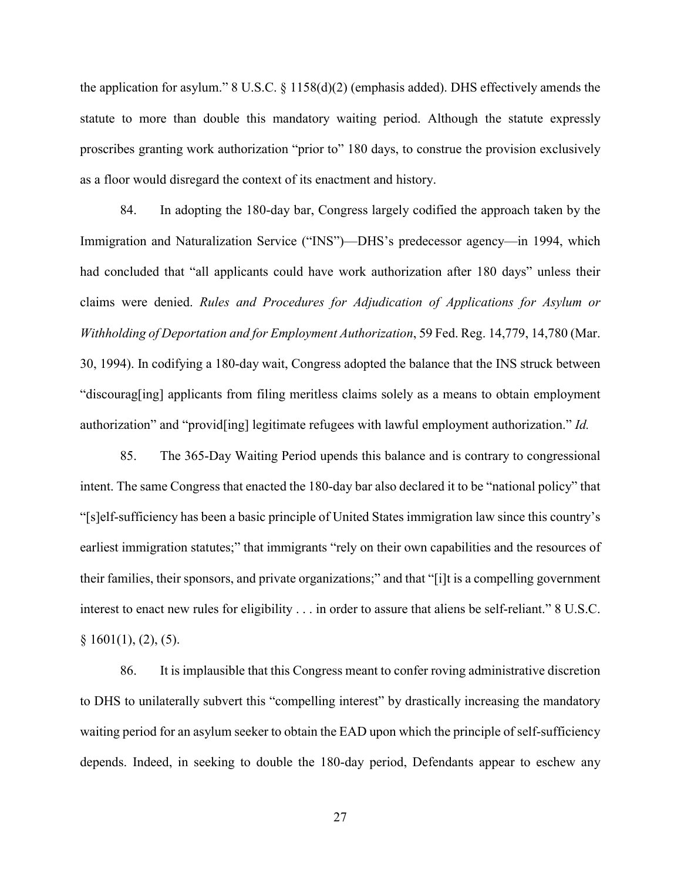the application for asylum." 8 U.S.C. § 1158(d)(2) (emphasis added). DHS effectively amends the statute to more than double this mandatory waiting period. Although the statute expressly proscribes granting work authorization "prior to" 180 days, to construe the provision exclusively as a floor would disregard the context of its enactment and history.

84. In adopting the 180-day bar, Congress largely codified the approach taken by the Immigration and Naturalization Service ("INS")—DHS's predecessor agency—in 1994, which had concluded that "all applicants could have work authorization after 180 days" unless their claims were denied. *Rules and Procedures for Adjudication of Applications for Asylum or Withholding of Deportation and for Employment Authorization*, 59 Fed. Reg. 14,779, 14,780 (Mar. 30, 1994). In codifying a 180-day wait, Congress adopted the balance that the INS struck between "discourag[ing] applicants from filing meritless claims solely as a means to obtain employment authorization" and "provid[ing] legitimate refugees with lawful employment authorization." *Id.*

85. The 365-Day Waiting Period upends this balance and is contrary to congressional intent. The same Congress that enacted the 180-day bar also declared it to be "national policy" that "[s]elf-sufficiency has been a basic principle of United States immigration law since this country's earliest immigration statutes;" that immigrants "rely on their own capabilities and the resources of their families, their sponsors, and private organizations;" and that "[i]t is a compelling government interest to enact new rules for eligibility . . . in order to assure that aliens be self-reliant." 8 U.S.C.  $§ 1601(1), (2), (5).$ 

86. It is implausible that this Congress meant to confer roving administrative discretion to DHS to unilaterally subvert this "compelling interest" by drastically increasing the mandatory waiting period for an asylum seeker to obtain the EAD upon which the principle of self-sufficiency depends. Indeed, in seeking to double the 180-day period, Defendants appear to eschew any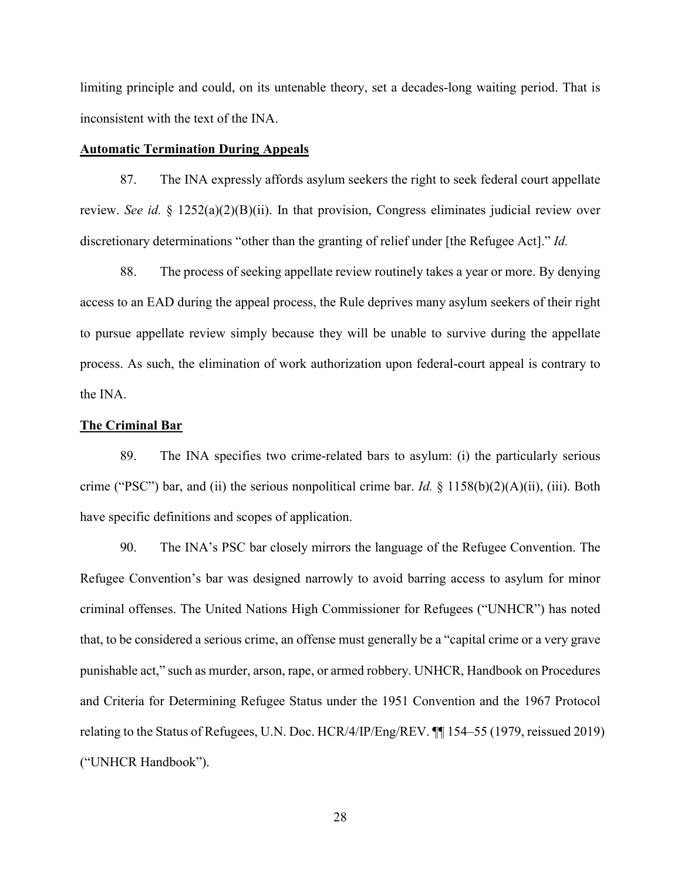limiting principle and could, on its untenable theory, set a decades-long waiting period. That is inconsistent with the text of the INA.

### <span id="page-32-0"></span>**Automatic Termination During Appeals**

87. The INA expressly affords asylum seekers the right to seek federal court appellate review. *See id.* § 1252(a)(2)(B)(ii). In that provision, Congress eliminates judicial review over discretionary determinations "other than the granting of relief under [the Refugee Act]." *Id.*

88. The process of seeking appellate review routinely takes a year or more. By denying access to an EAD during the appeal process, the Rule deprives many asylum seekers of their right to pursue appellate review simply because they will be unable to survive during the appellate process. As such, the elimination of work authorization upon federal-court appeal is contrary to the INA.

#### <span id="page-32-1"></span>**The Criminal Bar**

89. The INA specifies two crime-related bars to asylum: (i) the particularly serious crime ("PSC") bar, and (ii) the serious nonpolitical crime bar. *Id.* § 1158(b)(2)(A)(ii), (iii). Both have specific definitions and scopes of application.

90. The INA's PSC bar closely mirrors the language of the Refugee Convention. The Refugee Convention's bar was designed narrowly to avoid barring access to asylum for minor criminal offenses. The United Nations High Commissioner for Refugees ("UNHCR") has noted that, to be considered a serious crime, an offense must generally be a "capital crime or a very grave punishable act," such as murder, arson, rape, or armed robbery. UNHCR, Handbook on Procedures and Criteria for Determining Refugee Status under the 1951 Convention and the 1967 Protocol relating to the Status of Refugees, U.N. Doc. HCR/4/IP/Eng/REV. ¶¶ 154–55 (1979, reissued 2019) ("UNHCR Handbook").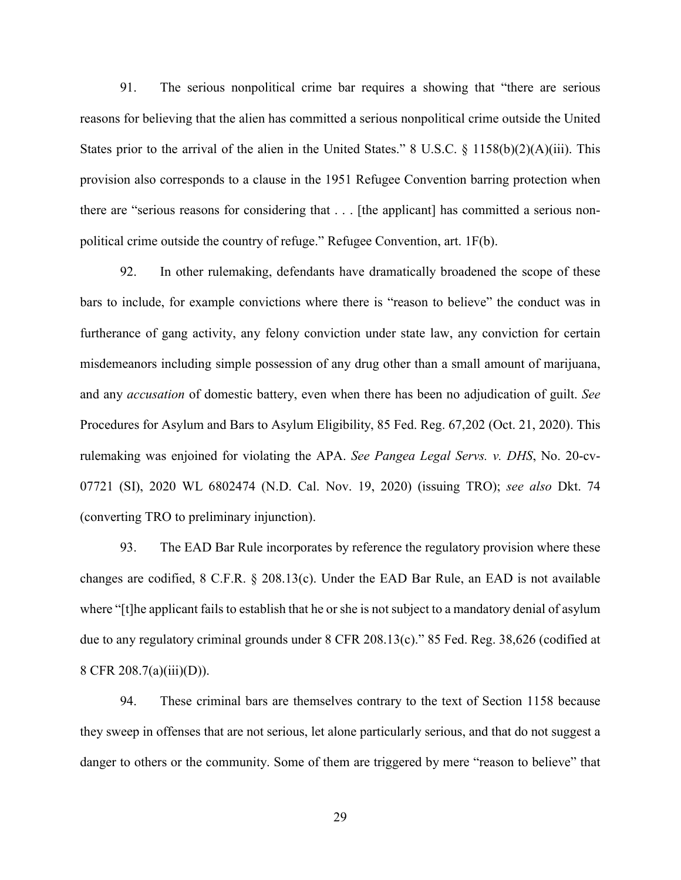91. The serious nonpolitical crime bar requires a showing that "there are serious reasons for believing that the alien has committed a serious nonpolitical crime outside the United States prior to the arrival of the alien in the United States." 8 U.S.C. § 1158(b)(2)(A)(iii). This provision also corresponds to a clause in the 1951 Refugee Convention barring protection when there are "serious reasons for considering that . . . [the applicant] has committed a serious nonpolitical crime outside the country of refuge." Refugee Convention, art. 1F(b).

92. In other rulemaking, defendants have dramatically broadened the scope of these bars to include, for example convictions where there is "reason to believe" the conduct was in furtherance of gang activity, any felony conviction under state law, any conviction for certain misdemeanors including simple possession of any drug other than a small amount of marijuana, and any *accusation* of domestic battery, even when there has been no adjudication of guilt. *See*  Procedures for Asylum and Bars to Asylum Eligibility, 85 Fed. Reg. 67,202 (Oct. 21, 2020). This rulemaking was enjoined for violating the APA. *See Pangea Legal Servs. v. DHS*, No. 20-cv-07721 (SI), 2020 WL 6802474 (N.D. Cal. Nov. 19, 2020) (issuing TRO); *see also* Dkt. 74 (converting TRO to preliminary injunction).

93. The EAD Bar Rule incorporates by reference the regulatory provision where these changes are codified, 8 C.F.R. § 208.13(c). Under the EAD Bar Rule, an EAD is not available where "[t]he applicant fails to establish that he or she is not subject to a mandatory denial of asylum due to any regulatory criminal grounds under 8 CFR 208.13(c)." 85 Fed. Reg. 38,626 (codified at 8 CFR 208.7(a)(iii)(D)).

94. These criminal bars are themselves contrary to the text of Section 1158 because they sweep in offenses that are not serious, let alone particularly serious, and that do not suggest a danger to others or the community. Some of them are triggered by mere "reason to believe" that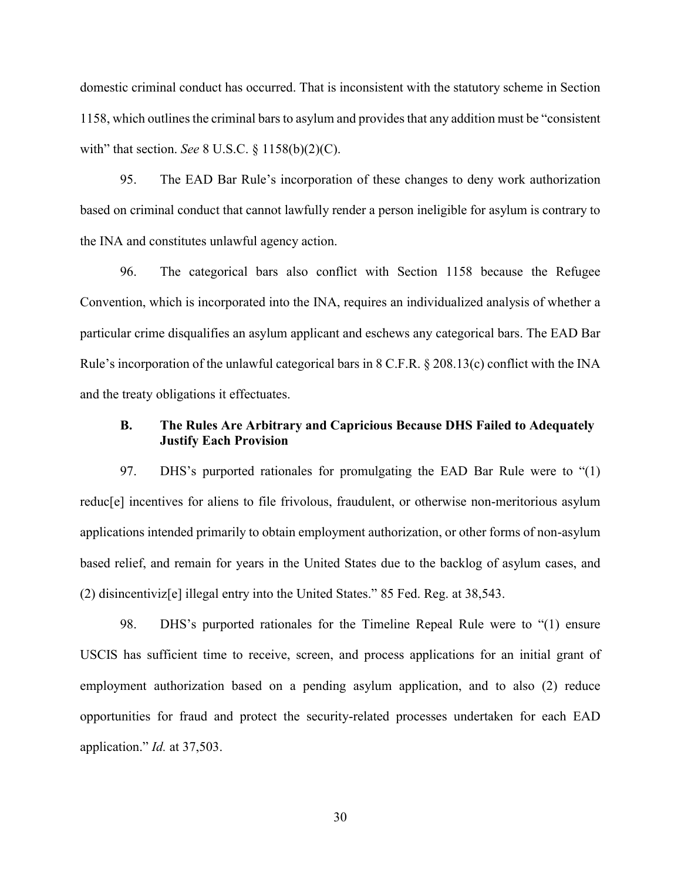domestic criminal conduct has occurred. That is inconsistent with the statutory scheme in Section 1158, which outlines the criminal bars to asylum and provides that any addition must be "consistent with" that section. *See* 8 U.S.C. § 1158(b)(2)(C).

95. The EAD Bar Rule's incorporation of these changes to deny work authorization based on criminal conduct that cannot lawfully render a person ineligible for asylum is contrary to the INA and constitutes unlawful agency action.

96. The categorical bars also conflict with Section 1158 because the Refugee Convention, which is incorporated into the INA, requires an individualized analysis of whether a particular crime disqualifies an asylum applicant and eschews any categorical bars. The EAD Bar Rule's incorporation of the unlawful categorical bars in 8 C.F.R. § 208.13(c) conflict with the INA and the treaty obligations it effectuates.

### <span id="page-34-0"></span>**B. The Rules Are Arbitrary and Capricious Because DHS Failed to Adequately Justify Each Provision**

97. DHS's purported rationales for promulgating the EAD Bar Rule were to "(1) reduc[e] incentives for aliens to file frivolous, fraudulent, or otherwise non-meritorious asylum applications intended primarily to obtain employment authorization, or other forms of non-asylum based relief, and remain for years in the United States due to the backlog of asylum cases, and (2) disincentiviz[e] illegal entry into the United States." 85 Fed. Reg. at 38,543.

98. DHS's purported rationales for the Timeline Repeal Rule were to "(1) ensure USCIS has sufficient time to receive, screen, and process applications for an initial grant of employment authorization based on a pending asylum application, and to also (2) reduce opportunities for fraud and protect the security-related processes undertaken for each EAD application." *Id.* at 37,503.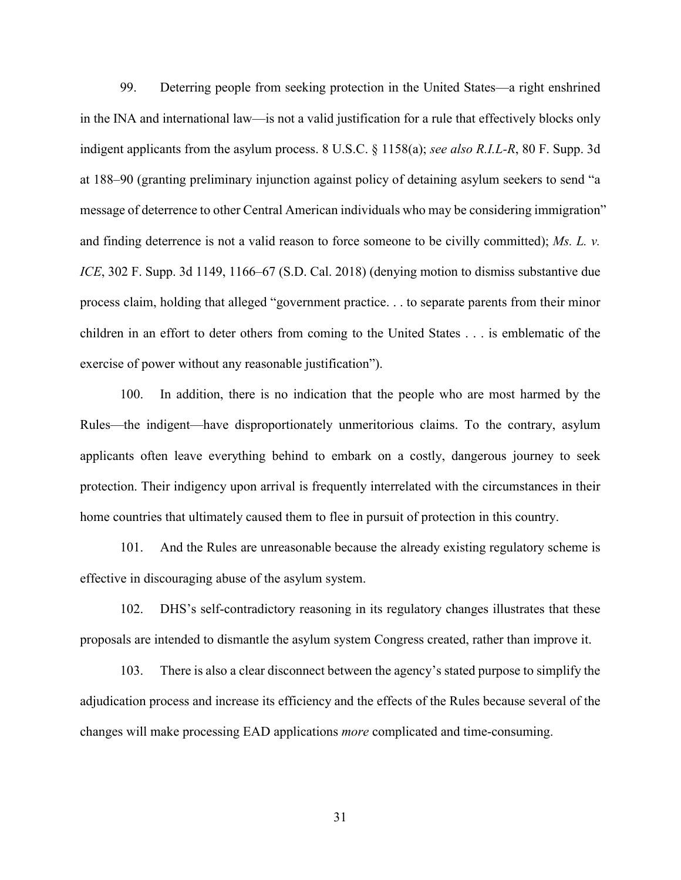99. Deterring people from seeking protection in the United States—a right enshrined in the INA and international law—is not a valid justification for a rule that effectively blocks only indigent applicants from the asylum process. 8 U.S.C. § 1158(a); *see also R.I.L-R*, 80 F. Supp. 3d at 188–90 (granting preliminary injunction against policy of detaining asylum seekers to send "a message of deterrence to other Central American individuals who may be considering immigration" and finding deterrence is not a valid reason to force someone to be civilly committed); *Ms. L. v. ICE*, 302 F. Supp. 3d 1149, 1166–67 (S.D. Cal. 2018) (denying motion to dismiss substantive due process claim, holding that alleged "government practice. . . to separate parents from their minor children in an effort to deter others from coming to the United States . . . is emblematic of the exercise of power without any reasonable justification").

100. In addition, there is no indication that the people who are most harmed by the Rules—the indigent—have disproportionately unmeritorious claims. To the contrary, asylum applicants often leave everything behind to embark on a costly, dangerous journey to seek protection. Their indigency upon arrival is frequently interrelated with the circumstances in their home countries that ultimately caused them to flee in pursuit of protection in this country.

101. And the Rules are unreasonable because the already existing regulatory scheme is effective in discouraging abuse of the asylum system.

102. DHS's self-contradictory reasoning in its regulatory changes illustrates that these proposals are intended to dismantle the asylum system Congress created, rather than improve it.

103. There is also a clear disconnect between the agency's stated purpose to simplify the adjudication process and increase its efficiency and the effects of the Rules because several of the changes will make processing EAD applications *more* complicated and time-consuming.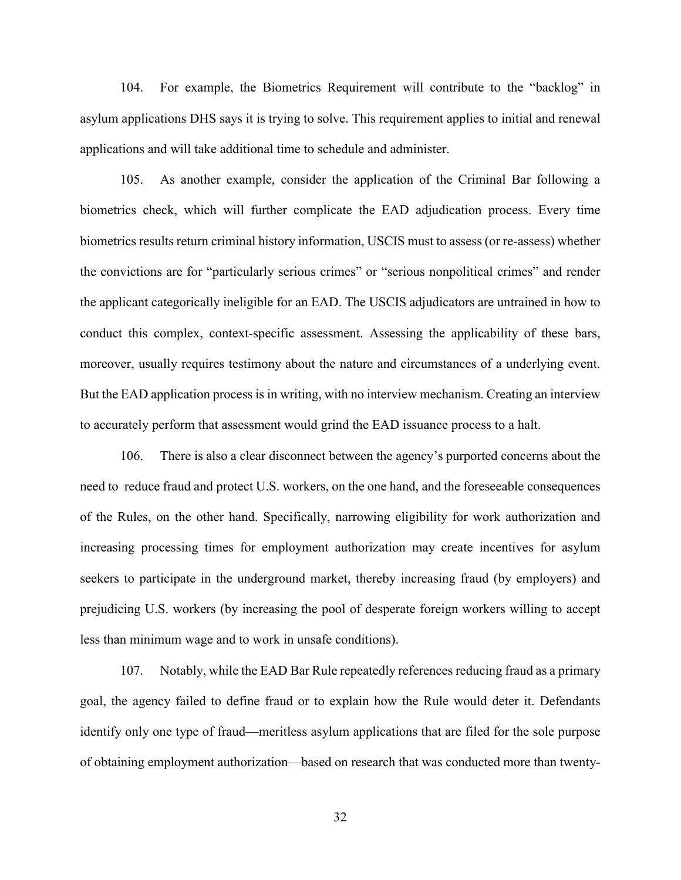104. For example, the Biometrics Requirement will contribute to the "backlog" in asylum applications DHS says it is trying to solve. This requirement applies to initial and renewal applications and will take additional time to schedule and administer.

105. As another example, consider the application of the Criminal Bar following a biometrics check, which will further complicate the EAD adjudication process. Every time biometrics results return criminal history information, USCIS must to assess (or re-assess) whether the convictions are for "particularly serious crimes" or "serious nonpolitical crimes" and render the applicant categorically ineligible for an EAD. The USCIS adjudicators are untrained in how to conduct this complex, context-specific assessment. Assessing the applicability of these bars, moreover, usually requires testimony about the nature and circumstances of a underlying event. But the EAD application process is in writing, with no interview mechanism. Creating an interview to accurately perform that assessment would grind the EAD issuance process to a halt.

106. There is also a clear disconnect between the agency's purported concerns about the need to reduce fraud and protect U.S. workers, on the one hand, and the foreseeable consequences of the Rules, on the other hand. Specifically, narrowing eligibility for work authorization and increasing processing times for employment authorization may create incentives for asylum seekers to participate in the underground market, thereby increasing fraud (by employers) and prejudicing U.S. workers (by increasing the pool of desperate foreign workers willing to accept less than minimum wage and to work in unsafe conditions).

107. Notably, while the EAD Bar Rule repeatedly references reducing fraud as a primary goal, the agency failed to define fraud or to explain how the Rule would deter it. Defendants identify only one type of fraud—meritless asylum applications that are filed for the sole purpose of obtaining employment authorization—based on research that was conducted more than twenty-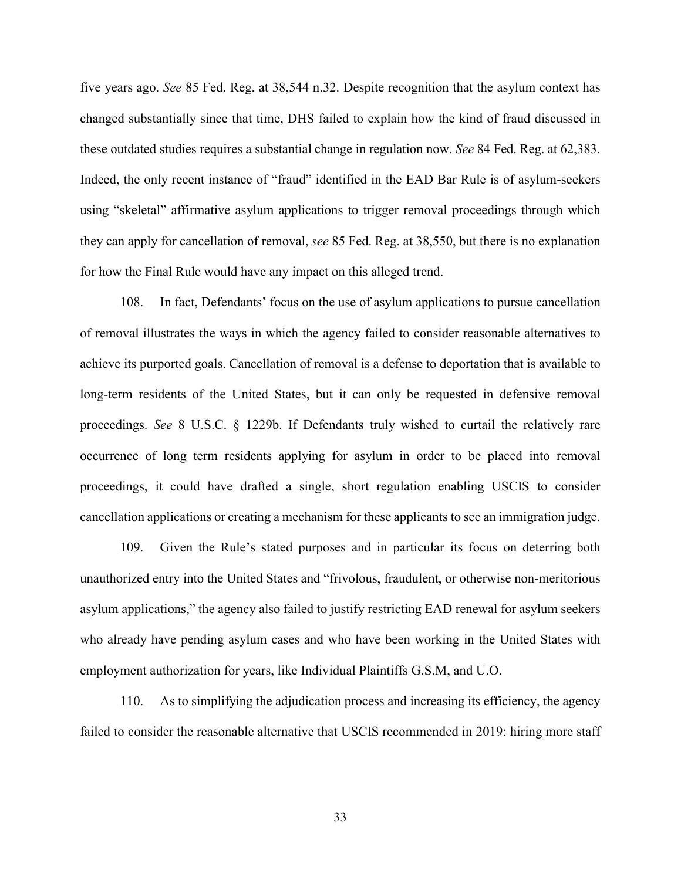five years ago. *See* 85 Fed. Reg. at 38,544 n.32. Despite recognition that the asylum context has changed substantially since that time, DHS failed to explain how the kind of fraud discussed in these outdated studies requires a substantial change in regulation now. *See* 84 Fed. Reg. at 62,383. Indeed, the only recent instance of "fraud" identified in the EAD Bar Rule is of asylum-seekers using "skeletal" affirmative asylum applications to trigger removal proceedings through which they can apply for cancellation of removal, *see* 85 Fed. Reg. at 38,550, but there is no explanation for how the Final Rule would have any impact on this alleged trend.

108. In fact, Defendants' focus on the use of asylum applications to pursue cancellation of removal illustrates the ways in which the agency failed to consider reasonable alternatives to achieve its purported goals. Cancellation of removal is a defense to deportation that is available to long-term residents of the United States, but it can only be requested in defensive removal proceedings. *See* 8 U.S.C. § 1229b. If Defendants truly wished to curtail the relatively rare occurrence of long term residents applying for asylum in order to be placed into removal proceedings, it could have drafted a single, short regulation enabling USCIS to consider cancellation applications or creating a mechanism for these applicants to see an immigration judge.

109. Given the Rule's stated purposes and in particular its focus on deterring both unauthorized entry into the United States and "frivolous, fraudulent, or otherwise non-meritorious asylum applications," the agency also failed to justify restricting EAD renewal for asylum seekers who already have pending asylum cases and who have been working in the United States with employment authorization for years, like Individual Plaintiffs G.S.M, and U.O.

110. As to simplifying the adjudication process and increasing its efficiency, the agency failed to consider the reasonable alternative that USCIS recommended in 2019: hiring more staff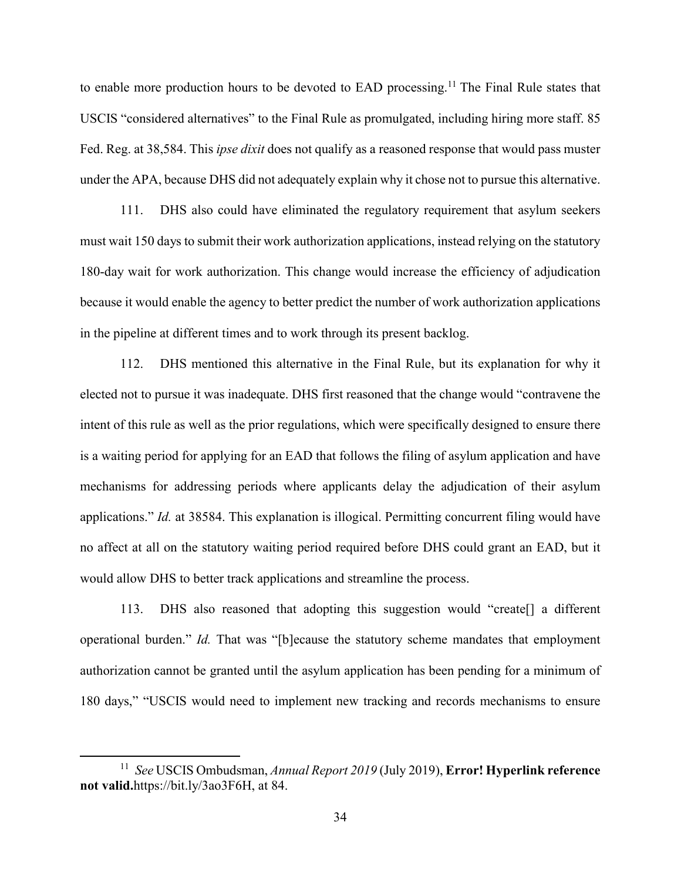to enable more production hours to be devoted to EAD processing.<sup>11</sup> The Final Rule states that USCIS "considered alternatives" to the Final Rule as promulgated, including hiring more staff. 85 Fed. Reg. at 38,584. This *ipse dixit* does not qualify as a reasoned response that would pass muster under the APA, because DHS did not adequately explain why it chose not to pursue this alternative.

111. DHS also could have eliminated the regulatory requirement that asylum seekers must wait 150 days to submit their work authorization applications, instead relying on the statutory 180-day wait for work authorization. This change would increase the efficiency of adjudication because it would enable the agency to better predict the number of work authorization applications in the pipeline at different times and to work through its present backlog.

112. DHS mentioned this alternative in the Final Rule, but its explanation for why it elected not to pursue it was inadequate. DHS first reasoned that the change would "contravene the intent of this rule as well as the prior regulations, which were specifically designed to ensure there is a waiting period for applying for an EAD that follows the filing of asylum application and have mechanisms for addressing periods where applicants delay the adjudication of their asylum applications." *Id.* at 38584. This explanation is illogical. Permitting concurrent filing would have no affect at all on the statutory waiting period required before DHS could grant an EAD, but it would allow DHS to better track applications and streamline the process.

113. DHS also reasoned that adopting this suggestion would "create[] a different operational burden." *Id.* That was "[b]ecause the statutory scheme mandates that employment authorization cannot be granted until the asylum application has been pending for a minimum of 180 days," "USCIS would need to implement new tracking and records mechanisms to ensure

 $\overline{a}$ 

<sup>11</sup> *See* USCIS Ombudsman, *Annual Report 2019* (July 2019), **Error! Hyperlink reference not valid.**https://bit.ly/3ao3F6H, at 84.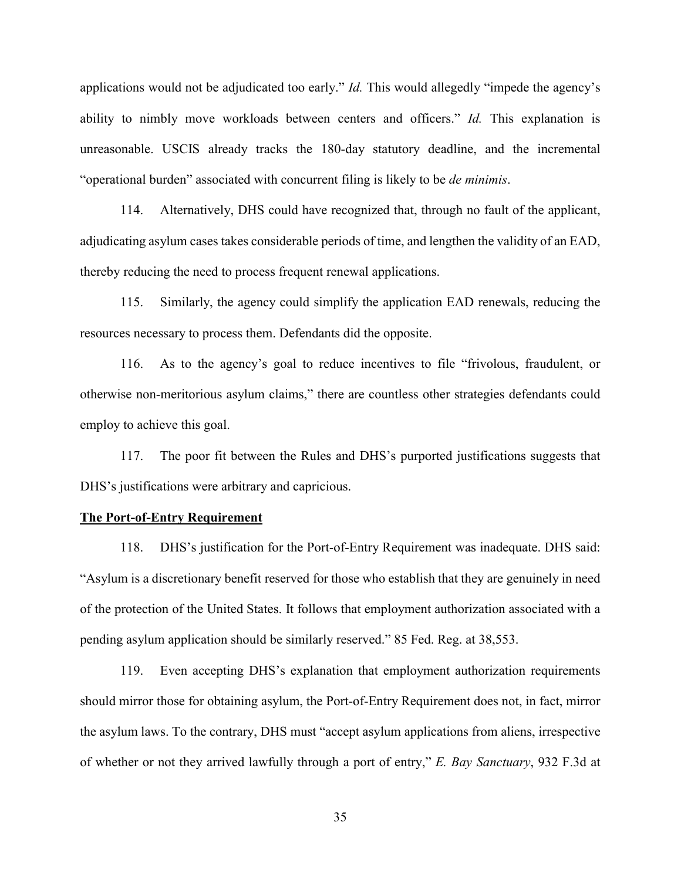applications would not be adjudicated too early." *Id.* This would allegedly "impede the agency's ability to nimbly move workloads between centers and officers." *Id.* This explanation is unreasonable. USCIS already tracks the 180-day statutory deadline, and the incremental "operational burden" associated with concurrent filing is likely to be *de minimis*.

114. Alternatively, DHS could have recognized that, through no fault of the applicant, adjudicating asylum cases takes considerable periods of time, and lengthen the validity of an EAD, thereby reducing the need to process frequent renewal applications.

115. Similarly, the agency could simplify the application EAD renewals, reducing the resources necessary to process them. Defendants did the opposite.

116. As to the agency's goal to reduce incentives to file "frivolous, fraudulent, or otherwise non-meritorious asylum claims," there are countless other strategies defendants could employ to achieve this goal.

117. The poor fit between the Rules and DHS's purported justifications suggests that DHS's justifications were arbitrary and capricious.

### **The Port-of-Entry Requirement**

118. DHS's justification for the Port-of-Entry Requirement was inadequate. DHS said: "Asylum is a discretionary benefit reserved for those who establish that they are genuinely in need of the protection of the United States. It follows that employment authorization associated with a pending asylum application should be similarly reserved." 85 Fed. Reg. at 38,553.

119. Even accepting DHS's explanation that employment authorization requirements should mirror those for obtaining asylum, the Port-of-Entry Requirement does not, in fact, mirror the asylum laws. To the contrary, DHS must "accept asylum applications from aliens, irrespective of whether or not they arrived lawfully through a port of entry," *E. Bay Sanctuary*, 932 F.3d at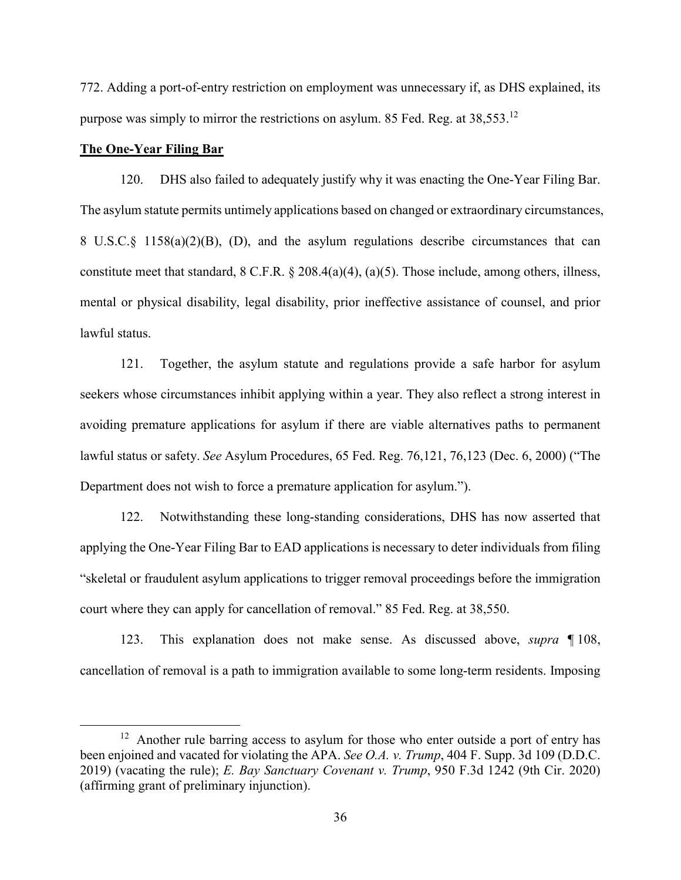772. Adding a port-of-entry restriction on employment was unnecessary if, as DHS explained, its purpose was simply to mirror the restrictions on asylum. 85 Fed. Reg. at 38,553.<sup>12</sup>

# **The One-Year Filing Bar**

 $\overline{a}$ 

120. DHS also failed to adequately justify why it was enacting the One-Year Filing Bar. The asylum statute permits untimely applications based on changed or extraordinary circumstances, 8 U.S.C.§ 1158(a)(2)(B), (D), and the asylum regulations describe circumstances that can constitute meet that standard, 8 C.F.R. § 208.4(a)(4), (a)(5). Those include, among others, illness, mental or physical disability, legal disability, prior ineffective assistance of counsel, and prior lawful status.

121. Together, the asylum statute and regulations provide a safe harbor for asylum seekers whose circumstances inhibit applying within a year. They also reflect a strong interest in avoiding premature applications for asylum if there are viable alternatives paths to permanent lawful status or safety. *See* Asylum Procedures, 65 Fed. Reg. 76,121, 76,123 (Dec. 6, 2000) ("The Department does not wish to force a premature application for asylum.").

122. Notwithstanding these long-standing considerations, DHS has now asserted that applying the One-Year Filing Bar to EAD applications is necessary to deter individuals from filing "skeletal or fraudulent asylum applications to trigger removal proceedings before the immigration court where they can apply for cancellation of removal." 85 Fed. Reg. at 38,550.

123. This explanation does not make sense. As discussed above, *supra* ¶ 108, cancellation of removal is a path to immigration available to some long-term residents. Imposing

 $12$  Another rule barring access to asylum for those who enter outside a port of entry has been enjoined and vacated for violating the APA. *See O.A. v. Trump*, 404 F. Supp. 3d 109 (D.D.C. 2019) (vacating the rule); *E. Bay Sanctuary Covenant v. Trump*, 950 F.3d 1242 (9th Cir. 2020) (affirming grant of preliminary injunction).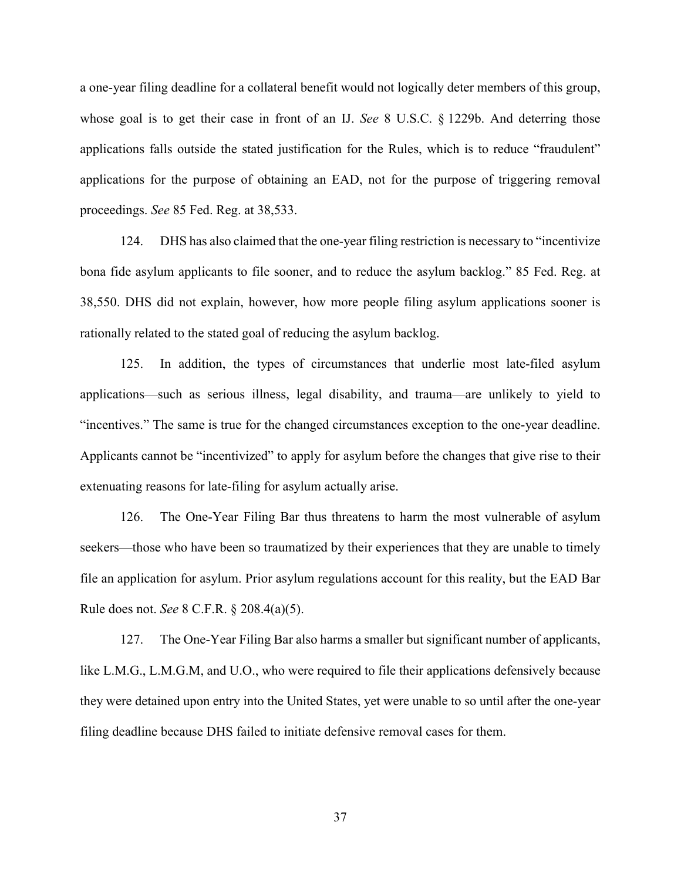a one-year filing deadline for a collateral benefit would not logically deter members of this group, whose goal is to get their case in front of an IJ. *See* 8 U.S.C. § 1229b. And deterring those applications falls outside the stated justification for the Rules, which is to reduce "fraudulent" applications for the purpose of obtaining an EAD, not for the purpose of triggering removal proceedings. *See* 85 Fed. Reg. at 38,533.

124. DHS has also claimed that the one-year filing restriction is necessary to "incentivize bona fide asylum applicants to file sooner, and to reduce the asylum backlog." 85 Fed. Reg. at 38,550. DHS did not explain, however, how more people filing asylum applications sooner is rationally related to the stated goal of reducing the asylum backlog.

125. In addition, the types of circumstances that underlie most late-filed asylum applications—such as serious illness, legal disability, and trauma—are unlikely to yield to "incentives." The same is true for the changed circumstances exception to the one-year deadline. Applicants cannot be "incentivized" to apply for asylum before the changes that give rise to their extenuating reasons for late-filing for asylum actually arise.

126. The One-Year Filing Bar thus threatens to harm the most vulnerable of asylum seekers—those who have been so traumatized by their experiences that they are unable to timely file an application for asylum. Prior asylum regulations account for this reality, but the EAD Bar Rule does not. *See* 8 C.F.R. § 208.4(a)(5).

127. The One-Year Filing Bar also harms a smaller but significant number of applicants, like L.M.G., L.M.G.M, and U.O., who were required to file their applications defensively because they were detained upon entry into the United States, yet were unable to so until after the one-year filing deadline because DHS failed to initiate defensive removal cases for them.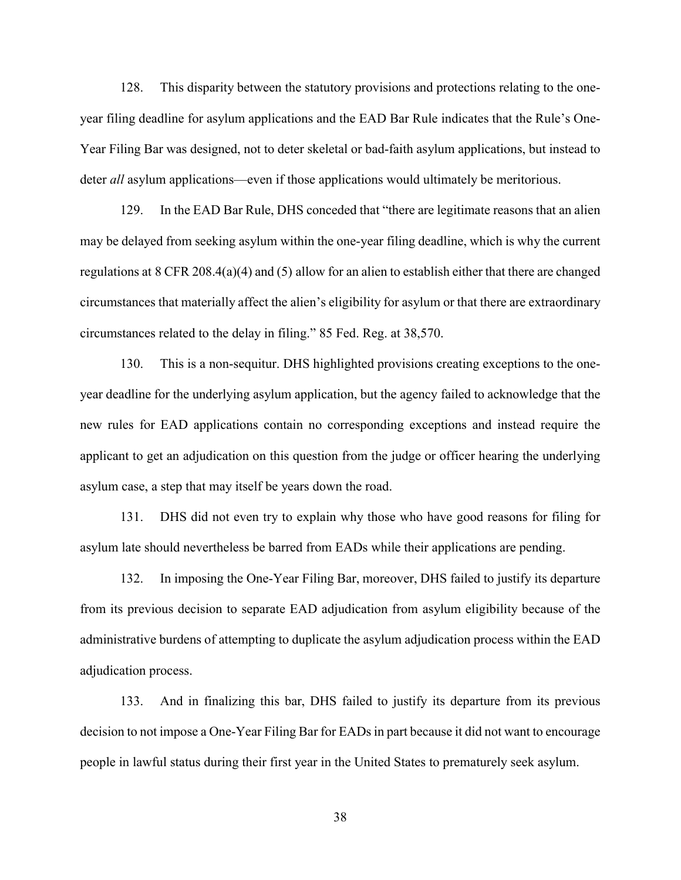128. This disparity between the statutory provisions and protections relating to the oneyear filing deadline for asylum applications and the EAD Bar Rule indicates that the Rule's One-Year Filing Bar was designed, not to deter skeletal or bad-faith asylum applications, but instead to deter *all* asylum applications—even if those applications would ultimately be meritorious.

129. In the EAD Bar Rule, DHS conceded that "there are legitimate reasons that an alien may be delayed from seeking asylum within the one-year filing deadline, which is why the current regulations at 8 CFR 208.4(a)(4) and (5) allow for an alien to establish either that there are changed circumstances that materially affect the alien's eligibility for asylum or that there are extraordinary circumstances related to the delay in filing." 85 Fed. Reg. at 38,570.

130. This is a non-sequitur. DHS highlighted provisions creating exceptions to the oneyear deadline for the underlying asylum application, but the agency failed to acknowledge that the new rules for EAD applications contain no corresponding exceptions and instead require the applicant to get an adjudication on this question from the judge or officer hearing the underlying asylum case, a step that may itself be years down the road.

131. DHS did not even try to explain why those who have good reasons for filing for asylum late should nevertheless be barred from EADs while their applications are pending.

132. In imposing the One-Year Filing Bar, moreover, DHS failed to justify its departure from its previous decision to separate EAD adjudication from asylum eligibility because of the administrative burdens of attempting to duplicate the asylum adjudication process within the EAD adjudication process.

133. And in finalizing this bar, DHS failed to justify its departure from its previous decision to not impose a One-Year Filing Bar for EADs in part because it did not want to encourage people in lawful status during their first year in the United States to prematurely seek asylum.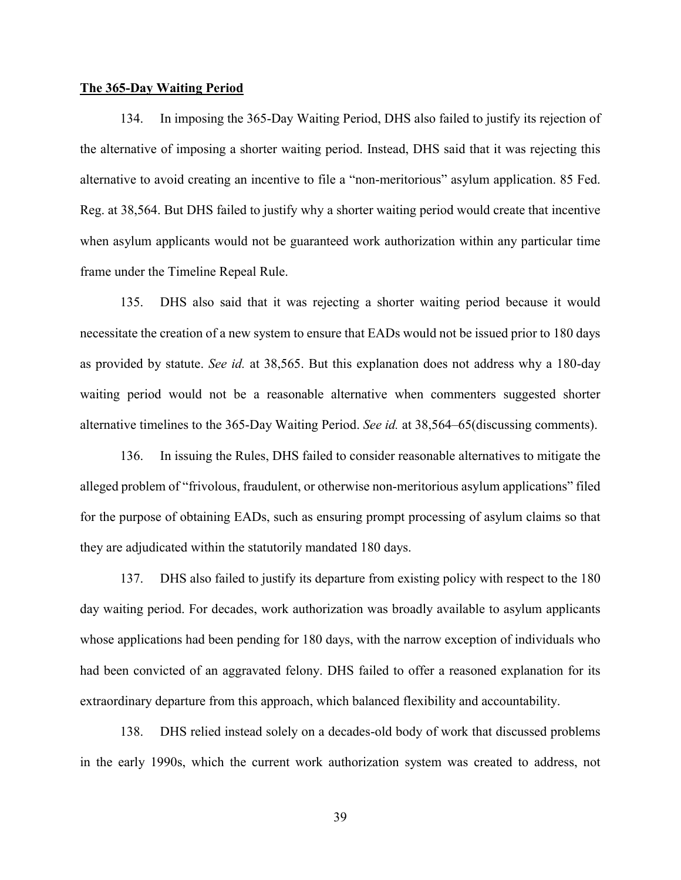#### **The 365-Day Waiting Period**

134. In imposing the 365-Day Waiting Period, DHS also failed to justify its rejection of the alternative of imposing a shorter waiting period. Instead, DHS said that it was rejecting this alternative to avoid creating an incentive to file a "non-meritorious" asylum application. 85 Fed. Reg. at 38,564. But DHS failed to justify why a shorter waiting period would create that incentive when asylum applicants would not be guaranteed work authorization within any particular time frame under the Timeline Repeal Rule.

135. DHS also said that it was rejecting a shorter waiting period because it would necessitate the creation of a new system to ensure that EADs would not be issued prior to 180 days as provided by statute. *See id.* at 38,565. But this explanation does not address why a 180-day waiting period would not be a reasonable alternative when commenters suggested shorter alternative timelines to the 365-Day Waiting Period. *See id.* at 38,564–65(discussing comments).

136. In issuing the Rules, DHS failed to consider reasonable alternatives to mitigate the alleged problem of "frivolous, fraudulent, or otherwise non-meritorious asylum applications" filed for the purpose of obtaining EADs, such as ensuring prompt processing of asylum claims so that they are adjudicated within the statutorily mandated 180 days.

137. DHS also failed to justify its departure from existing policy with respect to the 180 day waiting period. For decades, work authorization was broadly available to asylum applicants whose applications had been pending for 180 days, with the narrow exception of individuals who had been convicted of an aggravated felony. DHS failed to offer a reasoned explanation for its extraordinary departure from this approach, which balanced flexibility and accountability.

138. DHS relied instead solely on a decades-old body of work that discussed problems in the early 1990s, which the current work authorization system was created to address, not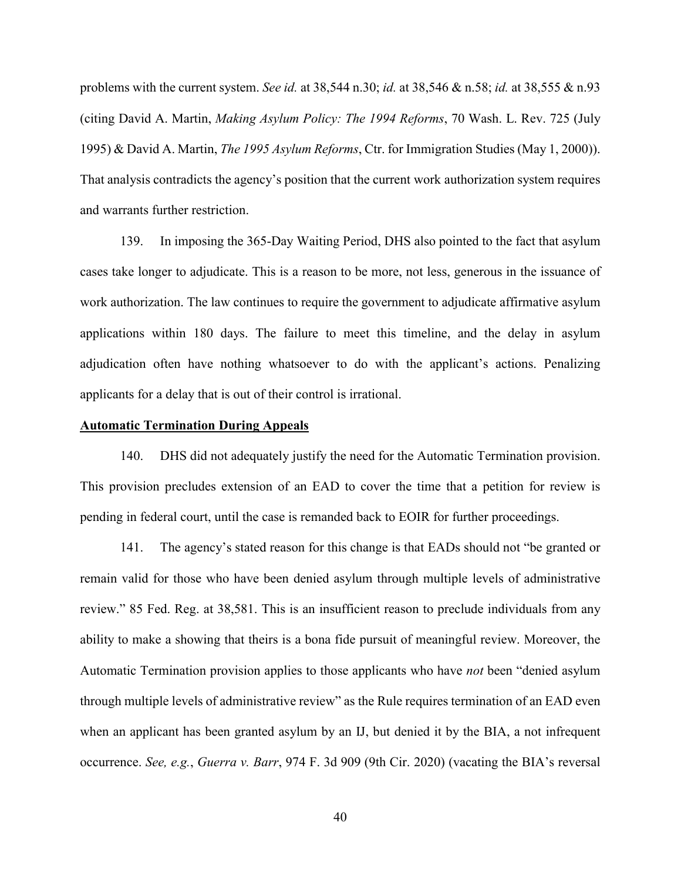problems with the current system. *See id.* at 38,544 n.30; *id.* at 38,546 & n.58; *id.* at 38,555 & n.93 (citing David A. Martin, *Making Asylum Policy: The 1994 Reforms*, 70 Wash. L. Rev. 725 (July 1995) & David A. Martin, *The 1995 Asylum Reforms*, Ctr. for Immigration Studies (May 1, 2000)). That analysis contradicts the agency's position that the current work authorization system requires and warrants further restriction.

139. In imposing the 365-Day Waiting Period, DHS also pointed to the fact that asylum cases take longer to adjudicate. This is a reason to be more, not less, generous in the issuance of work authorization. The law continues to require the government to adjudicate affirmative asylum applications within 180 days. The failure to meet this timeline, and the delay in asylum adjudication often have nothing whatsoever to do with the applicant's actions. Penalizing applicants for a delay that is out of their control is irrational.

### **Automatic Termination During Appeals**

140. DHS did not adequately justify the need for the Automatic Termination provision. This provision precludes extension of an EAD to cover the time that a petition for review is pending in federal court, until the case is remanded back to EOIR for further proceedings.

141. The agency's stated reason for this change is that EADs should not "be granted or remain valid for those who have been denied asylum through multiple levels of administrative review." 85 Fed. Reg. at 38,581. This is an insufficient reason to preclude individuals from any ability to make a showing that theirs is a bona fide pursuit of meaningful review. Moreover, the Automatic Termination provision applies to those applicants who have *not* been "denied asylum through multiple levels of administrative review" as the Rule requires termination of an EAD even when an applicant has been granted asylum by an IJ, but denied it by the BIA, a not infrequent occurrence. *See, e.g.*, *Guerra v. Barr*, 974 F. 3d 909 (9th Cir. 2020) (vacating the BIA's reversal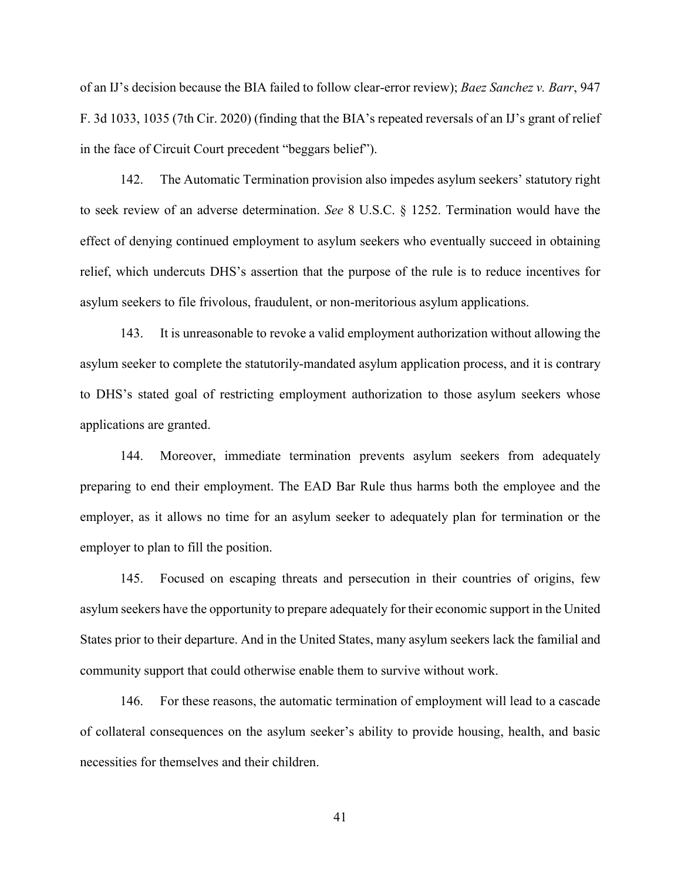of an IJ's decision because the BIA failed to follow clear-error review); *Baez Sanchez v. Barr*, 947 F. 3d 1033, 1035 (7th Cir. 2020) (finding that the BIA's repeated reversals of an IJ's grant of relief in the face of Circuit Court precedent "beggars belief").

142. The Automatic Termination provision also impedes asylum seekers' statutory right to seek review of an adverse determination. *See* 8 U.S.C. § 1252. Termination would have the effect of denying continued employment to asylum seekers who eventually succeed in obtaining relief, which undercuts DHS's assertion that the purpose of the rule is to reduce incentives for asylum seekers to file frivolous, fraudulent, or non-meritorious asylum applications.

143. It is unreasonable to revoke a valid employment authorization without allowing the asylum seeker to complete the statutorily-mandated asylum application process, and it is contrary to DHS's stated goal of restricting employment authorization to those asylum seekers whose applications are granted.

144. Moreover, immediate termination prevents asylum seekers from adequately preparing to end their employment. The EAD Bar Rule thus harms both the employee and the employer, as it allows no time for an asylum seeker to adequately plan for termination or the employer to plan to fill the position.

145. Focused on escaping threats and persecution in their countries of origins, few asylum seekers have the opportunity to prepare adequately for their economic support in the United States prior to their departure. And in the United States, many asylum seekers lack the familial and community support that could otherwise enable them to survive without work.

146. For these reasons, the automatic termination of employment will lead to a cascade of collateral consequences on the asylum seeker's ability to provide housing, health, and basic necessities for themselves and their children.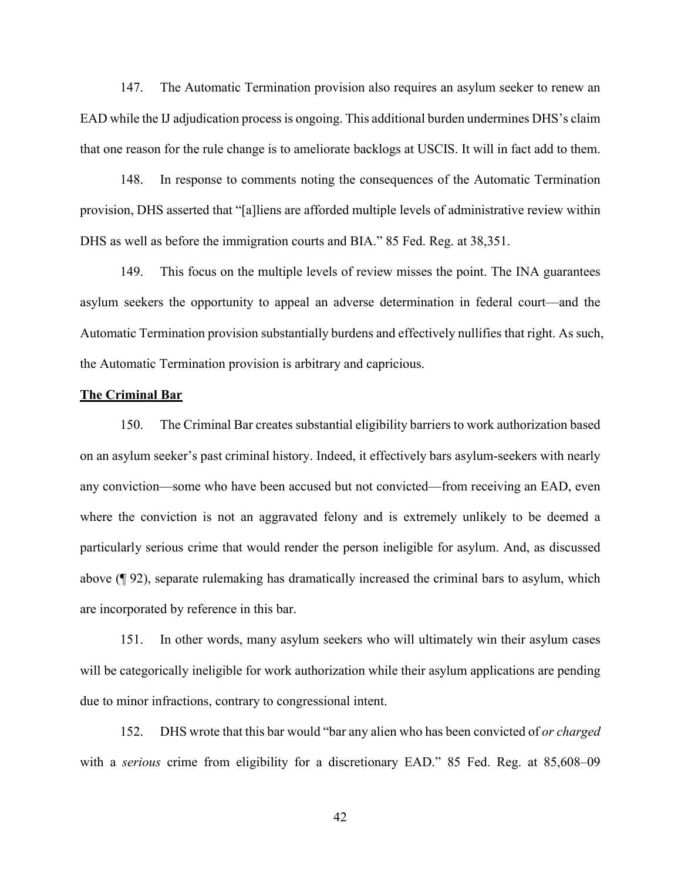147. The Automatic Termination provision also requires an asylum seeker to renew an EAD while the IJ adjudication process is ongoing. This additional burden undermines DHS's claim that one reason for the rule change is to ameliorate backlogs at USCIS. It will in fact add to them.

148. In response to comments noting the consequences of the Automatic Termination provision, DHS asserted that "[a]liens are afforded multiple levels of administrative review within DHS as well as before the immigration courts and BIA." 85 Fed. Reg. at 38,351.

149. This focus on the multiple levels of review misses the point. The INA guarantees asylum seekers the opportunity to appeal an adverse determination in federal court—and the Automatic Termination provision substantially burdens and effectively nullifies that right. As such, the Automatic Termination provision is arbitrary and capricious.

# **The Criminal Bar**

150. The Criminal Bar creates substantial eligibility barriers to work authorization based on an asylum seeker's past criminal history. Indeed, it effectively bars asylum-seekers with nearly any conviction—some who have been accused but not convicted—from receiving an EAD, even where the conviction is not an aggravated felony and is extremely unlikely to be deemed a particularly serious crime that would render the person ineligible for asylum. And, as discussed above (¶ 92), separate rulemaking has dramatically increased the criminal bars to asylum, which are incorporated by reference in this bar.

151. In other words, many asylum seekers who will ultimately win their asylum cases will be categorically ineligible for work authorization while their asylum applications are pending due to minor infractions, contrary to congressional intent.

152. DHS wrote that this bar would "bar any alien who has been convicted of *or charged* with a *serious* crime from eligibility for a discretionary EAD." 85 Fed. Reg. at 85,608–09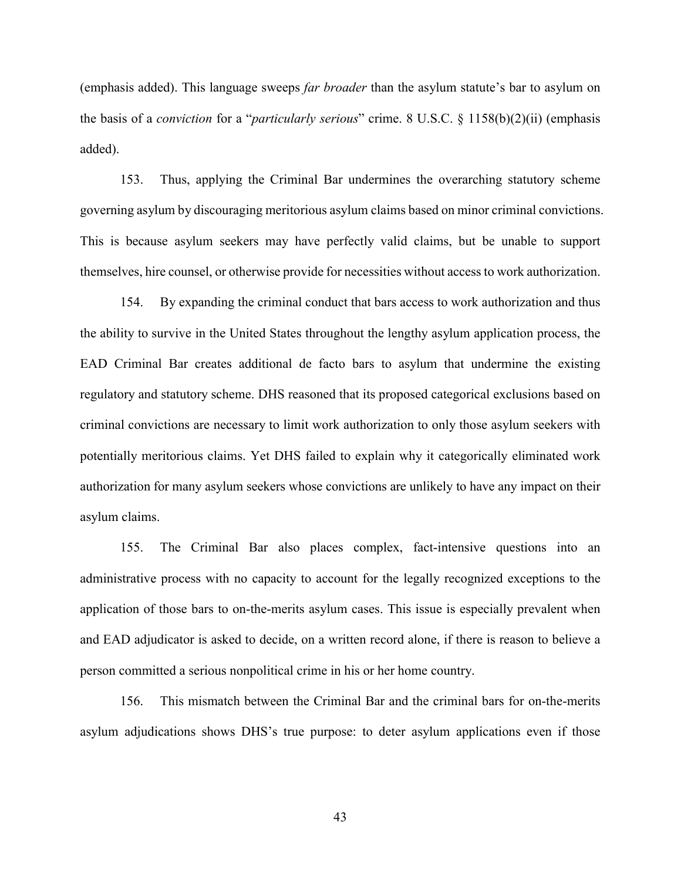(emphasis added). This language sweeps *far broader* than the asylum statute's bar to asylum on the basis of a *conviction* for a "*particularly serious*" crime. 8 U.S.C. § 1158(b)(2)(ii) (emphasis added).

153. Thus, applying the Criminal Bar undermines the overarching statutory scheme governing asylum by discouraging meritorious asylum claims based on minor criminal convictions. This is because asylum seekers may have perfectly valid claims, but be unable to support themselves, hire counsel, or otherwise provide for necessities without access to work authorization.

154. By expanding the criminal conduct that bars access to work authorization and thus the ability to survive in the United States throughout the lengthy asylum application process, the EAD Criminal Bar creates additional de facto bars to asylum that undermine the existing regulatory and statutory scheme. DHS reasoned that its proposed categorical exclusions based on criminal convictions are necessary to limit work authorization to only those asylum seekers with potentially meritorious claims. Yet DHS failed to explain why it categorically eliminated work authorization for many asylum seekers whose convictions are unlikely to have any impact on their asylum claims.

155. The Criminal Bar also places complex, fact-intensive questions into an administrative process with no capacity to account for the legally recognized exceptions to the application of those bars to on-the-merits asylum cases. This issue is especially prevalent when and EAD adjudicator is asked to decide, on a written record alone, if there is reason to believe a person committed a serious nonpolitical crime in his or her home country.

156. This mismatch between the Criminal Bar and the criminal bars for on-the-merits asylum adjudications shows DHS's true purpose: to deter asylum applications even if those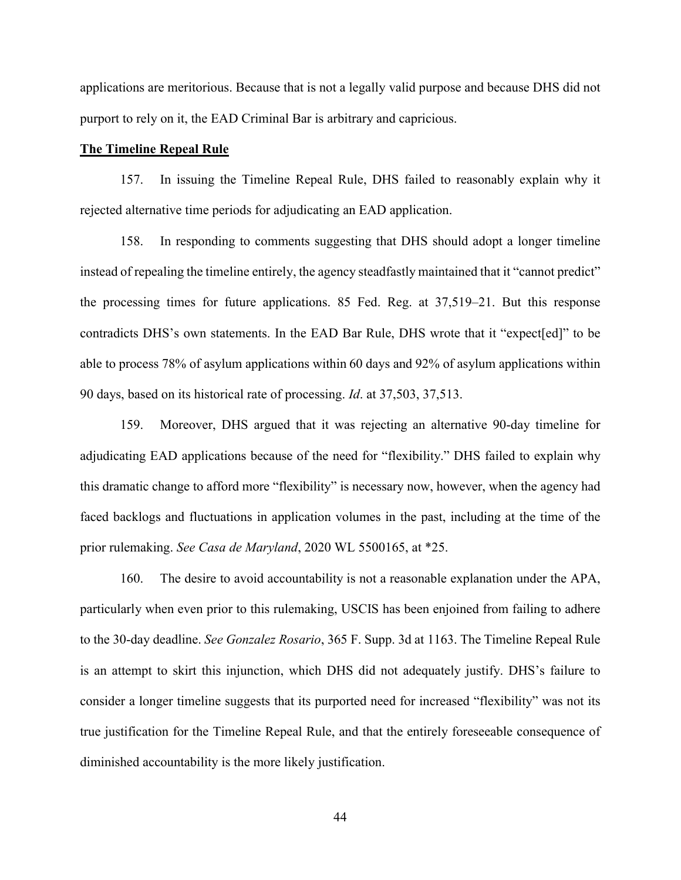applications are meritorious. Because that is not a legally valid purpose and because DHS did not purport to rely on it, the EAD Criminal Bar is arbitrary and capricious.

### **The Timeline Repeal Rule**

157. In issuing the Timeline Repeal Rule, DHS failed to reasonably explain why it rejected alternative time periods for adjudicating an EAD application.

158. In responding to comments suggesting that DHS should adopt a longer timeline instead of repealing the timeline entirely, the agency steadfastly maintained that it "cannot predict" the processing times for future applications. 85 Fed. Reg. at 37,519–21. But this response contradicts DHS's own statements. In the EAD Bar Rule, DHS wrote that it "expect[ed]" to be able to process 78% of asylum applications within 60 days and 92% of asylum applications within 90 days, based on its historical rate of processing. *Id*. at 37,503, 37,513.

159. Moreover, DHS argued that it was rejecting an alternative 90-day timeline for adjudicating EAD applications because of the need for "flexibility." DHS failed to explain why this dramatic change to afford more "flexibility" is necessary now, however, when the agency had faced backlogs and fluctuations in application volumes in the past, including at the time of the prior rulemaking. *See Casa de Maryland*, 2020 WL 5500165, at \*25.

160. The desire to avoid accountability is not a reasonable explanation under the APA, particularly when even prior to this rulemaking, USCIS has been enjoined from failing to adhere to the 30-day deadline. *See Gonzalez Rosario*, 365 F. Supp. 3d at 1163. The Timeline Repeal Rule is an attempt to skirt this injunction, which DHS did not adequately justify. DHS's failure to consider a longer timeline suggests that its purported need for increased "flexibility" was not its true justification for the Timeline Repeal Rule, and that the entirely foreseeable consequence of diminished accountability is the more likely justification.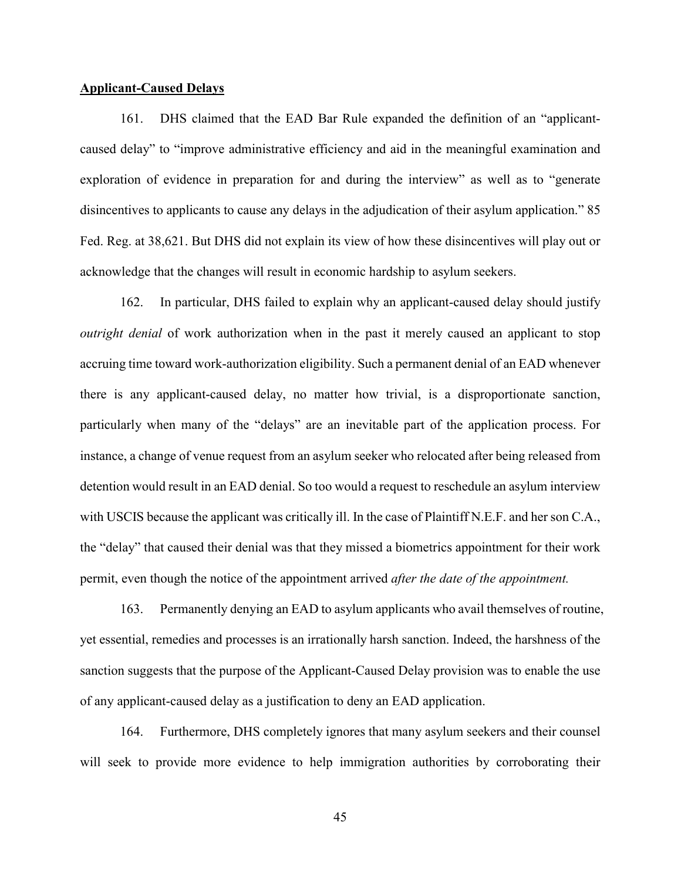# **Applicant-Caused Delays**

161. DHS claimed that the EAD Bar Rule expanded the definition of an "applicantcaused delay" to "improve administrative efficiency and aid in the meaningful examination and exploration of evidence in preparation for and during the interview" as well as to "generate disincentives to applicants to cause any delays in the adjudication of their asylum application." 85 Fed. Reg. at 38,621. But DHS did not explain its view of how these disincentives will play out or acknowledge that the changes will result in economic hardship to asylum seekers.

162. In particular, DHS failed to explain why an applicant-caused delay should justify *outright denial* of work authorization when in the past it merely caused an applicant to stop accruing time toward work-authorization eligibility. Such a permanent denial of an EAD whenever there is any applicant-caused delay, no matter how trivial, is a disproportionate sanction, particularly when many of the "delays" are an inevitable part of the application process. For instance, a change of venue request from an asylum seeker who relocated after being released from detention would result in an EAD denial. So too would a request to reschedule an asylum interview with USCIS because the applicant was critically ill. In the case of Plaintiff N.E.F. and her son C.A., the "delay" that caused their denial was that they missed a biometrics appointment for their work permit, even though the notice of the appointment arrived *after the date of the appointment.*

163. Permanently denying an EAD to asylum applicants who avail themselves of routine, yet essential, remedies and processes is an irrationally harsh sanction. Indeed, the harshness of the sanction suggests that the purpose of the Applicant-Caused Delay provision was to enable the use of any applicant-caused delay as a justification to deny an EAD application.

164. Furthermore, DHS completely ignores that many asylum seekers and their counsel will seek to provide more evidence to help immigration authorities by corroborating their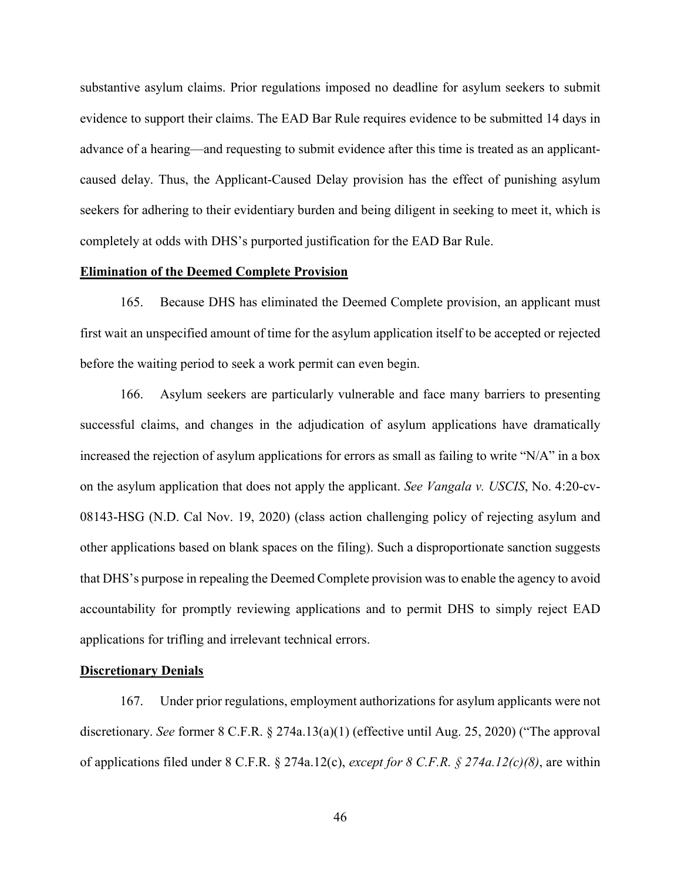substantive asylum claims. Prior regulations imposed no deadline for asylum seekers to submit evidence to support their claims. The EAD Bar Rule requires evidence to be submitted 14 days in advance of a hearing—and requesting to submit evidence after this time is treated as an applicantcaused delay. Thus, the Applicant-Caused Delay provision has the effect of punishing asylum seekers for adhering to their evidentiary burden and being diligent in seeking to meet it, which is completely at odds with DHS's purported justification for the EAD Bar Rule.

# **Elimination of the Deemed Complete Provision**

165. Because DHS has eliminated the Deemed Complete provision, an applicant must first wait an unspecified amount of time for the asylum application itself to be accepted or rejected before the waiting period to seek a work permit can even begin.

166. Asylum seekers are particularly vulnerable and face many barriers to presenting successful claims, and changes in the adjudication of asylum applications have dramatically increased the rejection of asylum applications for errors as small as failing to write "N/A" in a box on the asylum application that does not apply the applicant. *See Vangala v. USCIS*, No. 4:20-cv-08143-HSG (N.D. Cal Nov. 19, 2020) (class action challenging policy of rejecting asylum and other applications based on blank spaces on the filing). Such a disproportionate sanction suggests that DHS's purpose in repealing the Deemed Complete provision was to enable the agency to avoid accountability for promptly reviewing applications and to permit DHS to simply reject EAD applications for trifling and irrelevant technical errors.

### **Discretionary Denials**

167. Under prior regulations, employment authorizations for asylum applicants were not discretionary. *See* former 8 C.F.R. § 274a.13(a)(1) (effective until Aug. 25, 2020) ("The approval of applications filed under 8 C.F.R. § 274a.12(c), *except for 8 C.F.R. § 274a.12(c)(8)*, are within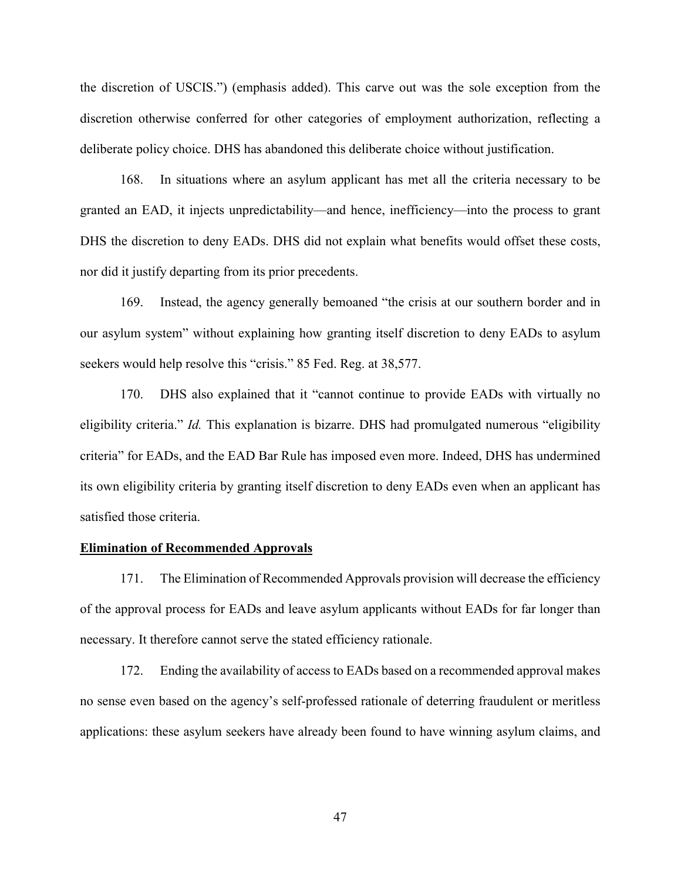the discretion of USCIS.") (emphasis added). This carve out was the sole exception from the discretion otherwise conferred for other categories of employment authorization, reflecting a deliberate policy choice. DHS has abandoned this deliberate choice without justification.

168. In situations where an asylum applicant has met all the criteria necessary to be granted an EAD, it injects unpredictability—and hence, inefficiency—into the process to grant DHS the discretion to deny EADs. DHS did not explain what benefits would offset these costs, nor did it justify departing from its prior precedents.

169. Instead, the agency generally bemoaned "the crisis at our southern border and in our asylum system" without explaining how granting itself discretion to deny EADs to asylum seekers would help resolve this "crisis." 85 Fed. Reg. at 38,577.

170. DHS also explained that it "cannot continue to provide EADs with virtually no eligibility criteria." *Id.* This explanation is bizarre. DHS had promulgated numerous "eligibility criteria" for EADs, and the EAD Bar Rule has imposed even more. Indeed, DHS has undermined its own eligibility criteria by granting itself discretion to deny EADs even when an applicant has satisfied those criteria.

### **Elimination of Recommended Approvals**

171. The Elimination of Recommended Approvals provision will decrease the efficiency of the approval process for EADs and leave asylum applicants without EADs for far longer than necessary. It therefore cannot serve the stated efficiency rationale.

172. Ending the availability of access to EADs based on a recommended approval makes no sense even based on the agency's self-professed rationale of deterring fraudulent or meritless applications: these asylum seekers have already been found to have winning asylum claims, and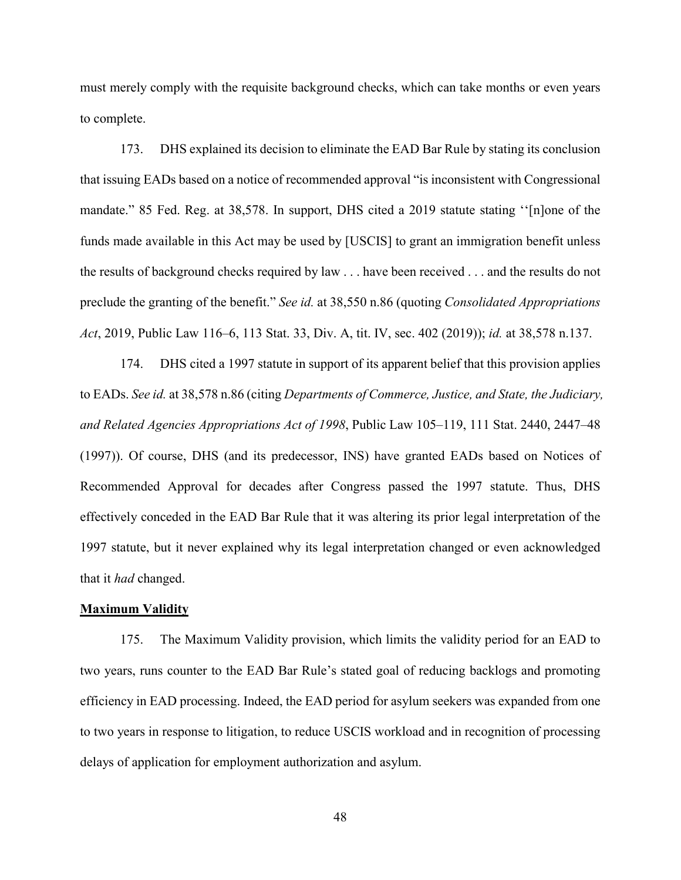must merely comply with the requisite background checks, which can take months or even years to complete.

173. DHS explained its decision to eliminate the EAD Bar Rule by stating its conclusion that issuing EADs based on a notice of recommended approval "is inconsistent with Congressional mandate." 85 Fed. Reg. at 38,578. In support, DHS cited a 2019 statute stating ''[n]one of the funds made available in this Act may be used by [USCIS] to grant an immigration benefit unless the results of background checks required by law . . . have been received . . . and the results do not preclude the granting of the benefit." *See id.* at 38,550 n.86 (quoting *Consolidated Appropriations Act*, 2019, Public Law 116–6, 113 Stat. 33, Div. A, tit. IV, sec. 402 (2019)); *id.* at 38,578 n.137.

174. DHS cited a 1997 statute in support of its apparent belief that this provision applies to EADs. *See id.* at 38,578 n.86 (citing *Departments of Commerce, Justice, and State, the Judiciary, and Related Agencies Appropriations Act of 1998*, Public Law 105–119, 111 Stat. 2440, 2447–48 (1997)). Of course, DHS (and its predecessor, INS) have granted EADs based on Notices of Recommended Approval for decades after Congress passed the 1997 statute. Thus, DHS effectively conceded in the EAD Bar Rule that it was altering its prior legal interpretation of the 1997 statute, but it never explained why its legal interpretation changed or even acknowledged that it *had* changed.

# **Maximum Validity**

175. The Maximum Validity provision, which limits the validity period for an EAD to two years, runs counter to the EAD Bar Rule's stated goal of reducing backlogs and promoting efficiency in EAD processing. Indeed, the EAD period for asylum seekers was expanded from one to two years in response to litigation, to reduce USCIS workload and in recognition of processing delays of application for employment authorization and asylum.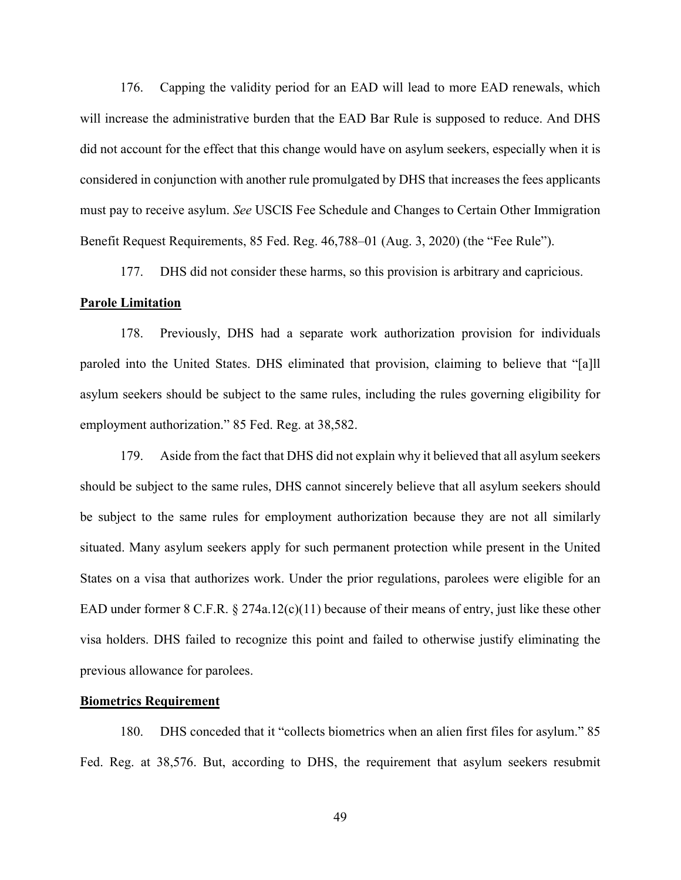176. Capping the validity period for an EAD will lead to more EAD renewals, which will increase the administrative burden that the EAD Bar Rule is supposed to reduce. And DHS did not account for the effect that this change would have on asylum seekers, especially when it is considered in conjunction with another rule promulgated by DHS that increases the fees applicants must pay to receive asylum. *See* USCIS Fee Schedule and Changes to Certain Other Immigration Benefit Request Requirements, 85 Fed. Reg. 46,788–01 (Aug. 3, 2020) (the "Fee Rule").

177. DHS did not consider these harms, so this provision is arbitrary and capricious.

#### **Parole Limitation**

178. Previously, DHS had a separate work authorization provision for individuals paroled into the United States. DHS eliminated that provision, claiming to believe that "[a]ll asylum seekers should be subject to the same rules, including the rules governing eligibility for employment authorization." 85 Fed. Reg. at 38,582.

179. Aside from the fact that DHS did not explain why it believed that all asylum seekers should be subject to the same rules, DHS cannot sincerely believe that all asylum seekers should be subject to the same rules for employment authorization because they are not all similarly situated. Many asylum seekers apply for such permanent protection while present in the United States on a visa that authorizes work. Under the prior regulations, parolees were eligible for an EAD under former 8 C.F.R. § 274a.12(c)(11) because of their means of entry, just like these other visa holders. DHS failed to recognize this point and failed to otherwise justify eliminating the previous allowance for parolees.

# **Biometrics Requirement**

180. DHS conceded that it "collects biometrics when an alien first files for asylum." 85 Fed. Reg. at 38,576. But, according to DHS, the requirement that asylum seekers resubmit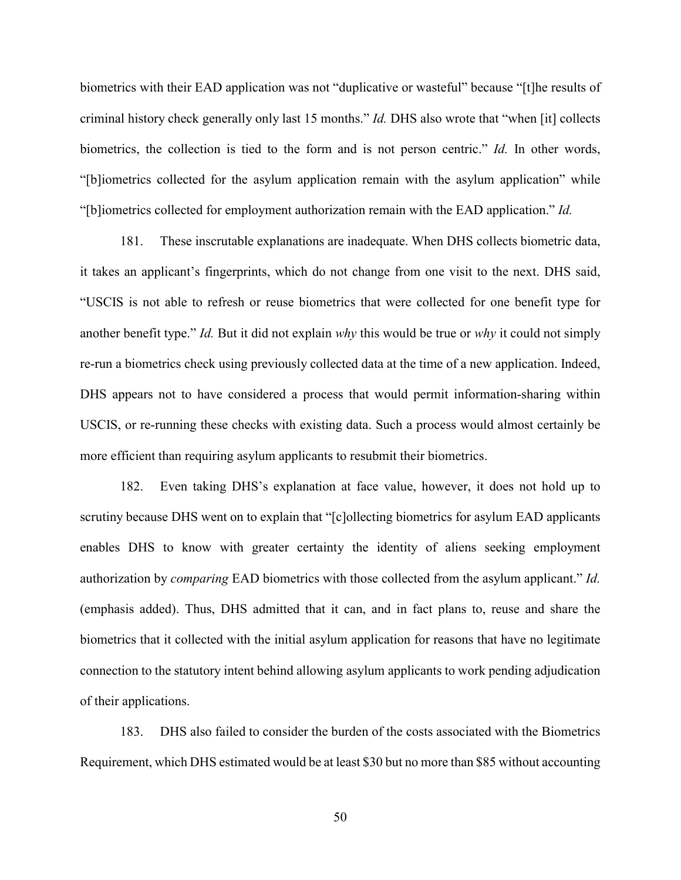biometrics with their EAD application was not "duplicative or wasteful" because "[t]he results of criminal history check generally only last 15 months." *Id.* DHS also wrote that "when [it] collects biometrics, the collection is tied to the form and is not person centric." *Id.* In other words, "[b]iometrics collected for the asylum application remain with the asylum application" while "[b]iometrics collected for employment authorization remain with the EAD application." *Id.*

181. These inscrutable explanations are inadequate. When DHS collects biometric data, it takes an applicant's fingerprints, which do not change from one visit to the next. DHS said, "USCIS is not able to refresh or reuse biometrics that were collected for one benefit type for another benefit type." *Id.* But it did not explain *why* this would be true or *why* it could not simply re-run a biometrics check using previously collected data at the time of a new application. Indeed, DHS appears not to have considered a process that would permit information-sharing within USCIS, or re-running these checks with existing data. Such a process would almost certainly be more efficient than requiring asylum applicants to resubmit their biometrics.

182. Even taking DHS's explanation at face value, however, it does not hold up to scrutiny because DHS went on to explain that "[c]ollecting biometrics for asylum EAD applicants enables DHS to know with greater certainty the identity of aliens seeking employment authorization by *comparing* EAD biometrics with those collected from the asylum applicant." *Id.* (emphasis added). Thus, DHS admitted that it can, and in fact plans to, reuse and share the biometrics that it collected with the initial asylum application for reasons that have no legitimate connection to the statutory intent behind allowing asylum applicants to work pending adjudication of their applications.

183. DHS also failed to consider the burden of the costs associated with the Biometrics Requirement, which DHS estimated would be at least \$30 but no more than \$85 without accounting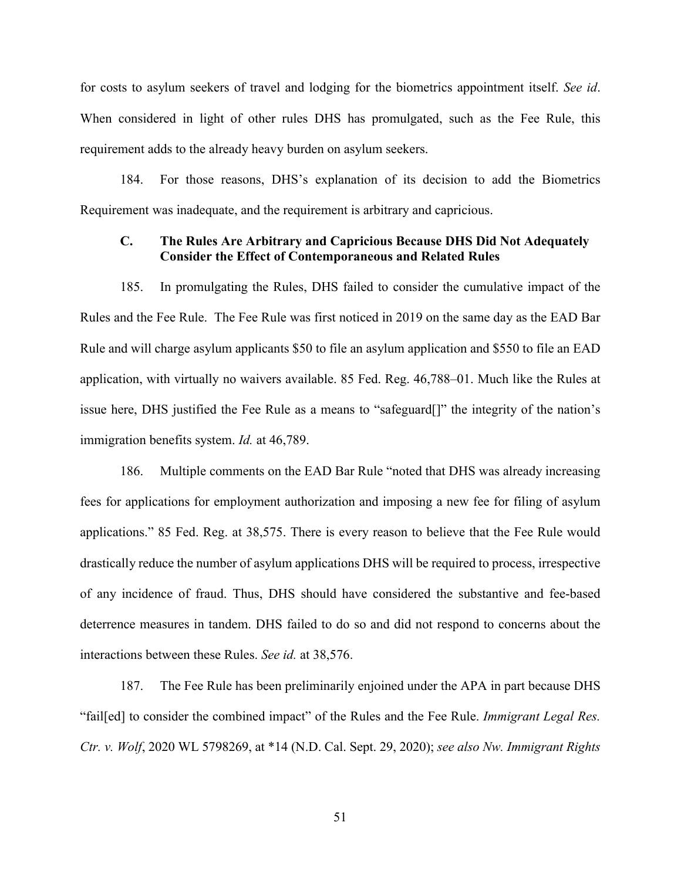for costs to asylum seekers of travel and lodging for the biometrics appointment itself. *See id*. When considered in light of other rules DHS has promulgated, such as the Fee Rule, this requirement adds to the already heavy burden on asylum seekers.

184. For those reasons, DHS's explanation of its decision to add the Biometrics Requirement was inadequate, and the requirement is arbitrary and capricious.

# **C. The Rules Are Arbitrary and Capricious Because DHS Did Not Adequately Consider the Effect of Contemporaneous and Related Rules**

185. In promulgating the Rules, DHS failed to consider the cumulative impact of the Rules and the Fee Rule. The Fee Rule was first noticed in 2019 on the same day as the EAD Bar Rule and will charge asylum applicants \$50 to file an asylum application and \$550 to file an EAD application, with virtually no waivers available. 85 Fed. Reg. 46,788–01. Much like the Rules at issue here, DHS justified the Fee Rule as a means to "safeguard[]" the integrity of the nation's immigration benefits system. *Id.* at 46,789.

186. Multiple comments on the EAD Bar Rule "noted that DHS was already increasing fees for applications for employment authorization and imposing a new fee for filing of asylum applications." 85 Fed. Reg. at 38,575. There is every reason to believe that the Fee Rule would drastically reduce the number of asylum applications DHS will be required to process, irrespective of any incidence of fraud. Thus, DHS should have considered the substantive and fee-based deterrence measures in tandem. DHS failed to do so and did not respond to concerns about the interactions between these Rules. *See id.* at 38,576.

187. The Fee Rule has been preliminarily enjoined under the APA in part because DHS "fail[ed] to consider the combined impact" of the Rules and the Fee Rule. *Immigrant Legal Res. Ctr. v. Wolf*, 2020 WL 5798269, at \*14 (N.D. Cal. Sept. 29, 2020); *see also Nw. Immigrant Rights*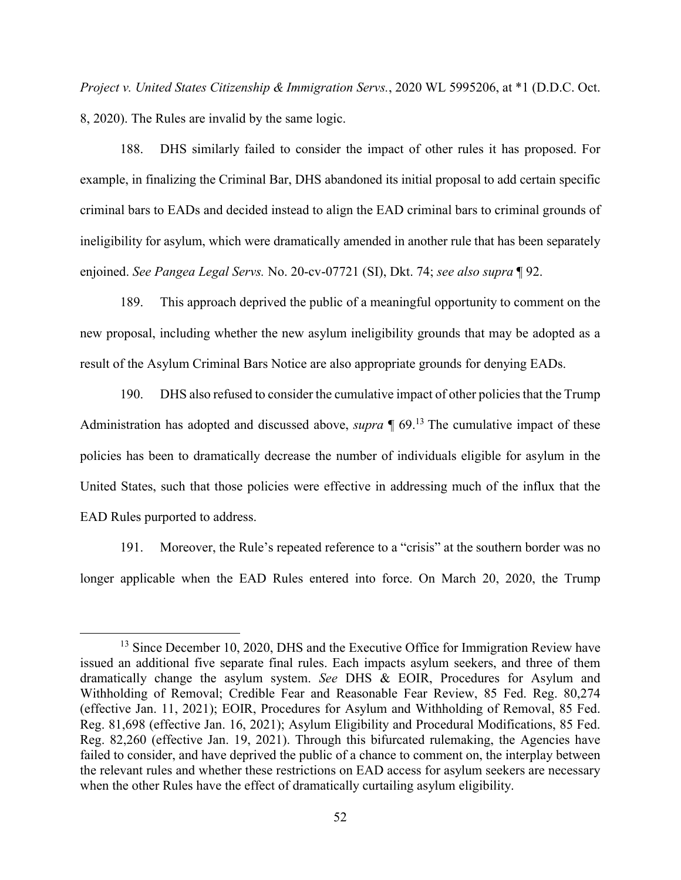*Project v. United States Citizenship & Immigration Servs.*, 2020 WL 5995206, at \*1 (D.D.C. Oct. 8, 2020). The Rules are invalid by the same logic.

188. DHS similarly failed to consider the impact of other rules it has proposed. For example, in finalizing the Criminal Bar, DHS abandoned its initial proposal to add certain specific criminal bars to EADs and decided instead to align the EAD criminal bars to criminal grounds of ineligibility for asylum, which were dramatically amended in another rule that has been separately enjoined. *See Pangea Legal Servs.* No. 20-cv-07721 (SI), Dkt. 74; *see also supra* ¶ 92.

189. This approach deprived the public of a meaningful opportunity to comment on the new proposal, including whether the new asylum ineligibility grounds that may be adopted as a result of the Asylum Criminal Bars Notice are also appropriate grounds for denying EADs.

190. DHS also refused to consider the cumulative impact of other policies that the Trump Administration has adopted and discussed above, *supra* ¶ 69. <sup>13</sup> The cumulative impact of these policies has been to dramatically decrease the number of individuals eligible for asylum in the United States, such that those policies were effective in addressing much of the influx that the EAD Rules purported to address.

191. Moreover, the Rule's repeated reference to a "crisis" at the southern border was no longer applicable when the EAD Rules entered into force. On March 20, 2020, the Trump

 $\overline{a}$ 

<sup>&</sup>lt;sup>13</sup> Since December 10, 2020, DHS and the Executive Office for Immigration Review have issued an additional five separate final rules. Each impacts asylum seekers, and three of them dramatically change the asylum system. *See* DHS & EOIR, Procedures for Asylum and Withholding of Removal; Credible Fear and Reasonable Fear Review, 85 Fed. Reg. 80,274 (effective Jan. 11, 2021); EOIR, Procedures for Asylum and Withholding of Removal, 85 Fed. Reg. 81,698 (effective Jan. 16, 2021); Asylum Eligibility and Procedural Modifications, 85 Fed. Reg. 82,260 (effective Jan. 19, 2021). Through this bifurcated rulemaking, the Agencies have failed to consider, and have deprived the public of a chance to comment on, the interplay between the relevant rules and whether these restrictions on EAD access for asylum seekers are necessary when the other Rules have the effect of dramatically curtailing asylum eligibility.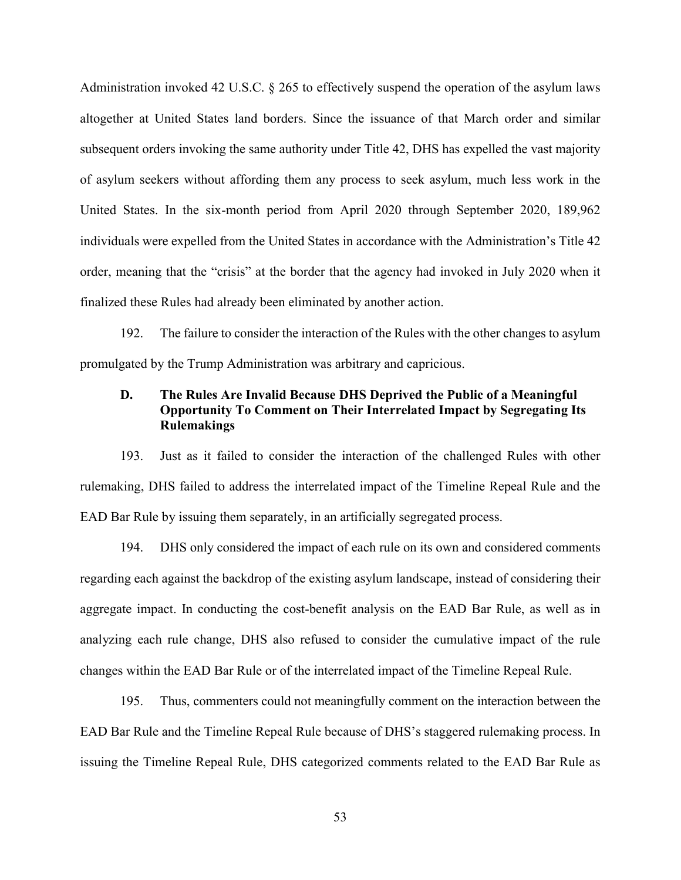Administration invoked 42 U.S.C. § 265 to effectively suspend the operation of the asylum laws altogether at United States land borders. Since the issuance of that March order and similar subsequent orders invoking the same authority under Title 42, DHS has expelled the vast majority of asylum seekers without affording them any process to seek asylum, much less work in the United States. In the six-month period from April 2020 through September 2020, 189,962 individuals were expelled from the United States in accordance with the Administration's Title 42 order, meaning that the "crisis" at the border that the agency had invoked in July 2020 when it finalized these Rules had already been eliminated by another action.

192. The failure to consider the interaction of the Rules with the other changes to asylum promulgated by the Trump Administration was arbitrary and capricious.

# **D. The Rules Are Invalid Because DHS Deprived the Public of a Meaningful Opportunity To Comment on Their Interrelated Impact by Segregating Its Rulemakings**

193. Just as it failed to consider the interaction of the challenged Rules with other rulemaking, DHS failed to address the interrelated impact of the Timeline Repeal Rule and the EAD Bar Rule by issuing them separately, in an artificially segregated process.

194. DHS only considered the impact of each rule on its own and considered comments regarding each against the backdrop of the existing asylum landscape, instead of considering their aggregate impact. In conducting the cost-benefit analysis on the EAD Bar Rule, as well as in analyzing each rule change, DHS also refused to consider the cumulative impact of the rule changes within the EAD Bar Rule or of the interrelated impact of the Timeline Repeal Rule.

195. Thus, commenters could not meaningfully comment on the interaction between the EAD Bar Rule and the Timeline Repeal Rule because of DHS's staggered rulemaking process. In issuing the Timeline Repeal Rule, DHS categorized comments related to the EAD Bar Rule as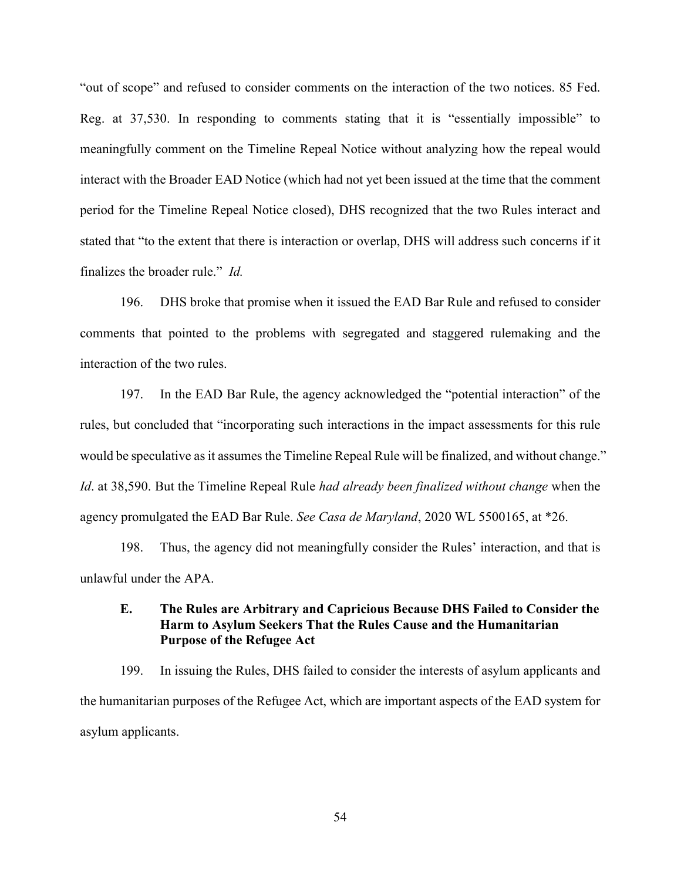"out of scope" and refused to consider comments on the interaction of the two notices. 85 Fed. Reg. at 37,530. In responding to comments stating that it is "essentially impossible" to meaningfully comment on the Timeline Repeal Notice without analyzing how the repeal would interact with the Broader EAD Notice (which had not yet been issued at the time that the comment period for the Timeline Repeal Notice closed), DHS recognized that the two Rules interact and stated that "to the extent that there is interaction or overlap, DHS will address such concerns if it finalizes the broader rule." *Id.*

196. DHS broke that promise when it issued the EAD Bar Rule and refused to consider comments that pointed to the problems with segregated and staggered rulemaking and the interaction of the two rules.

197. In the EAD Bar Rule, the agency acknowledged the "potential interaction" of the rules, but concluded that "incorporating such interactions in the impact assessments for this rule would be speculative as it assumes the Timeline Repeal Rule will be finalized, and without change." *Id*. at 38,590. But the Timeline Repeal Rule *had already been finalized without change* when the agency promulgated the EAD Bar Rule. *See Casa de Maryland*, 2020 WL 5500165, at \*26.

198. Thus, the agency did not meaningfully consider the Rules' interaction, and that is unlawful under the APA.

# **E. The Rules are Arbitrary and Capricious Because DHS Failed to Consider the Harm to Asylum Seekers That the Rules Cause and the Humanitarian Purpose of the Refugee Act**

199. In issuing the Rules, DHS failed to consider the interests of asylum applicants and the humanitarian purposes of the Refugee Act, which are important aspects of the EAD system for asylum applicants.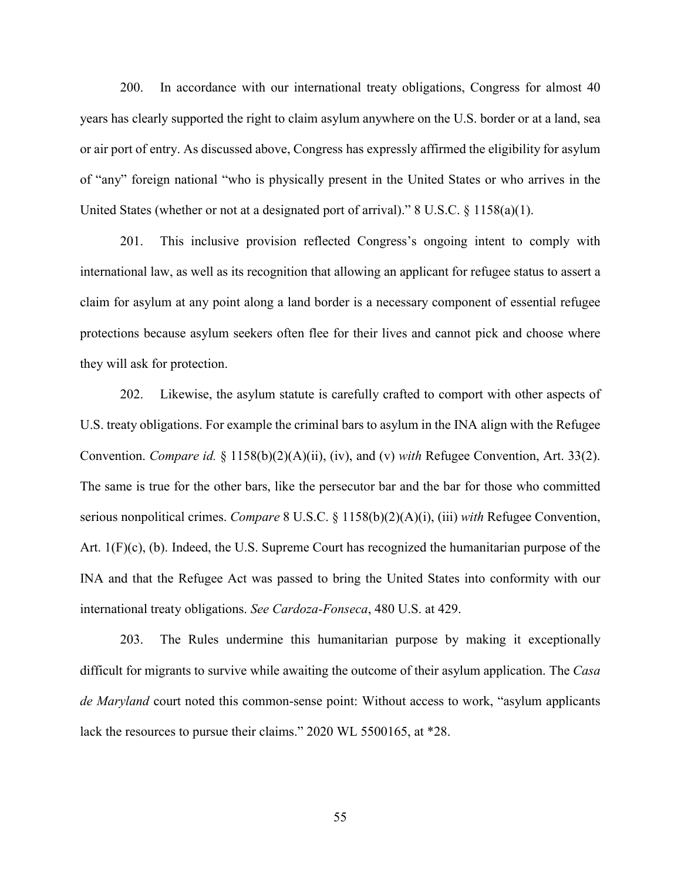200. In accordance with our international treaty obligations, Congress for almost 40 years has clearly supported the right to claim asylum anywhere on the U.S. border or at a land, sea or air port of entry. As discussed above, Congress has expressly affirmed the eligibility for asylum of "any" foreign national "who is physically present in the United States or who arrives in the United States (whether or not at a designated port of arrival)." 8 U.S.C. § 1158(a)(1).

201. This inclusive provision reflected Congress's ongoing intent to comply with international law, as well as its recognition that allowing an applicant for refugee status to assert a claim for asylum at any point along a land border is a necessary component of essential refugee protections because asylum seekers often flee for their lives and cannot pick and choose where they will ask for protection.

202. Likewise, the asylum statute is carefully crafted to comport with other aspects of U.S. treaty obligations. For example the criminal bars to asylum in the INA align with the Refugee Convention. *Compare id.* § 1158(b)(2)(A)(ii), (iv), and (v) *with* Refugee Convention, Art. 33(2). The same is true for the other bars, like the persecutor bar and the bar for those who committed serious nonpolitical crimes. *Compare* 8 U.S.C. § 1158(b)(2)(A)(i), (iii) *with* Refugee Convention, Art. 1(F)(c), (b). Indeed, the U.S. Supreme Court has recognized the humanitarian purpose of the INA and that the Refugee Act was passed to bring the United States into conformity with our international treaty obligations. *See Cardoza-Fonseca*, 480 U.S. at 429.

203. The Rules undermine this humanitarian purpose by making it exceptionally difficult for migrants to survive while awaiting the outcome of their asylum application. The *Casa de Maryland* court noted this common-sense point: Without access to work, "asylum applicants lack the resources to pursue their claims." 2020 WL 5500165, at \*28.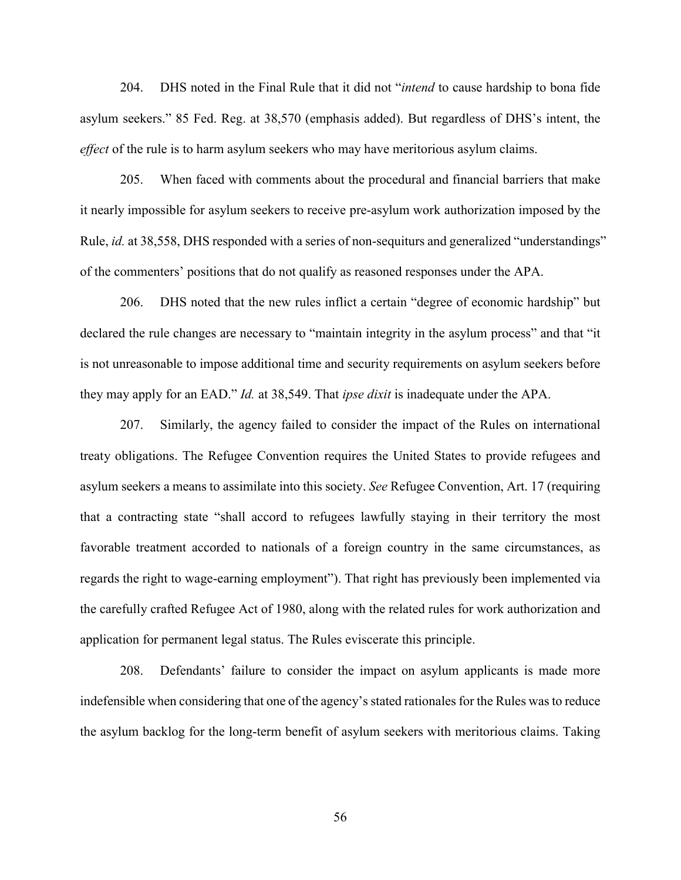204. DHS noted in the Final Rule that it did not "*intend* to cause hardship to bona fide asylum seekers." 85 Fed. Reg. at 38,570 (emphasis added). But regardless of DHS's intent, the *effect* of the rule is to harm asylum seekers who may have meritorious asylum claims.

205. When faced with comments about the procedural and financial barriers that make it nearly impossible for asylum seekers to receive pre-asylum work authorization imposed by the Rule, *id.* at 38,558, DHS responded with a series of non-sequiturs and generalized "understandings" of the commenters' positions that do not qualify as reasoned responses under the APA.

206. DHS noted that the new rules inflict a certain "degree of economic hardship" but declared the rule changes are necessary to "maintain integrity in the asylum process" and that "it is not unreasonable to impose additional time and security requirements on asylum seekers before they may apply for an EAD." *Id.* at 38,549. That *ipse dixit* is inadequate under the APA.

207. Similarly, the agency failed to consider the impact of the Rules on international treaty obligations. The Refugee Convention requires the United States to provide refugees and asylum seekers a means to assimilate into this society. *See* Refugee Convention, Art. 17 (requiring that a contracting state "shall accord to refugees lawfully staying in their territory the most favorable treatment accorded to nationals of a foreign country in the same circumstances, as regards the right to wage-earning employment"). That right has previously been implemented via the carefully crafted Refugee Act of 1980, along with the related rules for work authorization and application for permanent legal status. The Rules eviscerate this principle.

208. Defendants' failure to consider the impact on asylum applicants is made more indefensible when considering that one of the agency's stated rationales for the Rules was to reduce the asylum backlog for the long-term benefit of asylum seekers with meritorious claims. Taking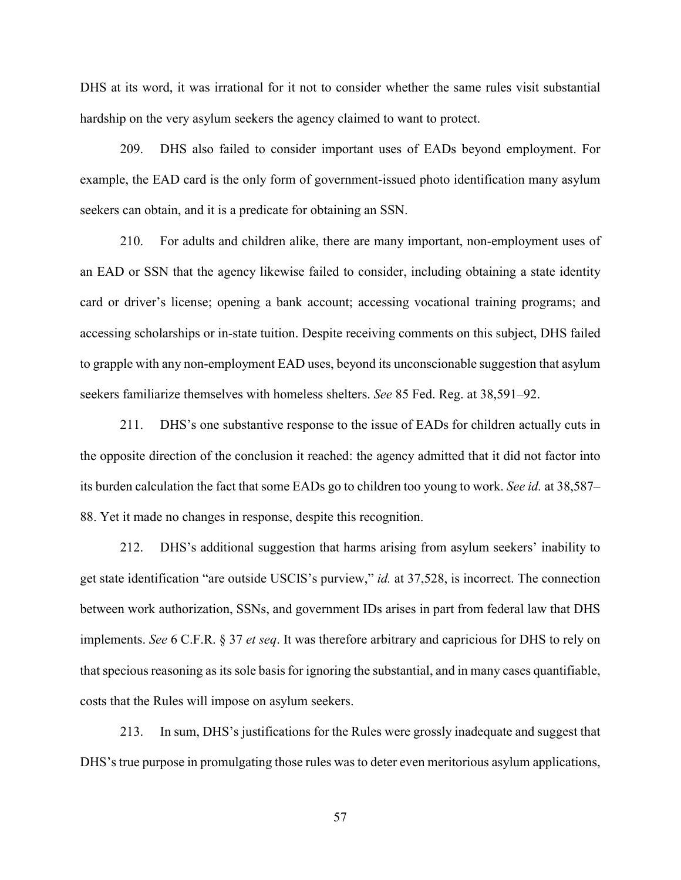DHS at its word, it was irrational for it not to consider whether the same rules visit substantial hardship on the very asylum seekers the agency claimed to want to protect.

209. DHS also failed to consider important uses of EADs beyond employment. For example, the EAD card is the only form of government-issued photo identification many asylum seekers can obtain, and it is a predicate for obtaining an SSN.

210. For adults and children alike, there are many important, non-employment uses of an EAD or SSN that the agency likewise failed to consider, including obtaining a state identity card or driver's license; opening a bank account; accessing vocational training programs; and accessing scholarships or in-state tuition. Despite receiving comments on this subject, DHS failed to grapple with any non-employment EAD uses, beyond its unconscionable suggestion that asylum seekers familiarize themselves with homeless shelters. *See* 85 Fed. Reg. at 38,591–92.

211. DHS's one substantive response to the issue of EADs for children actually cuts in the opposite direction of the conclusion it reached: the agency admitted that it did not factor into its burden calculation the fact that some EADs go to children too young to work. *See id.* at 38,587– 88. Yet it made no changes in response, despite this recognition.

212. DHS's additional suggestion that harms arising from asylum seekers' inability to get state identification "are outside USCIS's purview," *id.* at 37,528, is incorrect. The connection between work authorization, SSNs, and government IDs arises in part from federal law that DHS implements. *See* 6 C.F.R. § 37 *et seq*. It was therefore arbitrary and capricious for DHS to rely on that specious reasoning as its sole basis for ignoring the substantial, and in many cases quantifiable, costs that the Rules will impose on asylum seekers.

213. In sum, DHS's justifications for the Rules were grossly inadequate and suggest that DHS's true purpose in promulgating those rules was to deter even meritorious asylum applications,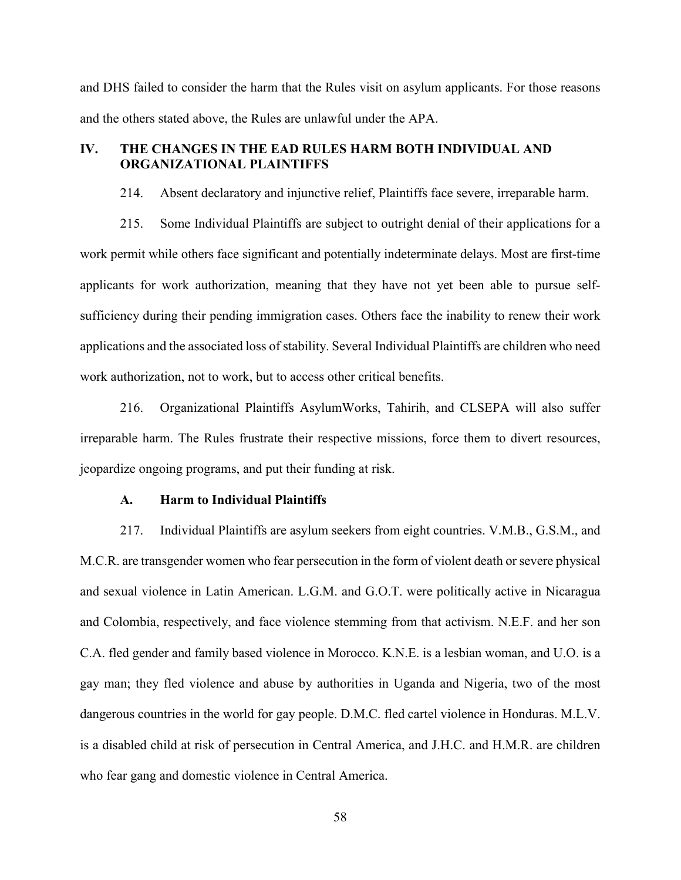and DHS failed to consider the harm that the Rules visit on asylum applicants. For those reasons and the others stated above, the Rules are unlawful under the APA.

# **IV. THE CHANGES IN THE EAD RULES HARM BOTH INDIVIDUAL AND ORGANIZATIONAL PLAINTIFFS**

214. Absent declaratory and injunctive relief, Plaintiffs face severe, irreparable harm.

215. Some Individual Plaintiffs are subject to outright denial of their applications for a work permit while others face significant and potentially indeterminate delays. Most are first-time applicants for work authorization, meaning that they have not yet been able to pursue selfsufficiency during their pending immigration cases. Others face the inability to renew their work applications and the associated loss of stability. Several Individual Plaintiffs are children who need work authorization, not to work, but to access other critical benefits.

216. Organizational Plaintiffs AsylumWorks, Tahirih, and CLSEPA will also suffer irreparable harm. The Rules frustrate their respective missions, force them to divert resources, jeopardize ongoing programs, and put their funding at risk.

#### **A. Harm to Individual Plaintiffs**

217. Individual Plaintiffs are asylum seekers from eight countries. V.M.B., G.S.M., and M.C.R. are transgender women who fear persecution in the form of violent death or severe physical and sexual violence in Latin American. L.G.M. and G.O.T. were politically active in Nicaragua and Colombia, respectively, and face violence stemming from that activism. N.E.F. and her son C.A. fled gender and family based violence in Morocco. K.N.E. is a lesbian woman, and U.O. is a gay man; they fled violence and abuse by authorities in Uganda and Nigeria, two of the most dangerous countries in the world for gay people. D.M.C. fled cartel violence in Honduras. M.L.V. is a disabled child at risk of persecution in Central America, and J.H.C. and H.M.R. are children who fear gang and domestic violence in Central America.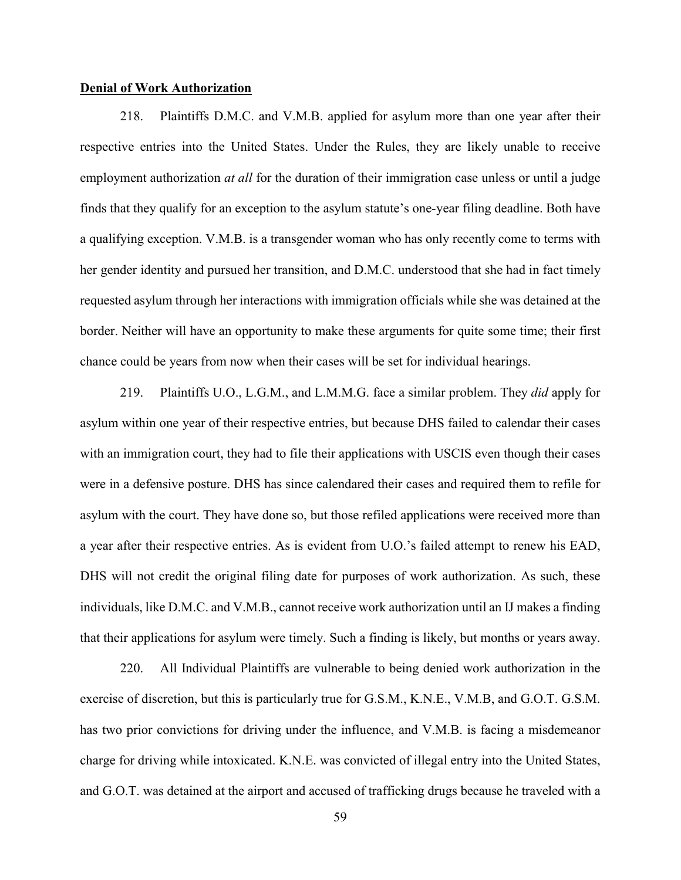#### **Denial of Work Authorization**

218. Plaintiffs D.M.C. and V.M.B. applied for asylum more than one year after their respective entries into the United States. Under the Rules, they are likely unable to receive employment authorization *at all* for the duration of their immigration case unless or until a judge finds that they qualify for an exception to the asylum statute's one-year filing deadline. Both have a qualifying exception. V.M.B. is a transgender woman who has only recently come to terms with her gender identity and pursued her transition, and D.M.C. understood that she had in fact timely requested asylum through her interactions with immigration officials while she was detained at the border. Neither will have an opportunity to make these arguments for quite some time; their first chance could be years from now when their cases will be set for individual hearings.

219. Plaintiffs U.O., L.G.M., and L.M.M.G. face a similar problem. They *did* apply for asylum within one year of their respective entries, but because DHS failed to calendar their cases with an immigration court, they had to file their applications with USCIS even though their cases were in a defensive posture. DHS has since calendared their cases and required them to refile for asylum with the court. They have done so, but those refiled applications were received more than a year after their respective entries. As is evident from U.O.'s failed attempt to renew his EAD, DHS will not credit the original filing date for purposes of work authorization. As such, these individuals, like D.M.C. and V.M.B., cannot receive work authorization until an IJ makes a finding that their applications for asylum were timely. Such a finding is likely, but months or years away.

220. All Individual Plaintiffs are vulnerable to being denied work authorization in the exercise of discretion, but this is particularly true for G.S.M., K.N.E., V.M.B, and G.O.T. G.S.M. has two prior convictions for driving under the influence, and V.M.B. is facing a misdemeanor charge for driving while intoxicated. K.N.E. was convicted of illegal entry into the United States, and G.O.T. was detained at the airport and accused of trafficking drugs because he traveled with a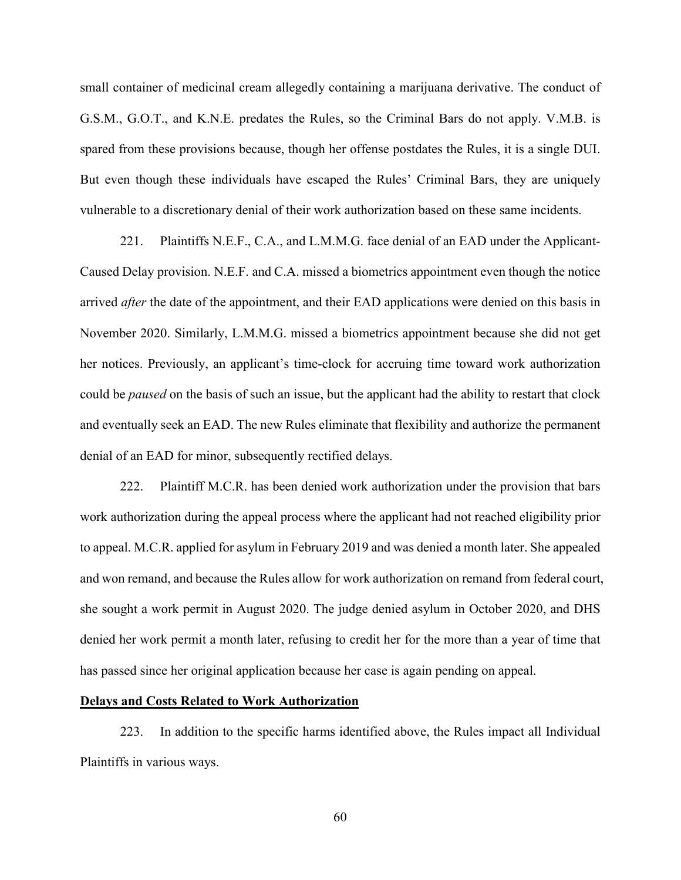small container of medicinal cream allegedly containing a marijuana derivative. The conduct of G.S.M., G.O.T., and K.N.E. predates the Rules, so the Criminal Bars do not apply. V.M.B. is spared from these provisions because, though her offense postdates the Rules, it is a single DUI. But even though these individuals have escaped the Rules' Criminal Bars, they are uniquely vulnerable to a discretionary denial of their work authorization based on these same incidents.

221. Plaintiffs N.E.F., C.A., and L.M.M.G. face denial of an EAD under the Applicant-Caused Delay provision. N.E.F. and C.A. missed a biometrics appointment even though the notice arrived *after* the date of the appointment, and their EAD applications were denied on this basis in November 2020. Similarly, L.M.M.G. missed a biometrics appointment because she did not get her notices. Previously, an applicant's time-clock for accruing time toward work authorization could be *paused* on the basis of such an issue, but the applicant had the ability to restart that clock and eventually seek an EAD. The new Rules eliminate that flexibility and authorize the permanent denial of an EAD for minor, subsequently rectified delays.

222. Plaintiff M.C.R. has been denied work authorization under the provision that bars work authorization during the appeal process where the applicant had not reached eligibility prior to appeal. M.C.R. applied for asylum in February 2019 and was denied a month later. She appealed and won remand, and because the Rules allow for work authorization on remand from federal court, she sought a work permit in August 2020. The judge denied asylum in October 2020, and DHS denied her work permit a month later, refusing to credit her for the more than a year of time that has passed since her original application because her case is again pending on appeal.

#### **Delays and Costs Related to Work Authorization**

223. In addition to the specific harms identified above, the Rules impact all Individual Plaintiffs in various ways.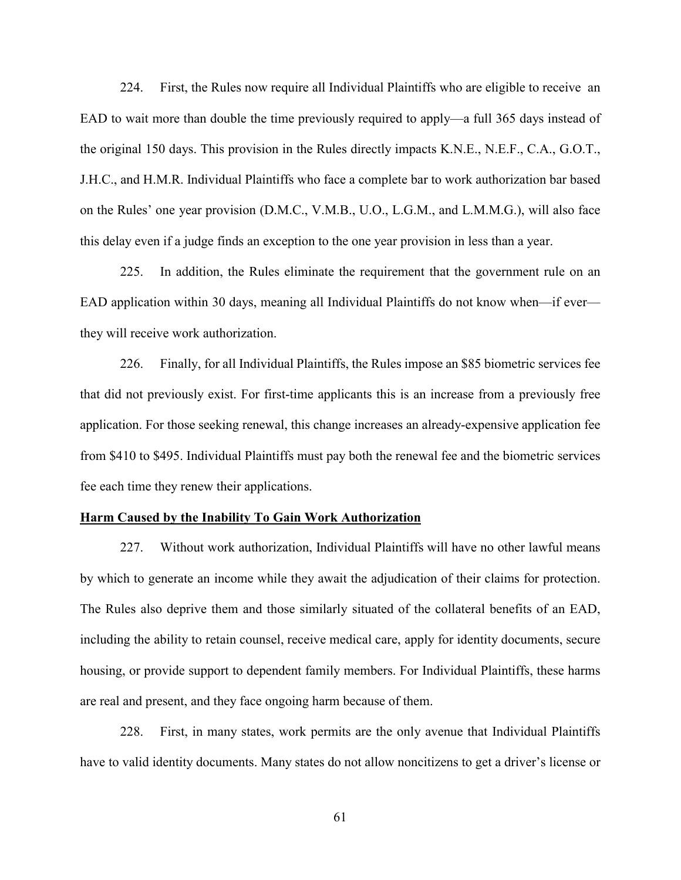224. First, the Rules now require all Individual Plaintiffs who are eligible to receive an EAD to wait more than double the time previously required to apply—a full 365 days instead of the original 150 days. This provision in the Rules directly impacts K.N.E., N.E.F., C.A., G.O.T., J.H.C., and H.M.R. Individual Plaintiffs who face a complete bar to work authorization bar based on the Rules' one year provision (D.M.C., V.M.B., U.O., L.G.M., and L.M.M.G.), will also face this delay even if a judge finds an exception to the one year provision in less than a year.

225. In addition, the Rules eliminate the requirement that the government rule on an EAD application within 30 days, meaning all Individual Plaintiffs do not know when—if ever they will receive work authorization.

226. Finally, for all Individual Plaintiffs, the Rules impose an \$85 biometric services fee that did not previously exist. For first-time applicants this is an increase from a previously free application. For those seeking renewal, this change increases an already-expensive application fee from \$410 to \$495. Individual Plaintiffs must pay both the renewal fee and the biometric services fee each time they renew their applications.

#### **Harm Caused by the Inability To Gain Work Authorization**

227. Without work authorization, Individual Plaintiffs will have no other lawful means by which to generate an income while they await the adjudication of their claims for protection. The Rules also deprive them and those similarly situated of the collateral benefits of an EAD, including the ability to retain counsel, receive medical care, apply for identity documents, secure housing, or provide support to dependent family members. For Individual Plaintiffs, these harms are real and present, and they face ongoing harm because of them.

228. First, in many states, work permits are the only avenue that Individual Plaintiffs have to valid identity documents. Many states do not allow noncitizens to get a driver's license or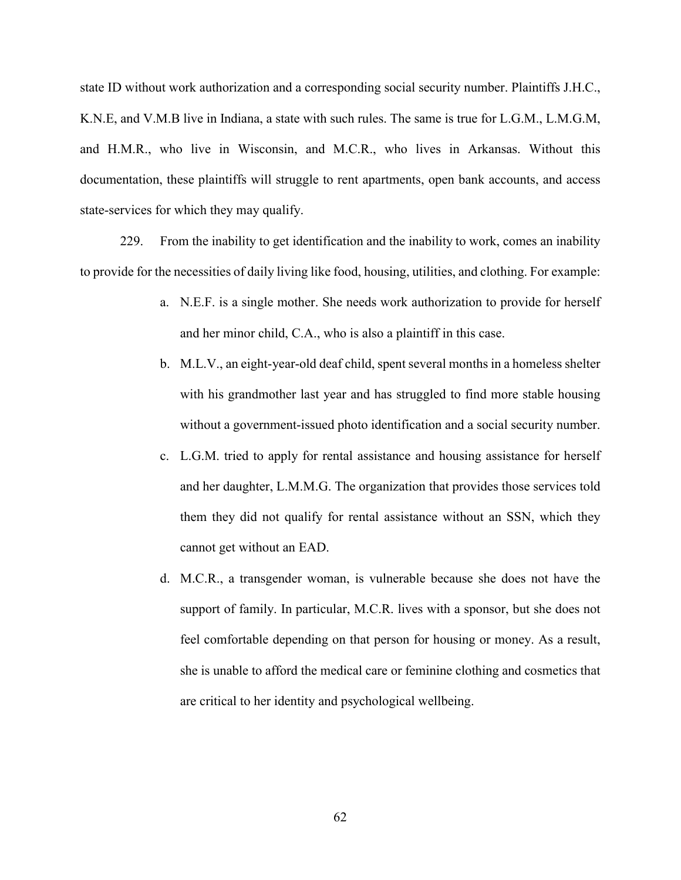state ID without work authorization and a corresponding social security number. Plaintiffs J.H.C., K.N.E, and V.M.B live in Indiana, a state with such rules. The same is true for L.G.M., L.M.G.M, and H.M.R., who live in Wisconsin, and M.C.R., who lives in Arkansas. Without this documentation, these plaintiffs will struggle to rent apartments, open bank accounts, and access state-services for which they may qualify.

229. From the inability to get identification and the inability to work, comes an inability to provide for the necessities of daily living like food, housing, utilities, and clothing. For example:

- a. N.E.F. is a single mother. She needs work authorization to provide for herself and her minor child, C.A., who is also a plaintiff in this case.
- b. M.L.V., an eight-year-old deaf child, spent several months in a homeless shelter with his grandmother last year and has struggled to find more stable housing without a government-issued photo identification and a social security number.
- c. L.G.M. tried to apply for rental assistance and housing assistance for herself and her daughter, L.M.M.G. The organization that provides those services told them they did not qualify for rental assistance without an SSN, which they cannot get without an EAD.
- d. M.C.R., a transgender woman, is vulnerable because she does not have the support of family. In particular, M.C.R. lives with a sponsor, but she does not feel comfortable depending on that person for housing or money. As a result, she is unable to afford the medical care or feminine clothing and cosmetics that are critical to her identity and psychological wellbeing.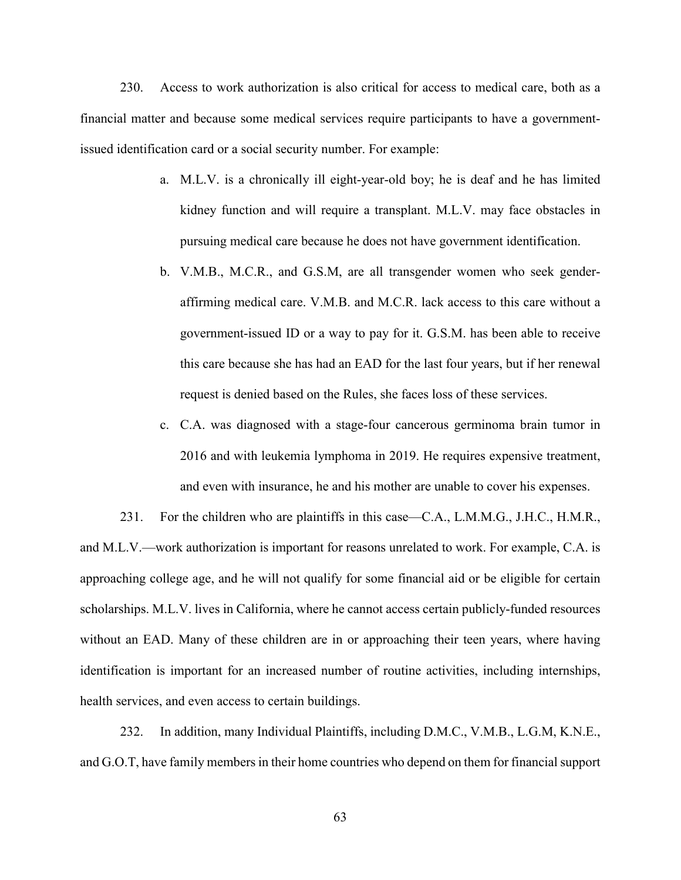230. Access to work authorization is also critical for access to medical care, both as a financial matter and because some medical services require participants to have a governmentissued identification card or a social security number. For example:

- a. M.L.V. is a chronically ill eight-year-old boy; he is deaf and he has limited kidney function and will require a transplant. M.L.V. may face obstacles in pursuing medical care because he does not have government identification.
- b. V.M.B., M.C.R., and G.S.M, are all transgender women who seek genderaffirming medical care. V.M.B. and M.C.R. lack access to this care without a government-issued ID or a way to pay for it. G.S.M. has been able to receive this care because she has had an EAD for the last four years, but if her renewal request is denied based on the Rules, she faces loss of these services.
- c. C.A. was diagnosed with a stage-four cancerous germinoma brain tumor in 2016 and with leukemia lymphoma in 2019. He requires expensive treatment, and even with insurance, he and his mother are unable to cover his expenses.

231. For the children who are plaintiffs in this case—C.A., L.M.M.G., J.H.C., H.M.R., and M.L.V.—work authorization is important for reasons unrelated to work. For example, C.A. is approaching college age, and he will not qualify for some financial aid or be eligible for certain scholarships. M.L.V. lives in California, where he cannot access certain publicly-funded resources without an EAD. Many of these children are in or approaching their teen years, where having identification is important for an increased number of routine activities, including internships, health services, and even access to certain buildings.

232. In addition, many Individual Plaintiffs, including D.M.C., V.M.B., L.G.M, K.N.E., and G.O.T, have family members in their home countries who depend on them for financial support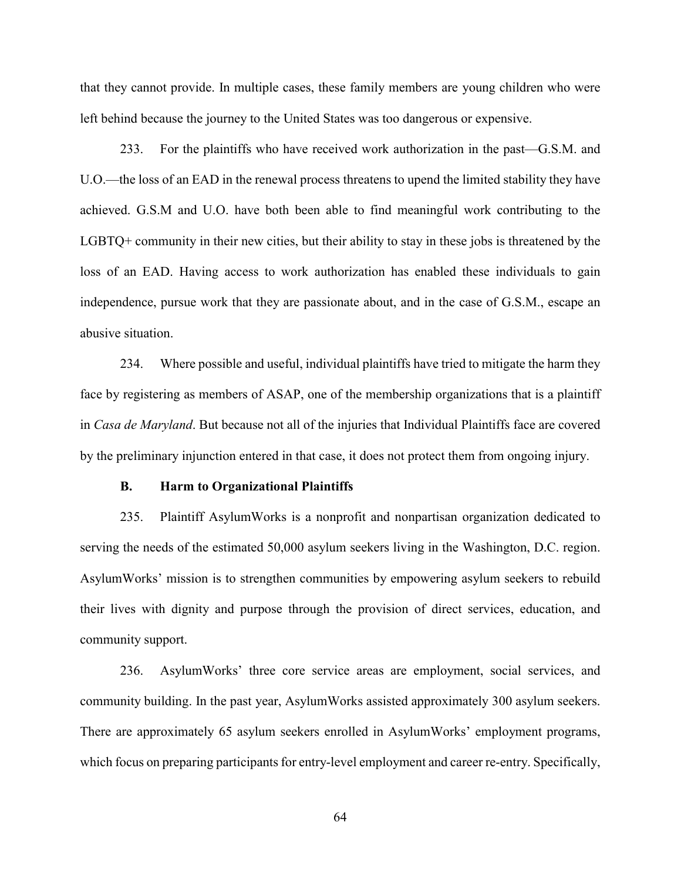that they cannot provide. In multiple cases, these family members are young children who were left behind because the journey to the United States was too dangerous or expensive.

233. For the plaintiffs who have received work authorization in the past—G.S.M. and U.O.—the loss of an EAD in the renewal process threatens to upend the limited stability they have achieved. G.S.M and U.O. have both been able to find meaningful work contributing to the LGBTQ+ community in their new cities, but their ability to stay in these jobs is threatened by the loss of an EAD. Having access to work authorization has enabled these individuals to gain independence, pursue work that they are passionate about, and in the case of G.S.M., escape an abusive situation.

234. Where possible and useful, individual plaintiffs have tried to mitigate the harm they face by registering as members of ASAP, one of the membership organizations that is a plaintiff in *Casa de Maryland*. But because not all of the injuries that Individual Plaintiffs face are covered by the preliminary injunction entered in that case, it does not protect them from ongoing injury.

#### **B. Harm to Organizational Plaintiffs**

235. Plaintiff AsylumWorks is a nonprofit and nonpartisan organization dedicated to serving the needs of the estimated 50,000 asylum seekers living in the Washington, D.C. region. AsylumWorks' mission is to strengthen communities by empowering asylum seekers to rebuild their lives with dignity and purpose through the provision of direct services, education, and community support.

236. AsylumWorks' three core service areas are employment, social services, and community building. In the past year, AsylumWorks assisted approximately 300 asylum seekers. There are approximately 65 asylum seekers enrolled in AsylumWorks' employment programs, which focus on preparing participants for entry-level employment and career re-entry. Specifically,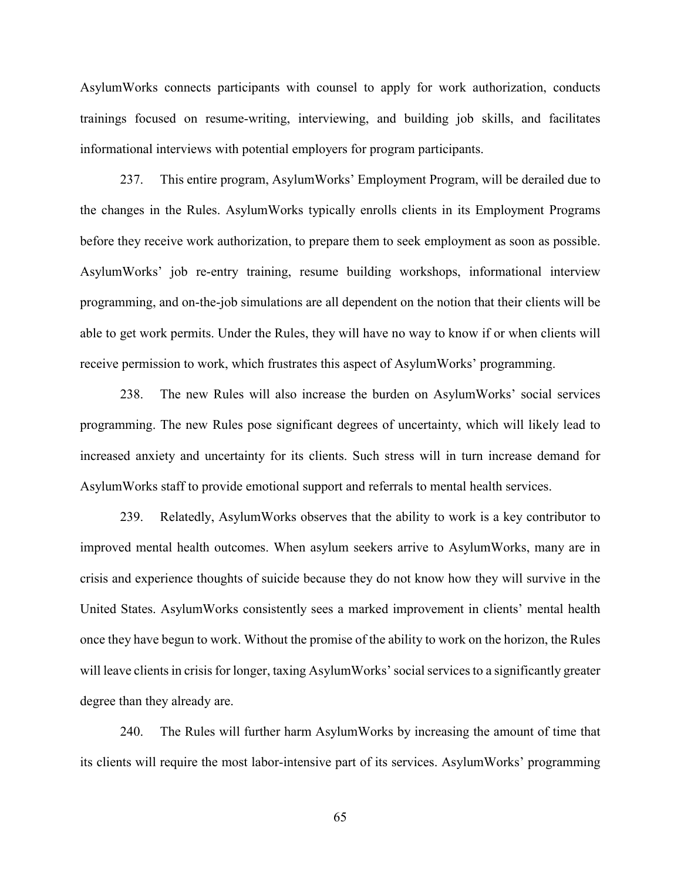AsylumWorks connects participants with counsel to apply for work authorization, conducts trainings focused on resume-writing, interviewing, and building job skills, and facilitates informational interviews with potential employers for program participants.

237. This entire program, AsylumWorks' Employment Program, will be derailed due to the changes in the Rules. AsylumWorks typically enrolls clients in its Employment Programs before they receive work authorization, to prepare them to seek employment as soon as possible. AsylumWorks' job re-entry training, resume building workshops, informational interview programming, and on-the-job simulations are all dependent on the notion that their clients will be able to get work permits. Under the Rules, they will have no way to know if or when clients will receive permission to work, which frustrates this aspect of AsylumWorks' programming.

238. The new Rules will also increase the burden on AsylumWorks' social services programming. The new Rules pose significant degrees of uncertainty, which will likely lead to increased anxiety and uncertainty for its clients. Such stress will in turn increase demand for AsylumWorks staff to provide emotional support and referrals to mental health services.

239. Relatedly, AsylumWorks observes that the ability to work is a key contributor to improved mental health outcomes. When asylum seekers arrive to AsylumWorks, many are in crisis and experience thoughts of suicide because they do not know how they will survive in the United States. AsylumWorks consistently sees a marked improvement in clients' mental health once they have begun to work. Without the promise of the ability to work on the horizon, the Rules will leave clients in crisis for longer, taxing AsylumWorks' social services to a significantly greater degree than they already are.

240. The Rules will further harm AsylumWorks by increasing the amount of time that its clients will require the most labor-intensive part of its services. AsylumWorks' programming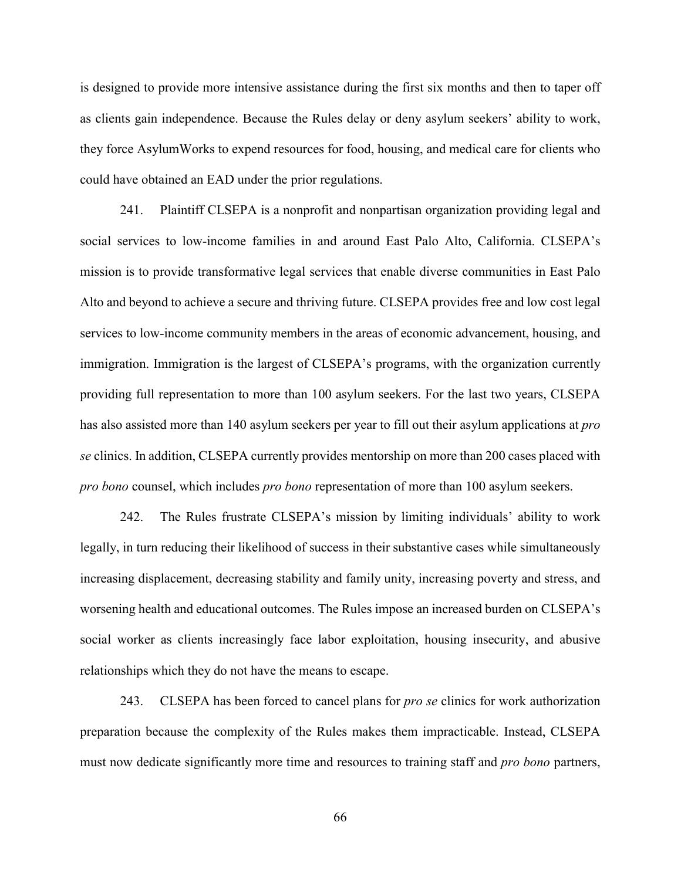is designed to provide more intensive assistance during the first six months and then to taper off as clients gain independence. Because the Rules delay or deny asylum seekers' ability to work, they force AsylumWorks to expend resources for food, housing, and medical care for clients who could have obtained an EAD under the prior regulations.

241. Plaintiff CLSEPA is a nonprofit and nonpartisan organization providing legal and social services to low-income families in and around East Palo Alto, California. CLSEPA's mission is to provide transformative legal services that enable diverse communities in East Palo Alto and beyond to achieve a secure and thriving future. CLSEPA provides free and low cost legal services to low-income community members in the areas of economic advancement, housing, and immigration. Immigration is the largest of CLSEPA's programs, with the organization currently providing full representation to more than 100 asylum seekers. For the last two years, CLSEPA has also assisted more than 140 asylum seekers per year to fill out their asylum applications at *pro se* clinics. In addition, CLSEPA currently provides mentorship on more than 200 cases placed with *pro bono* counsel, which includes *pro bono* representation of more than 100 asylum seekers.

242. The Rules frustrate CLSEPA's mission by limiting individuals' ability to work legally, in turn reducing their likelihood of success in their substantive cases while simultaneously increasing displacement, decreasing stability and family unity, increasing poverty and stress, and worsening health and educational outcomes. The Rules impose an increased burden on CLSEPA's social worker as clients increasingly face labor exploitation, housing insecurity, and abusive relationships which they do not have the means to escape.

243. CLSEPA has been forced to cancel plans for *pro se* clinics for work authorization preparation because the complexity of the Rules makes them impracticable. Instead, CLSEPA must now dedicate significantly more time and resources to training staff and *pro bono* partners,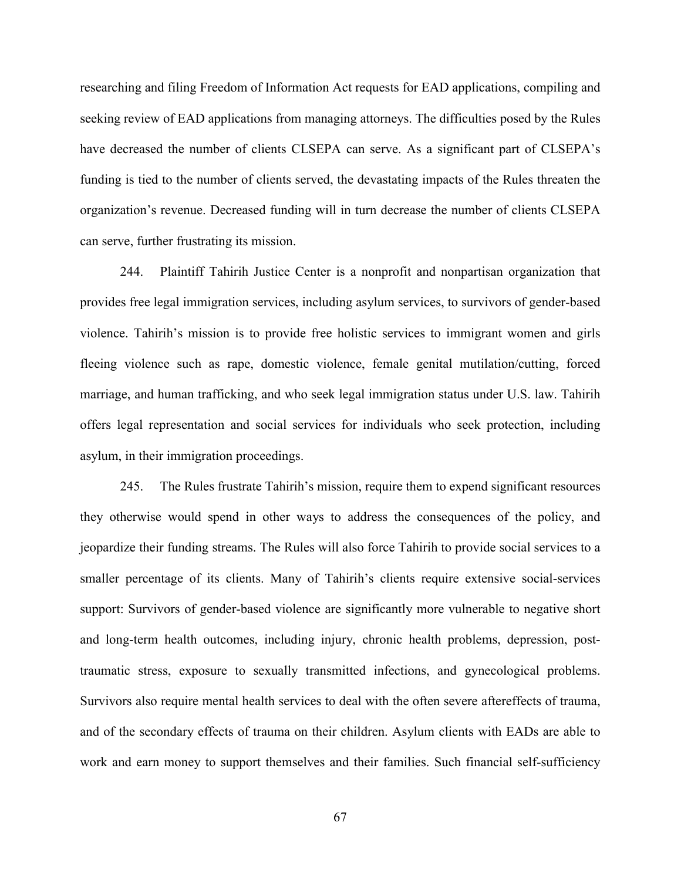researching and filing Freedom of Information Act requests for EAD applications, compiling and seeking review of EAD applications from managing attorneys. The difficulties posed by the Rules have decreased the number of clients CLSEPA can serve. As a significant part of CLSEPA's funding is tied to the number of clients served, the devastating impacts of the Rules threaten the organization's revenue. Decreased funding will in turn decrease the number of clients CLSEPA can serve, further frustrating its mission.

244. Plaintiff Tahirih Justice Center is a nonprofit and nonpartisan organization that provides free legal immigration services, including asylum services, to survivors of gender-based violence. Tahirih's mission is to provide free holistic services to immigrant women and girls fleeing violence such as rape, domestic violence, female genital mutilation/cutting, forced marriage, and human trafficking, and who seek legal immigration status under U.S. law. Tahirih offers legal representation and social services for individuals who seek protection, including asylum, in their immigration proceedings.

245. The Rules frustrate Tahirih's mission, require them to expend significant resources they otherwise would spend in other ways to address the consequences of the policy, and jeopardize their funding streams. The Rules will also force Tahirih to provide social services to a smaller percentage of its clients. Many of Tahirih's clients require extensive social-services support: Survivors of gender-based violence are significantly more vulnerable to negative short and long-term health outcomes, including injury, chronic health problems, depression, posttraumatic stress, exposure to sexually transmitted infections, and gynecological problems. Survivors also require mental health services to deal with the often severe aftereffects of trauma, and of the secondary effects of trauma on their children. Asylum clients with EADs are able to work and earn money to support themselves and their families. Such financial self-sufficiency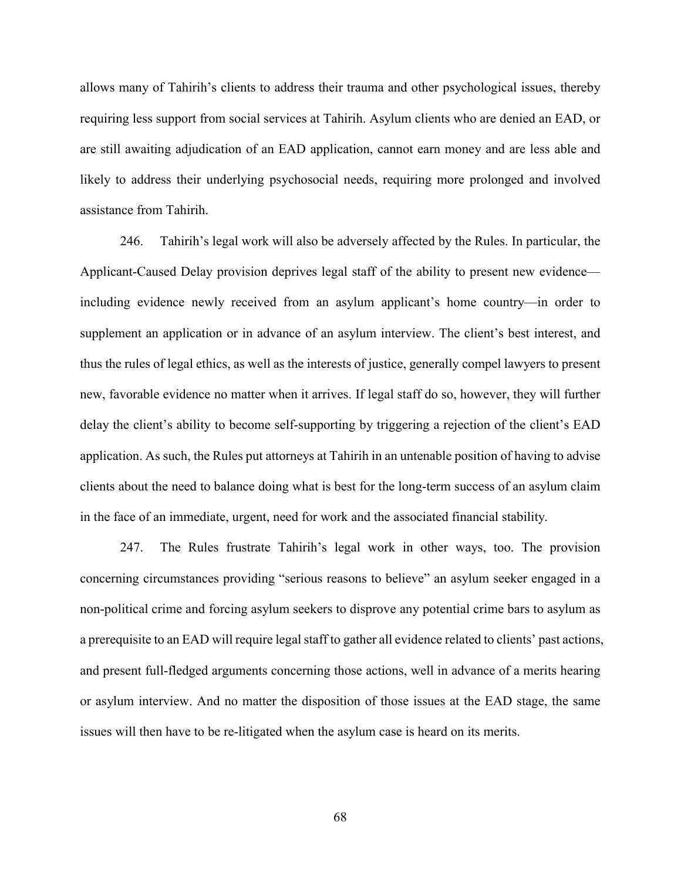allows many of Tahirih's clients to address their trauma and other psychological issues, thereby requiring less support from social services at Tahirih. Asylum clients who are denied an EAD, or are still awaiting adjudication of an EAD application, cannot earn money and are less able and likely to address their underlying psychosocial needs, requiring more prolonged and involved assistance from Tahirih.

246. Tahirih's legal work will also be adversely affected by the Rules. In particular, the Applicant-Caused Delay provision deprives legal staff of the ability to present new evidence including evidence newly received from an asylum applicant's home country—in order to supplement an application or in advance of an asylum interview. The client's best interest, and thus the rules of legal ethics, as well as the interests of justice, generally compel lawyers to present new, favorable evidence no matter when it arrives. If legal staff do so, however, they will further delay the client's ability to become self-supporting by triggering a rejection of the client's EAD application. As such, the Rules put attorneys at Tahirih in an untenable position of having to advise clients about the need to balance doing what is best for the long-term success of an asylum claim in the face of an immediate, urgent, need for work and the associated financial stability.

247. The Rules frustrate Tahirih's legal work in other ways, too. The provision concerning circumstances providing "serious reasons to believe" an asylum seeker engaged in a non-political crime and forcing asylum seekers to disprove any potential crime bars to asylum as a prerequisite to an EAD will require legal staff to gather all evidence related to clients' past actions, and present full-fledged arguments concerning those actions, well in advance of a merits hearing or asylum interview. And no matter the disposition of those issues at the EAD stage, the same issues will then have to be re-litigated when the asylum case is heard on its merits.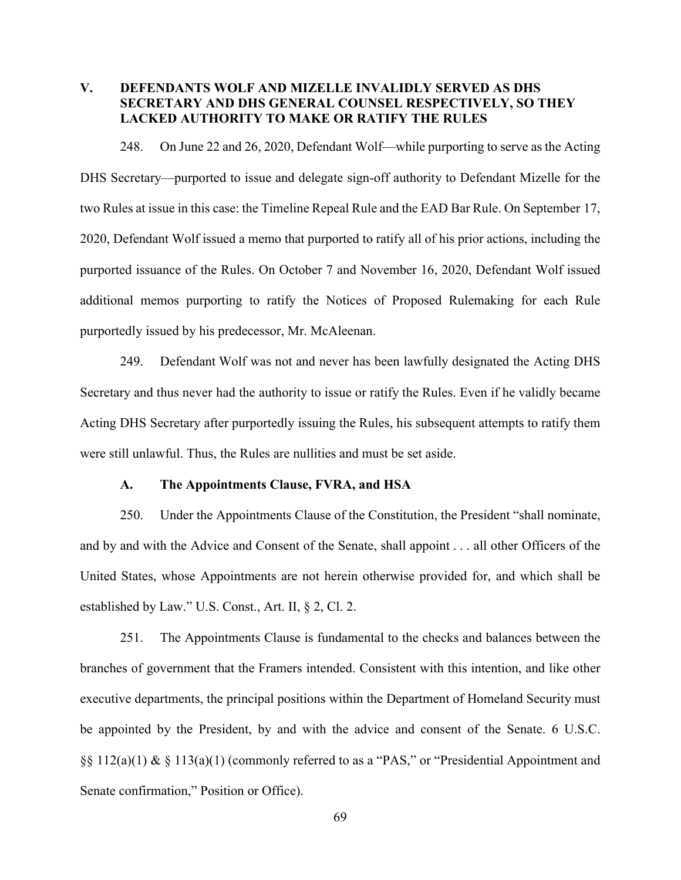# **V. DEFENDANTS WOLF AND MIZELLE INVALIDLY SERVED AS DHS SECRETARY AND DHS GENERAL COUNSEL RESPECTIVELY, SO THEY LACKED AUTHORITY TO MAKE OR RATIFY THE RULES**

248. On June 22 and 26, 2020, Defendant Wolf—while purporting to serve as the Acting DHS Secretary—purported to issue and delegate sign-off authority to Defendant Mizelle for the two Rules at issue in this case: the Timeline Repeal Rule and the EAD Bar Rule. On September 17, 2020, Defendant Wolf issued a memo that purported to ratify all of his prior actions, including the purported issuance of the Rules. On October 7 and November 16, 2020, Defendant Wolf issued additional memos purporting to ratify the Notices of Proposed Rulemaking for each Rule purportedly issued by his predecessor, Mr. McAleenan.

249. Defendant Wolf was not and never has been lawfully designated the Acting DHS Secretary and thus never had the authority to issue or ratify the Rules. Even if he validly became Acting DHS Secretary after purportedly issuing the Rules, his subsequent attempts to ratify them were still unlawful. Thus, the Rules are nullities and must be set aside.

#### **A. The Appointments Clause, FVRA, and HSA**

250. Under the Appointments Clause of the Constitution, the President "shall nominate, and by and with the Advice and Consent of the Senate, shall appoint . . . all other Officers of the United States, whose Appointments are not herein otherwise provided for, and which shall be established by Law." U.S. Const., Art. II, § 2, Cl. 2.

251. The Appointments Clause is fundamental to the checks and balances between the branches of government that the Framers intended. Consistent with this intention, and like other executive departments, the principal positions within the Department of Homeland Security must be appointed by the President, by and with the advice and consent of the Senate. 6 U.S.C. §§ 112(a)(1) & § 113(a)(1) (commonly referred to as a "PAS," or "Presidential Appointment and Senate confirmation," Position or Office).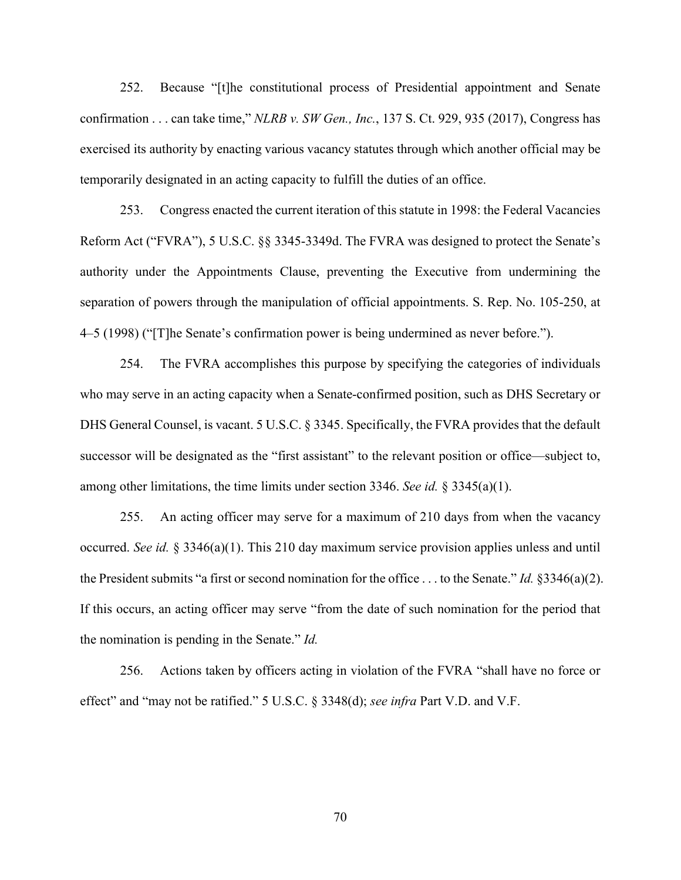252. Because "[t]he constitutional process of Presidential appointment and Senate confirmation . . . can take time," *NLRB v. SW Gen., Inc.*, 137 S. Ct. 929, 935 (2017), Congress has exercised its authority by enacting various vacancy statutes through which another official may be temporarily designated in an acting capacity to fulfill the duties of an office.

253. Congress enacted the current iteration of this statute in 1998: the Federal Vacancies Reform Act ("FVRA"), 5 U.S.C. §§ 3345-3349d. The FVRA was designed to protect the Senate's authority under the Appointments Clause, preventing the Executive from undermining the separation of powers through the manipulation of official appointments. S. Rep. No. 105-250, at 4–5 (1998) ("[T]he Senate's confirmation power is being undermined as never before.").

254. The FVRA accomplishes this purpose by specifying the categories of individuals who may serve in an acting capacity when a Senate-confirmed position, such as DHS Secretary or DHS General Counsel, is vacant. 5 U.S.C. § 3345. Specifically, the FVRA provides that the default successor will be designated as the "first assistant" to the relevant position or office—subject to, among other limitations, the time limits under section 3346. *See id.* § 3345(a)(1).

255. An acting officer may serve for a maximum of 210 days from when the vacancy occurred. *See id.* § 3346(a)(1). This 210 day maximum service provision applies unless and until the President submits "a first or second nomination for the office . . . to the Senate." *Id.* §3346(a)(2). If this occurs, an acting officer may serve "from the date of such nomination for the period that the nomination is pending in the Senate." *Id.*

256. Actions taken by officers acting in violation of the FVRA "shall have no force or effect" and "may not be ratified." 5 U.S.C. § 3348(d); *see infra* Part V.D. and V.F.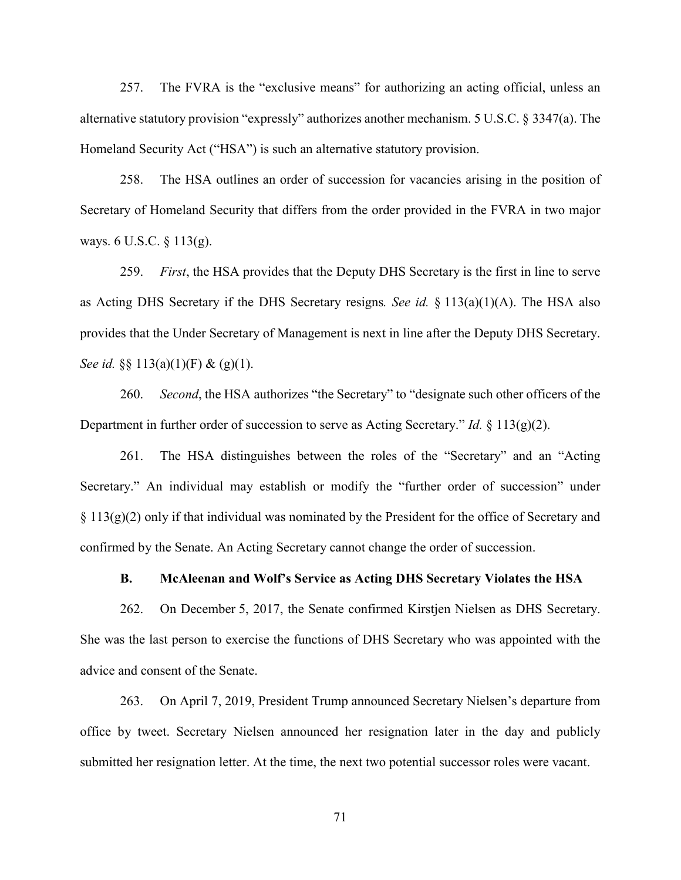257. The FVRA is the "exclusive means" for authorizing an acting official, unless an alternative statutory provision "expressly" authorizes another mechanism. 5 U.S.C. § 3347(a). The Homeland Security Act ("HSA") is such an alternative statutory provision.

258. The HSA outlines an order of succession for vacancies arising in the position of Secretary of Homeland Security that differs from the order provided in the FVRA in two major ways. 6 U.S.C. § 113(g).

259. *First*, the HSA provides that the Deputy DHS Secretary is the first in line to serve as Acting DHS Secretary if the DHS Secretary resigns*. See id.* § 113(a)(1)(A). The HSA also provides that the Under Secretary of Management is next in line after the Deputy DHS Secretary. *See id.* §§ 113(a)(1)(F) & (g)(1).

260. *Second*, the HSA authorizes "the Secretary" to "designate such other officers of the Department in further order of succession to serve as Acting Secretary." *Id.* § 113(g)(2).

261. The HSA distinguishes between the roles of the "Secretary" and an "Acting Secretary." An individual may establish or modify the "further order of succession" under  $\S 113(g)(2)$  only if that individual was nominated by the President for the office of Secretary and confirmed by the Senate. An Acting Secretary cannot change the order of succession.

#### **B. McAleenan and Wolf's Service as Acting DHS Secretary Violates the HSA**

262. On December 5, 2017, the Senate confirmed Kirstjen Nielsen as DHS Secretary. She was the last person to exercise the functions of DHS Secretary who was appointed with the advice and consent of the Senate.

263. On April 7, 2019, President Trump announced Secretary Nielsen's departure from office by tweet. Secretary Nielsen announced her resignation later in the day and publicly submitted her resignation letter. At the time, the next two potential successor roles were vacant.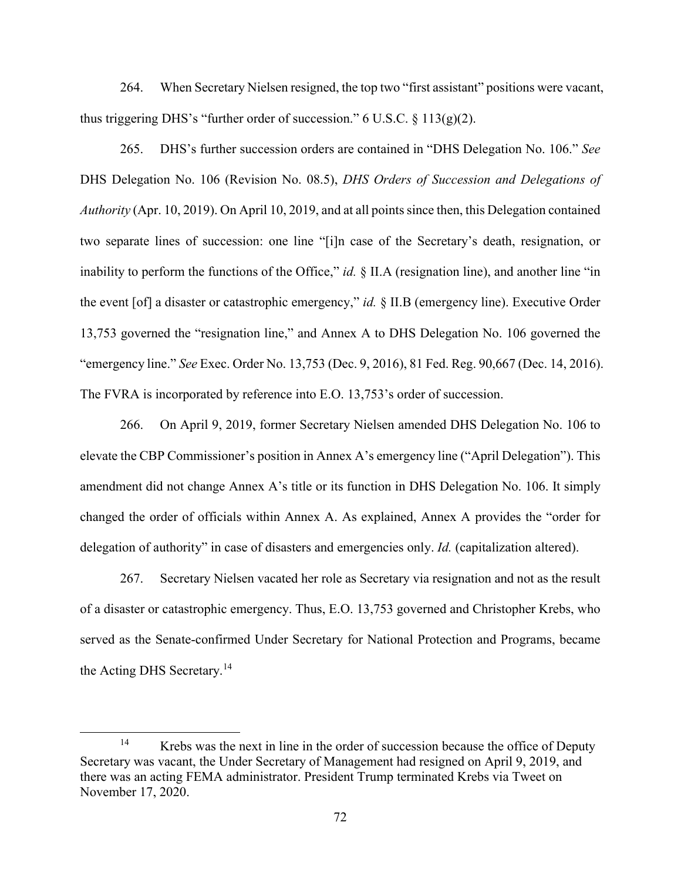264. When Secretary Nielsen resigned, the top two "first assistant" positions were vacant, thus triggering DHS's "further order of succession."  $6$  U.S.C.  $§$  113(g)(2).

265. DHS's further succession orders are contained in "DHS Delegation No. 106." *See* DHS Delegation No. 106 (Revision No. 08.5), *DHS Orders of Succession and Delegations of Authority* (Apr. 10, 2019). On April 10, 2019, and at all points since then, this Delegation contained two separate lines of succession: one line "[i]n case of the Secretary's death, resignation, or inability to perform the functions of the Office," *id.* § II.A (resignation line), and another line "in the event [of] a disaster or catastrophic emergency," *id.* § II.B (emergency line). Executive Order 13,753 governed the "resignation line," and Annex A to DHS Delegation No. 106 governed the "emergency line." *See* Exec. Order No. 13,753 (Dec. 9, 2016), 81 Fed. Reg. 90,667 (Dec. 14, 2016). The FVRA is incorporated by reference into E.O. 13,753's order of succession.

266. On April 9, 2019, former Secretary Nielsen amended DHS Delegation No. 106 to elevate the CBP Commissioner's position in Annex A's emergency line ("April Delegation"). This amendment did not change Annex A's title or its function in DHS Delegation No. 106. It simply changed the order of officials within Annex A. As explained, Annex A provides the "order for delegation of authority" in case of disasters and emergencies only. *Id.* (capitalization altered).

267. Secretary Nielsen vacated her role as Secretary via resignation and not as the result of a disaster or catastrophic emergency. Thus, E.O. 13,753 governed and Christopher Krebs, who served as the Senate-confirmed Under Secretary for National Protection and Programs, became the Acting DHS Secretary.<sup>14</sup>

 $\overline{a}$ 

<sup>&</sup>lt;sup>14</sup> Krebs was the next in line in the order of succession because the office of Deputy Secretary was vacant, the Under Secretary of Management had resigned on April 9, 2019, and there was an acting FEMA administrator. President Trump terminated Krebs via Tweet on November 17, 2020.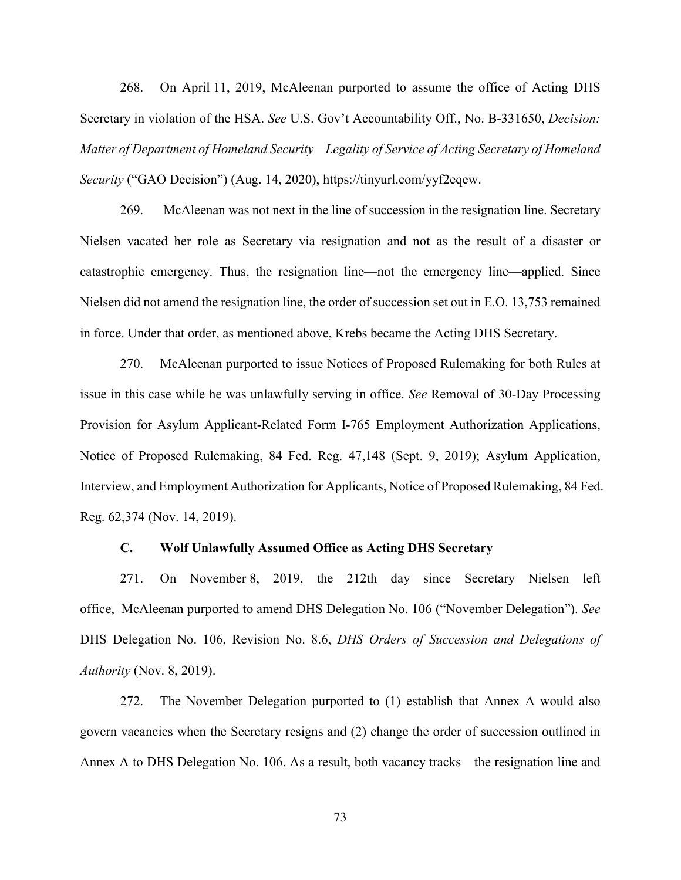268. On April 11, 2019, McAleenan purported to assume the office of Acting DHS Secretary in violation of the HSA. *See* U.S. Gov't Accountability Off., No. B-331650, *Decision: Matter of Department of Homeland Security—Legality of Service of Acting Secretary of Homeland Security* ("GAO Decision") (Aug. 14, 2020), https://tinyurl.com/yyf2eqew.

269. McAleenan was not next in the line of succession in the resignation line. Secretary Nielsen vacated her role as Secretary via resignation and not as the result of a disaster or catastrophic emergency. Thus, the resignation line—not the emergency line—applied. Since Nielsen did not amend the resignation line, the order of succession set out in E.O. 13,753 remained in force. Under that order, as mentioned above, Krebs became the Acting DHS Secretary.

270. McAleenan purported to issue Notices of Proposed Rulemaking for both Rules at issue in this case while he was unlawfully serving in office. *See* Removal of 30-Day Processing Provision for Asylum Applicant-Related Form I-765 Employment Authorization Applications, Notice of Proposed Rulemaking, 84 Fed. Reg. 47,148 (Sept. 9, 2019); Asylum Application, Interview, and Employment Authorization for Applicants, Notice of Proposed Rulemaking, 84 Fed. Reg. 62,374 (Nov. 14, 2019).

### **C. Wolf Unlawfully Assumed Office as Acting DHS Secretary**

271. On November 8, 2019, the 212th day since Secretary Nielsen left office, McAleenan purported to amend DHS Delegation No. 106 ("November Delegation"). *See*  DHS Delegation No. 106, Revision No. 8.6, *DHS Orders of Succession and Delegations of Authority* (Nov. 8, 2019).

272. The November Delegation purported to (1) establish that Annex A would also govern vacancies when the Secretary resigns and (2) change the order of succession outlined in Annex A to DHS Delegation No. 106. As a result, both vacancy tracks—the resignation line and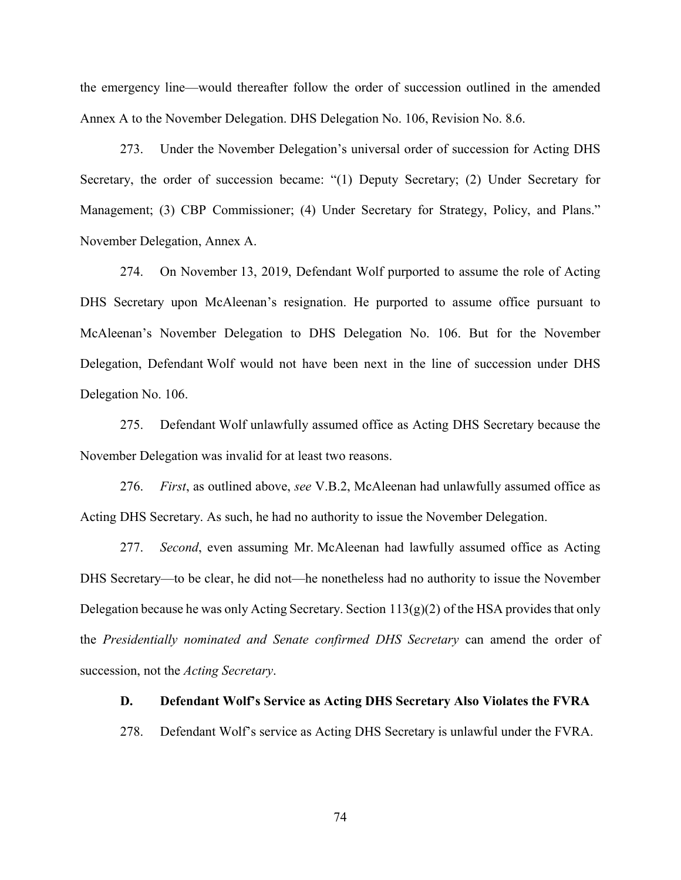the emergency line—would thereafter follow the order of succession outlined in the amended Annex A to the November Delegation. DHS Delegation No. 106, Revision No. 8.6.

273. Under the November Delegation's universal order of succession for Acting DHS Secretary, the order of succession became: "(1) Deputy Secretary; (2) Under Secretary for Management; (3) CBP Commissioner; (4) Under Secretary for Strategy, Policy, and Plans." November Delegation, Annex A.

274. On November 13, 2019, Defendant Wolf purported to assume the role of Acting DHS Secretary upon McAleenan's resignation. He purported to assume office pursuant to McAleenan's November Delegation to DHS Delegation No. 106. But for the November Delegation, Defendant Wolf would not have been next in the line of succession under DHS Delegation No. 106.

275. Defendant Wolf unlawfully assumed office as Acting DHS Secretary because the November Delegation was invalid for at least two reasons.

276. *First*, as outlined above, *see* V.B.2, McAleenan had unlawfully assumed office as Acting DHS Secretary. As such, he had no authority to issue the November Delegation.

277. *Second*, even assuming Mr. McAleenan had lawfully assumed office as Acting DHS Secretary—to be clear, he did not—he nonetheless had no authority to issue the November Delegation because he was only Acting Secretary. Section  $113(g)(2)$  of the HSA provides that only the *Presidentially nominated and Senate confirmed DHS Secretary* can amend the order of succession, not the *Acting Secretary*.

#### **D. Defendant Wolf's Service as Acting DHS Secretary Also Violates the FVRA**

278. Defendant Wolf's service as Acting DHS Secretary is unlawful under the FVRA.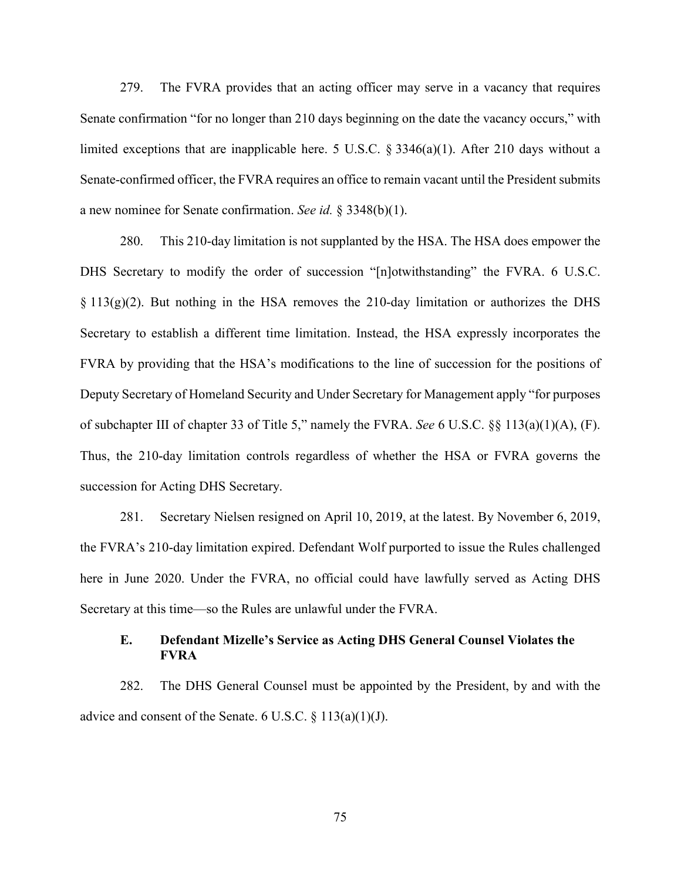279. The FVRA provides that an acting officer may serve in a vacancy that requires Senate confirmation "for no longer than 210 days beginning on the date the vacancy occurs," with limited exceptions that are inapplicable here. 5 U.S.C. § 3346(a)(1). After 210 days without a Senate-confirmed officer, the FVRA requires an office to remain vacant until the President submits a new nominee for Senate confirmation. *See id.* § 3348(b)(1).

280. This 210-day limitation is not supplanted by the HSA. The HSA does empower the DHS Secretary to modify the order of succession "[n]otwithstanding" the FVRA. 6 U.S.C.  $\S 113(g)(2)$ . But nothing in the HSA removes the 210-day limitation or authorizes the DHS Secretary to establish a different time limitation. Instead, the HSA expressly incorporates the FVRA by providing that the HSA's modifications to the line of succession for the positions of Deputy Secretary of Homeland Security and Under Secretary for Management apply "for purposes of subchapter III of chapter 33 of Title 5," namely the FVRA. *See* 6 U.S.C. §§ 113(a)(1)(A), (F). Thus, the 210-day limitation controls regardless of whether the HSA or FVRA governs the succession for Acting DHS Secretary.

281. Secretary Nielsen resigned on April 10, 2019, at the latest. By November 6, 2019, the FVRA's 210-day limitation expired. Defendant Wolf purported to issue the Rules challenged here in June 2020. Under the FVRA, no official could have lawfully served as Acting DHS Secretary at this time—so the Rules are unlawful under the FVRA.

# **E. Defendant Mizelle's Service as Acting DHS General Counsel Violates the FVRA**

282. The DHS General Counsel must be appointed by the President, by and with the advice and consent of the Senate. 6 U.S.C.  $\S$  113(a)(1)(J).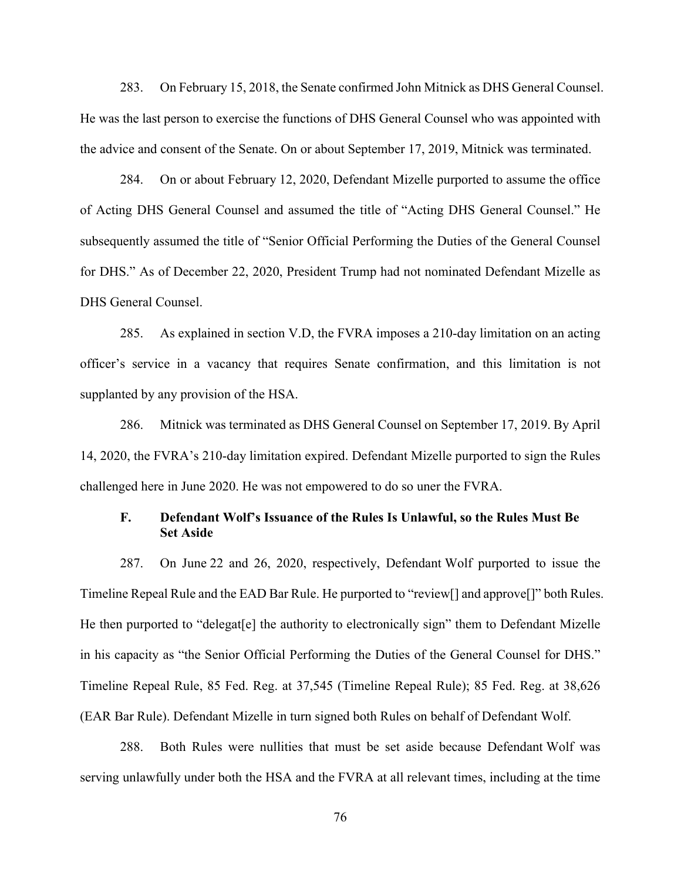283. On February 15, 2018, the Senate confirmed John Mitnick as DHS General Counsel. He was the last person to exercise the functions of DHS General Counsel who was appointed with the advice and consent of the Senate. On or about September 17, 2019, Mitnick was terminated.

284. On or about February 12, 2020, Defendant Mizelle purported to assume the office of Acting DHS General Counsel and assumed the title of "Acting DHS General Counsel." He subsequently assumed the title of "Senior Official Performing the Duties of the General Counsel for DHS." As of December 22, 2020, President Trump had not nominated Defendant Mizelle as DHS General Counsel.

285. As explained in section V.D, the FVRA imposes a 210-day limitation on an acting officer's service in a vacancy that requires Senate confirmation, and this limitation is not supplanted by any provision of the HSA.

286. Mitnick was terminated as DHS General Counsel on September 17, 2019. By April 14, 2020, the FVRA's 210-day limitation expired. Defendant Mizelle purported to sign the Rules challenged here in June 2020. He was not empowered to do so uner the FVRA.

# **F. Defendant Wolf's Issuance of the Rules Is Unlawful, so the Rules Must Be Set Aside**

287. On June 22 and 26, 2020, respectively, Defendant Wolf purported to issue the Timeline Repeal Rule and the EAD Bar Rule. He purported to "review[] and approve[]" both Rules. He then purported to "delegat[e] the authority to electronically sign" them to Defendant Mizelle in his capacity as "the Senior Official Performing the Duties of the General Counsel for DHS." Timeline Repeal Rule, 85 Fed. Reg. at 37,545 (Timeline Repeal Rule); 85 Fed. Reg. at 38,626 (EAR Bar Rule). Defendant Mizelle in turn signed both Rules on behalf of Defendant Wolf.

288. Both Rules were nullities that must be set aside because Defendant Wolf was serving unlawfully under both the HSA and the FVRA at all relevant times, including at the time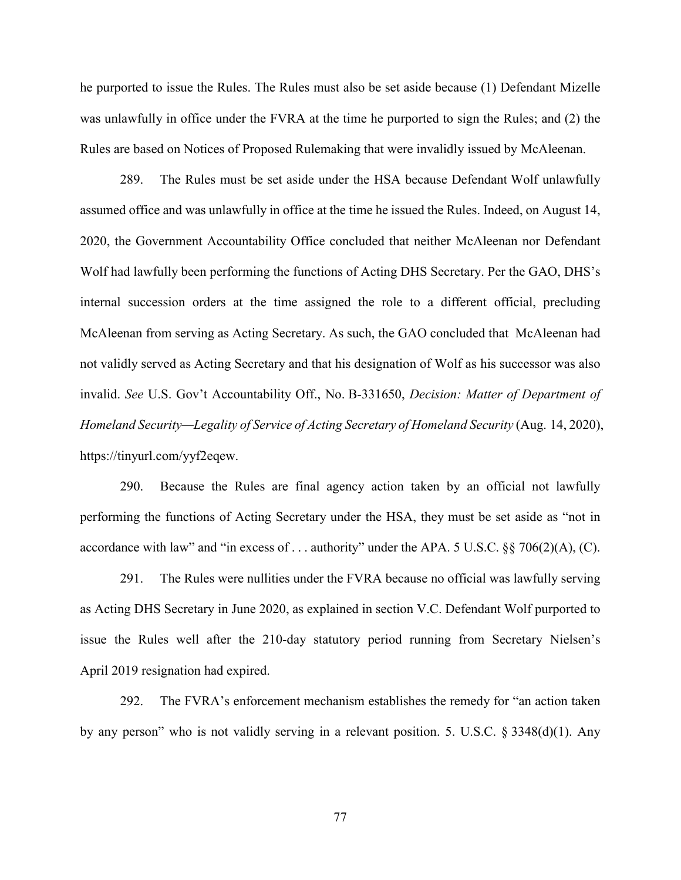he purported to issue the Rules. The Rules must also be set aside because (1) Defendant Mizelle was unlawfully in office under the FVRA at the time he purported to sign the Rules; and (2) the Rules are based on Notices of Proposed Rulemaking that were invalidly issued by McAleenan.

289. The Rules must be set aside under the HSA because Defendant Wolf unlawfully assumed office and was unlawfully in office at the time he issued the Rules. Indeed, on August 14, 2020, the Government Accountability Office concluded that neither McAleenan nor Defendant Wolf had lawfully been performing the functions of Acting DHS Secretary. Per the GAO, DHS's internal succession orders at the time assigned the role to a different official, precluding McAleenan from serving as Acting Secretary. As such, the GAO concluded that McAleenan had not validly served as Acting Secretary and that his designation of Wolf as his successor was also invalid. *See* U.S. Gov't Accountability Off., No. B-331650, *Decision: Matter of Department of Homeland Security—Legality of Service of Acting Secretary of Homeland Security* (Aug. 14, 2020), https://tinyurl.com/yyf2eqew.

290. Because the Rules are final agency action taken by an official not lawfully performing the functions of Acting Secretary under the HSA, they must be set aside as "not in accordance with law" and "in excess of . . . authority" under the APA. 5 U.S.C. §§ 706(2)(A), (C).

291. The Rules were nullities under the FVRA because no official was lawfully serving as Acting DHS Secretary in June 2020, as explained in section V.C. Defendant Wolf purported to issue the Rules well after the 210-day statutory period running from Secretary Nielsen's April 2019 resignation had expired.

292. The FVRA's enforcement mechanism establishes the remedy for "an action taken by any person" who is not validly serving in a relevant position. 5. U.S.C. § 3348(d)(1). Any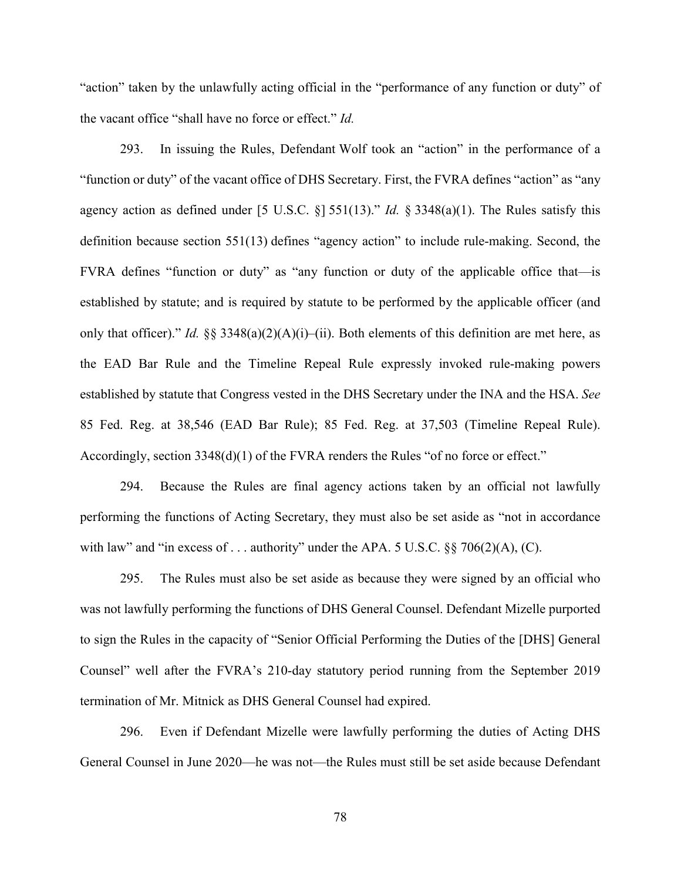"action" taken by the unlawfully acting official in the "performance of any function or duty" of the vacant office "shall have no force or effect." *Id.*

293. In issuing the Rules, Defendant Wolf took an "action" in the performance of a "function or duty" of the vacant office of DHS Secretary. First, the FVRA defines "action" as "any agency action as defined under [5 U.S.C. §] 551(13)." *Id.* § 3348(a)(1). The Rules satisfy this definition because section 551(13) defines "agency action" to include rule-making. Second, the FVRA defines "function or duty" as "any function or duty of the applicable office that—is established by statute; and is required by statute to be performed by the applicable officer (and only that officer)." *Id.*  $\S$ § 3348(a)(2)(A)(i)–(ii). Both elements of this definition are met here, as the EAD Bar Rule and the Timeline Repeal Rule expressly invoked rule-making powers established by statute that Congress vested in the DHS Secretary under the INA and the HSA. *See*  85 Fed. Reg. at 38,546 (EAD Bar Rule); 85 Fed. Reg. at 37,503 (Timeline Repeal Rule). Accordingly, section 3348(d)(1) of the FVRA renders the Rules "of no force or effect."

294. Because the Rules are final agency actions taken by an official not lawfully performing the functions of Acting Secretary, they must also be set aside as "not in accordance with law" and "in excess of  $\dots$  authority" under the APA. 5 U.S.C. §§ 706(2)(A), (C).

295. The Rules must also be set aside as because they were signed by an official who was not lawfully performing the functions of DHS General Counsel. Defendant Mizelle purported to sign the Rules in the capacity of "Senior Official Performing the Duties of the [DHS] General Counsel" well after the FVRA's 210-day statutory period running from the September 2019 termination of Mr. Mitnick as DHS General Counsel had expired.

296. Even if Defendant Mizelle were lawfully performing the duties of Acting DHS General Counsel in June 2020—he was not—the Rules must still be set aside because Defendant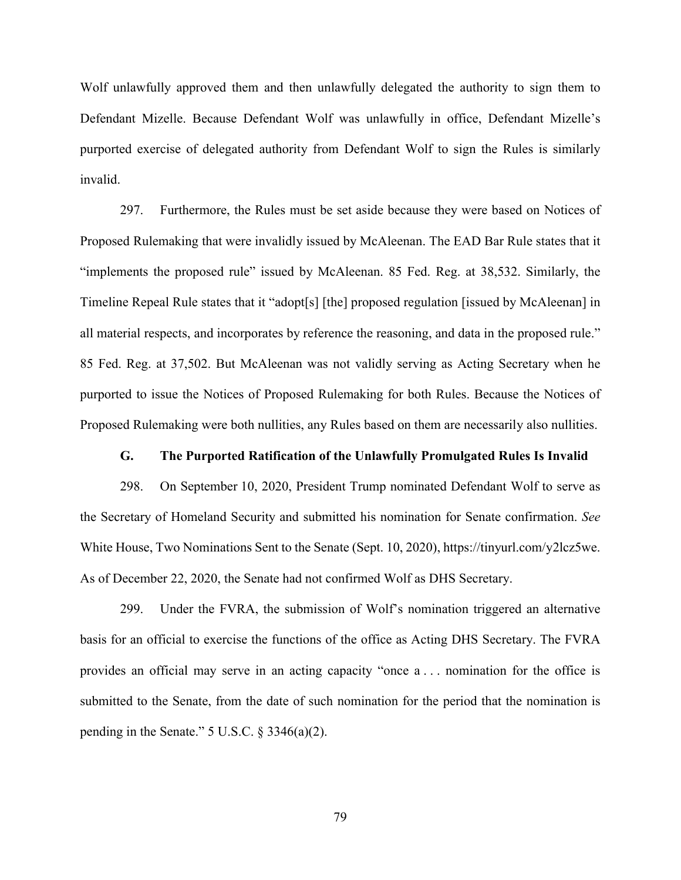Wolf unlawfully approved them and then unlawfully delegated the authority to sign them to Defendant Mizelle. Because Defendant Wolf was unlawfully in office, Defendant Mizelle's purported exercise of delegated authority from Defendant Wolf to sign the Rules is similarly invalid.

297. Furthermore, the Rules must be set aside because they were based on Notices of Proposed Rulemaking that were invalidly issued by McAleenan. The EAD Bar Rule states that it "implements the proposed rule" issued by McAleenan. 85 Fed. Reg. at 38,532. Similarly, the Timeline Repeal Rule states that it "adopt[s] [the] proposed regulation [issued by McAleenan] in all material respects, and incorporates by reference the reasoning, and data in the proposed rule." 85 Fed. Reg. at 37,502. But McAleenan was not validly serving as Acting Secretary when he purported to issue the Notices of Proposed Rulemaking for both Rules. Because the Notices of Proposed Rulemaking were both nullities, any Rules based on them are necessarily also nullities.

#### **G. The Purported Ratification of the Unlawfully Promulgated Rules Is Invalid**

298. On September 10, 2020, President Trump nominated Defendant Wolf to serve as the Secretary of Homeland Security and submitted his nomination for Senate confirmation. *See*  White House, Two Nominations Sent to the Senate (Sept. 10, 2020), https://tinyurl.com/y2lcz5we. As of December 22, 2020, the Senate had not confirmed Wolf as DHS Secretary.

299. Under the FVRA, the submission of Wolf's nomination triggered an alternative basis for an official to exercise the functions of the office as Acting DHS Secretary. The FVRA provides an official may serve in an acting capacity "once a . . . nomination for the office is submitted to the Senate, from the date of such nomination for the period that the nomination is pending in the Senate." 5 U.S.C. § 3346(a)(2).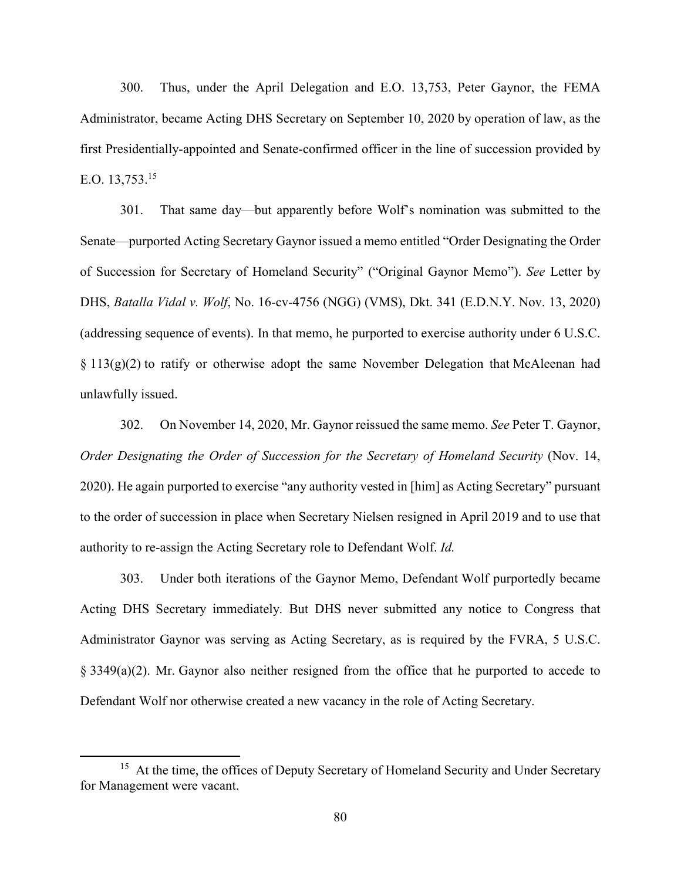300. Thus, under the April Delegation and E.O. 13,753, Peter Gaynor, the FEMA Administrator, became Acting DHS Secretary on September 10, 2020 by operation of law, as the first Presidentially-appointed and Senate-confirmed officer in the line of succession provided by E.O.  $13.753^{15}$ 

301. That same day—but apparently before Wolf's nomination was submitted to the Senate—purported Acting Secretary Gaynor issued a memo entitled "Order Designating the Order of Succession for Secretary of Homeland Security" ("Original Gaynor Memo"). *See* Letter by DHS, *Batalla Vidal v. Wolf*, No. 16-cv-4756 (NGG) (VMS), Dkt. 341 (E.D.N.Y. Nov. 13, 2020) (addressing sequence of events). In that memo, he purported to exercise authority under 6 U.S.C.  $\S 113(g)(2)$  to ratify or otherwise adopt the same November Delegation that McAleenan had unlawfully issued.

302. On November 14, 2020, Mr. Gaynor reissued the same memo. *See* Peter T. Gaynor, *Order Designating the Order of Succession for the Secretary of Homeland Security* (Nov. 14, 2020). He again purported to exercise "any authority vested in [him] as Acting Secretary" pursuant to the order of succession in place when Secretary Nielsen resigned in April 2019 and to use that authority to re-assign the Acting Secretary role to Defendant Wolf. *Id.*

303. Under both iterations of the Gaynor Memo, Defendant Wolf purportedly became Acting DHS Secretary immediately. But DHS never submitted any notice to Congress that Administrator Gaynor was serving as Acting Secretary, as is required by the FVRA, 5 U.S.C.  $\S$  3349(a)(2). Mr. Gaynor also neither resigned from the office that he purported to accede to Defendant Wolf nor otherwise created a new vacancy in the role of Acting Secretary.

 $\overline{a}$ 

<sup>&</sup>lt;sup>15</sup> At the time, the offices of Deputy Secretary of Homeland Security and Under Secretary for Management were vacant.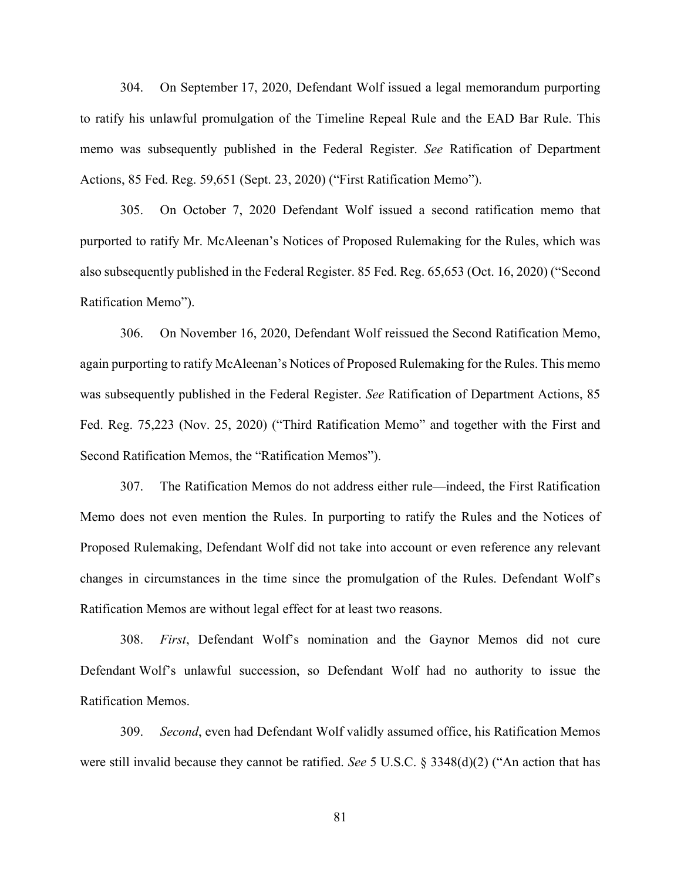304. On September 17, 2020, Defendant Wolf issued a legal memorandum purporting to ratify his unlawful promulgation of the Timeline Repeal Rule and the EAD Bar Rule. This memo was subsequently published in the Federal Register. *See* Ratification of Department Actions, 85 Fed. Reg. 59,651 (Sept. 23, 2020) ("First Ratification Memo").

305. On October 7, 2020 Defendant Wolf issued a second ratification memo that purported to ratify Mr. McAleenan's Notices of Proposed Rulemaking for the Rules, which was also subsequently published in the Federal Register. 85 Fed. Reg. 65,653 (Oct. 16, 2020) ("Second Ratification Memo").

306. On November 16, 2020, Defendant Wolf reissued the Second Ratification Memo, again purporting to ratify McAleenan's Notices of Proposed Rulemaking for the Rules. This memo was subsequently published in the Federal Register. *See* Ratification of Department Actions, 85 Fed. Reg. 75,223 (Nov. 25, 2020) ("Third Ratification Memo" and together with the First and Second Ratification Memos, the "Ratification Memos").

307. The Ratification Memos do not address either rule—indeed, the First Ratification Memo does not even mention the Rules. In purporting to ratify the Rules and the Notices of Proposed Rulemaking, Defendant Wolf did not take into account or even reference any relevant changes in circumstances in the time since the promulgation of the Rules. Defendant Wolf's Ratification Memos are without legal effect for at least two reasons.

308. *First*, Defendant Wolf's nomination and the Gaynor Memos did not cure Defendant Wolf's unlawful succession, so Defendant Wolf had no authority to issue the Ratification Memos.

309. *Second*, even had Defendant Wolf validly assumed office, his Ratification Memos were still invalid because they cannot be ratified. *See* 5 U.S.C. § 3348(d)(2) ("An action that has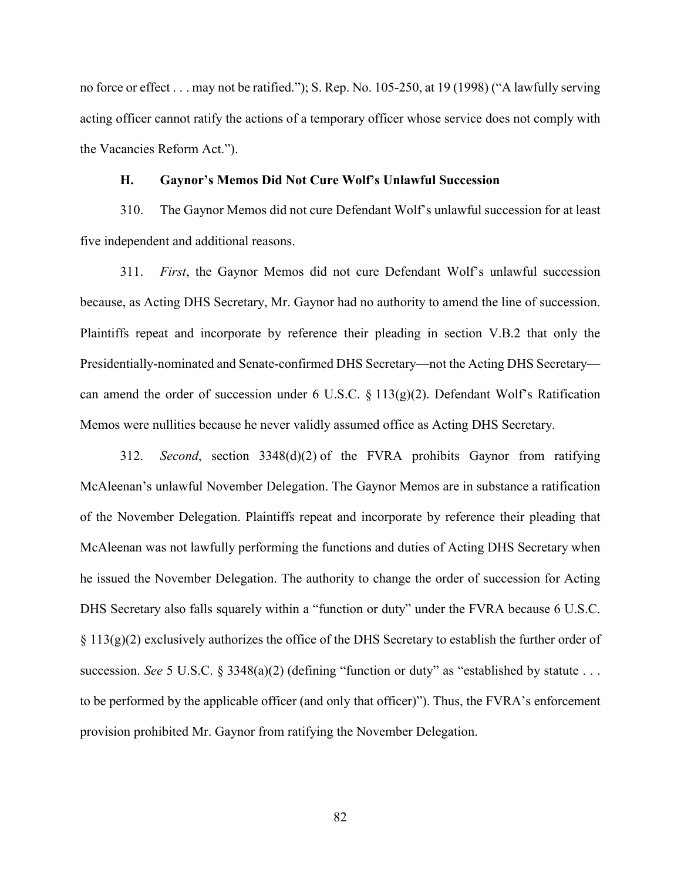no force or effect . . . may not be ratified."); S. Rep. No. 105-250, at 19 (1998) ("A lawfully serving acting officer cannot ratify the actions of a temporary officer whose service does not comply with the Vacancies Reform Act.").

#### **H. Gaynor's Memos Did Not Cure Wolf's Unlawful Succession**

310. The Gaynor Memos did not cure Defendant Wolf's unlawful succession for at least five independent and additional reasons.

311. *First*, the Gaynor Memos did not cure Defendant Wolf's unlawful succession because, as Acting DHS Secretary, Mr. Gaynor had no authority to amend the line of succession. Plaintiffs repeat and incorporate by reference their pleading in section V.B.2 that only the Presidentially-nominated and Senate-confirmed DHS Secretary—not the Acting DHS Secretary can amend the order of succession under 6 U.S.C.  $\S 113(g)(2)$ . Defendant Wolf's Ratification Memos were nullities because he never validly assumed office as Acting DHS Secretary.

312. *Second*, section 3348(d)(2) of the FVRA prohibits Gaynor from ratifying McAleenan's unlawful November Delegation. The Gaynor Memos are in substance a ratification of the November Delegation. Plaintiffs repeat and incorporate by reference their pleading that McAleenan was not lawfully performing the functions and duties of Acting DHS Secretary when he issued the November Delegation. The authority to change the order of succession for Acting DHS Secretary also falls squarely within a "function or duty" under the FVRA because 6 U.S.C.  $\S 113(g)(2)$  exclusively authorizes the office of the DHS Secretary to establish the further order of succession. *See* 5 U.S.C. § 3348(a)(2) (defining "function or duty" as "established by statute . . . to be performed by the applicable officer (and only that officer)"). Thus, the FVRA's enforcement provision prohibited Mr. Gaynor from ratifying the November Delegation.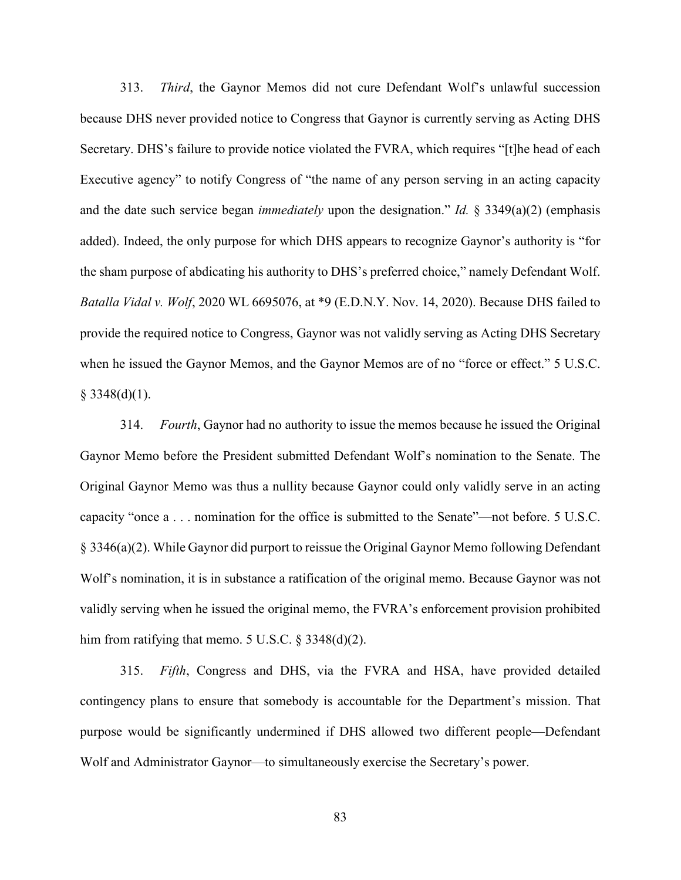313. *Third*, the Gaynor Memos did not cure Defendant Wolf's unlawful succession because DHS never provided notice to Congress that Gaynor is currently serving as Acting DHS Secretary. DHS's failure to provide notice violated the FVRA, which requires "[t]he head of each Executive agency" to notify Congress of "the name of any person serving in an acting capacity and the date such service began *immediately* upon the designation." *Id.* § 3349(a)(2) (emphasis added). Indeed, the only purpose for which DHS appears to recognize Gaynor's authority is "for the sham purpose of abdicating his authority to DHS's preferred choice," namely Defendant Wolf. *Batalla Vidal v. Wolf*, 2020 WL 6695076, at \*9 (E.D.N.Y. Nov. 14, 2020). Because DHS failed to provide the required notice to Congress, Gaynor was not validly serving as Acting DHS Secretary when he issued the Gaynor Memos, and the Gaynor Memos are of no "force or effect." 5 U.S.C.  $§$  3348(d)(1).

314. *Fourth*, Gaynor had no authority to issue the memos because he issued the Original Gaynor Memo before the President submitted Defendant Wolf's nomination to the Senate. The Original Gaynor Memo was thus a nullity because Gaynor could only validly serve in an acting capacity "once a . . . nomination for the office is submitted to the Senate"—not before. 5 U.S.C. § 3346(a)(2). While Gaynor did purport to reissue the Original Gaynor Memo following Defendant Wolf's nomination, it is in substance a ratification of the original memo. Because Gaynor was not validly serving when he issued the original memo, the FVRA's enforcement provision prohibited him from ratifying that memo.  $5 \text{ U.S.C. } § 3348(d)(2)$ .

315. *Fifth*, Congress and DHS, via the FVRA and HSA, have provided detailed contingency plans to ensure that somebody is accountable for the Department's mission. That purpose would be significantly undermined if DHS allowed two different people—Defendant Wolf and Administrator Gaynor—to simultaneously exercise the Secretary's power.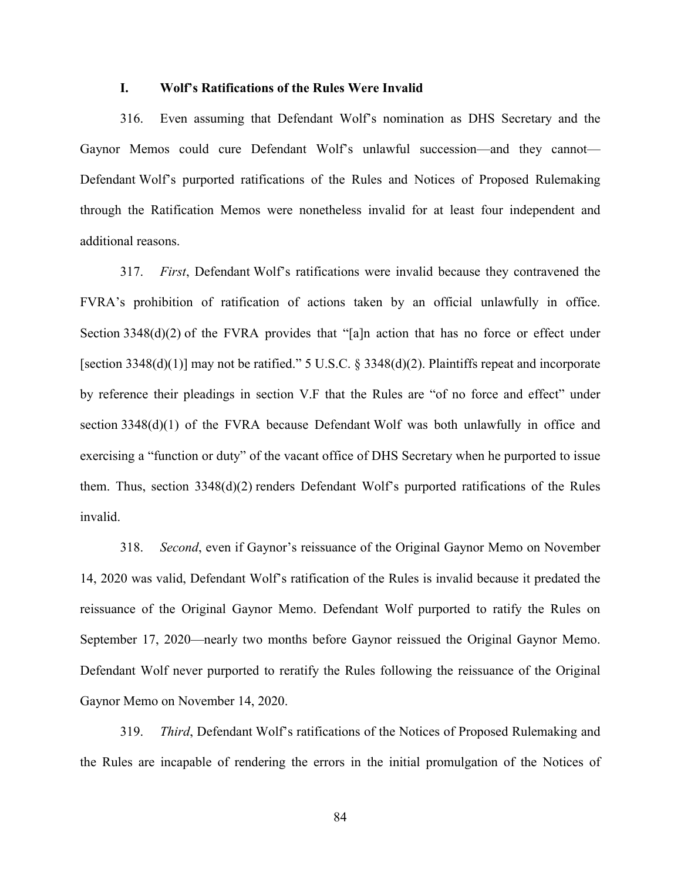### **I. Wolf's Ratifications of the Rules Were Invalid**

316. Even assuming that Defendant Wolf's nomination as DHS Secretary and the Gaynor Memos could cure Defendant Wolf's unlawful succession—and they cannot— Defendant Wolf's purported ratifications of the Rules and Notices of Proposed Rulemaking through the Ratification Memos were nonetheless invalid for at least four independent and additional reasons.

317. *First*, Defendant Wolf's ratifications were invalid because they contravened the FVRA's prohibition of ratification of actions taken by an official unlawfully in office. Section 3348(d)(2) of the FVRA provides that "[a]n action that has no force or effect under [section 3348(d)(1)] may not be ratified." 5 U.S.C. § 3348(d)(2). Plaintiffs repeat and incorporate by reference their pleadings in section V.F that the Rules are "of no force and effect" under section 3348(d)(1) of the FVRA because Defendant Wolf was both unlawfully in office and exercising a "function or duty" of the vacant office of DHS Secretary when he purported to issue them. Thus, section  $3348(d)(2)$  renders Defendant Wolf's purported ratifications of the Rules invalid.

318. *Second*, even if Gaynor's reissuance of the Original Gaynor Memo on November 14, 2020 was valid, Defendant Wolf's ratification of the Rules is invalid because it predated the reissuance of the Original Gaynor Memo. Defendant Wolf purported to ratify the Rules on September 17, 2020—nearly two months before Gaynor reissued the Original Gaynor Memo. Defendant Wolf never purported to reratify the Rules following the reissuance of the Original Gaynor Memo on November 14, 2020.

319. *Third*, Defendant Wolf's ratifications of the Notices of Proposed Rulemaking and the Rules are incapable of rendering the errors in the initial promulgation of the Notices of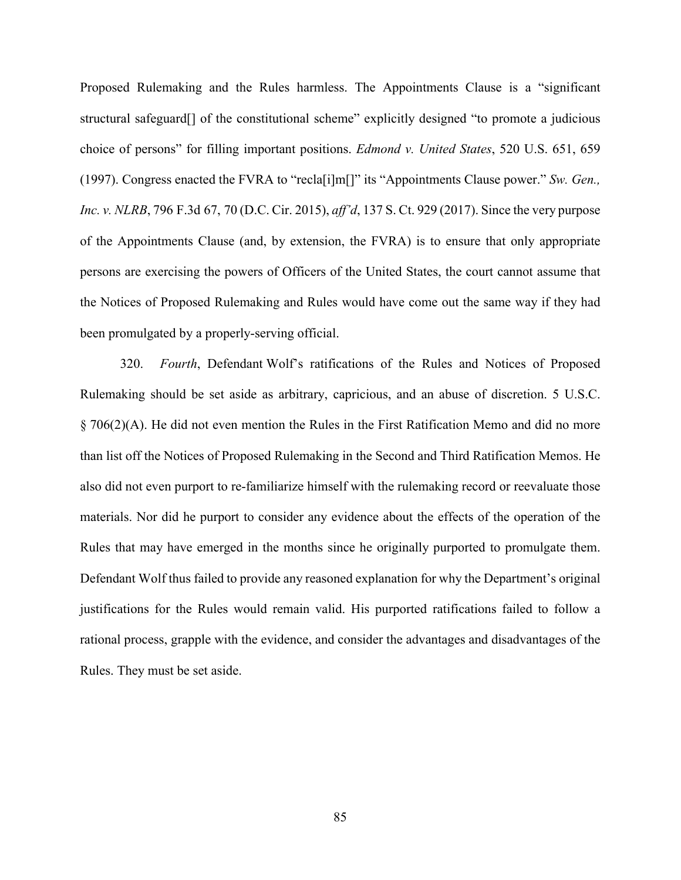Proposed Rulemaking and the Rules harmless. The Appointments Clause is a "significant structural safeguard[] of the constitutional scheme" explicitly designed "to promote a judicious choice of persons" for filling important positions. *Edmond v. United States*, 520 U.S. 651, 659 (1997). Congress enacted the FVRA to "recla[i]m[]" its "Appointments Clause power." *Sw. Gen., Inc. v. NLRB*, 796 F.3d 67, 70 (D.C. Cir. 2015), *aff'd*, 137 S. Ct. 929 (2017). Since the very purpose of the Appointments Clause (and, by extension, the FVRA) is to ensure that only appropriate persons are exercising the powers of Officers of the United States, the court cannot assume that the Notices of Proposed Rulemaking and Rules would have come out the same way if they had been promulgated by a properly-serving official.

320. *Fourth*, Defendant Wolf's ratifications of the Rules and Notices of Proposed Rulemaking should be set aside as arbitrary, capricious, and an abuse of discretion. 5 U.S.C. § 706(2)(A). He did not even mention the Rules in the First Ratification Memo and did no more than list off the Notices of Proposed Rulemaking in the Second and Third Ratification Memos. He also did not even purport to re-familiarize himself with the rulemaking record or reevaluate those materials. Nor did he purport to consider any evidence about the effects of the operation of the Rules that may have emerged in the months since he originally purported to promulgate them. Defendant Wolf thus failed to provide any reasoned explanation for why the Department's original justifications for the Rules would remain valid. His purported ratifications failed to follow a rational process, grapple with the evidence, and consider the advantages and disadvantages of the Rules. They must be set aside.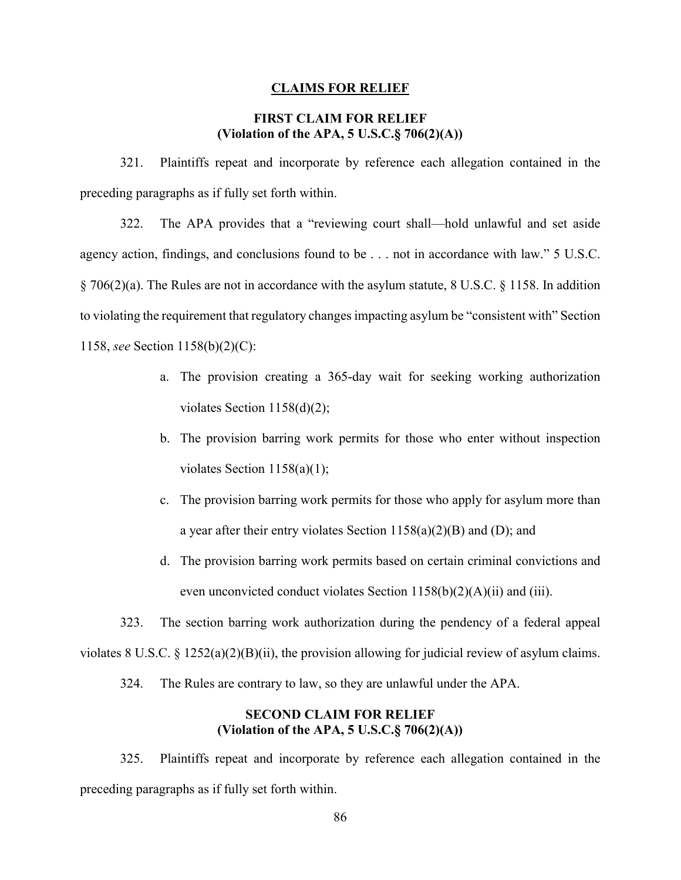#### **CLAIMS FOR RELIEF**

## **FIRST CLAIM FOR RELIEF (Violation of the APA, 5 U.S.C.§ 706(2)(A))**

321. Plaintiffs repeat and incorporate by reference each allegation contained in the preceding paragraphs as if fully set forth within.

322. The APA provides that a "reviewing court shall—hold unlawful and set aside agency action, findings, and conclusions found to be . . . not in accordance with law." 5 U.S.C. § 706(2)(a). The Rules are not in accordance with the asylum statute, 8 U.S.C. § 1158. In addition to violating the requirement that regulatory changes impacting asylum be "consistent with" Section 1158, *see* Section 1158(b)(2)(C):

- a. The provision creating a 365-day wait for seeking working authorization violates Section 1158(d)(2);
- b. The provision barring work permits for those who enter without inspection violates Section 1158(a)(1);
- c. The provision barring work permits for those who apply for asylum more than a year after their entry violates Section  $1158(a)(2)(B)$  and (D); and
- d. The provision barring work permits based on certain criminal convictions and even unconvicted conduct violates Section  $1158(b)(2)(A)(ii)$  and (iii).

323. The section barring work authorization during the pendency of a federal appeal violates 8 U.S.C. § 1252(a)(2)(B)(ii), the provision allowing for judicial review of asylum claims.

324. The Rules are contrary to law, so they are unlawful under the APA.

# **SECOND CLAIM FOR RELIEF (Violation of the APA, 5 U.S.C.§ 706(2)(A))**

325. Plaintiffs repeat and incorporate by reference each allegation contained in the preceding paragraphs as if fully set forth within.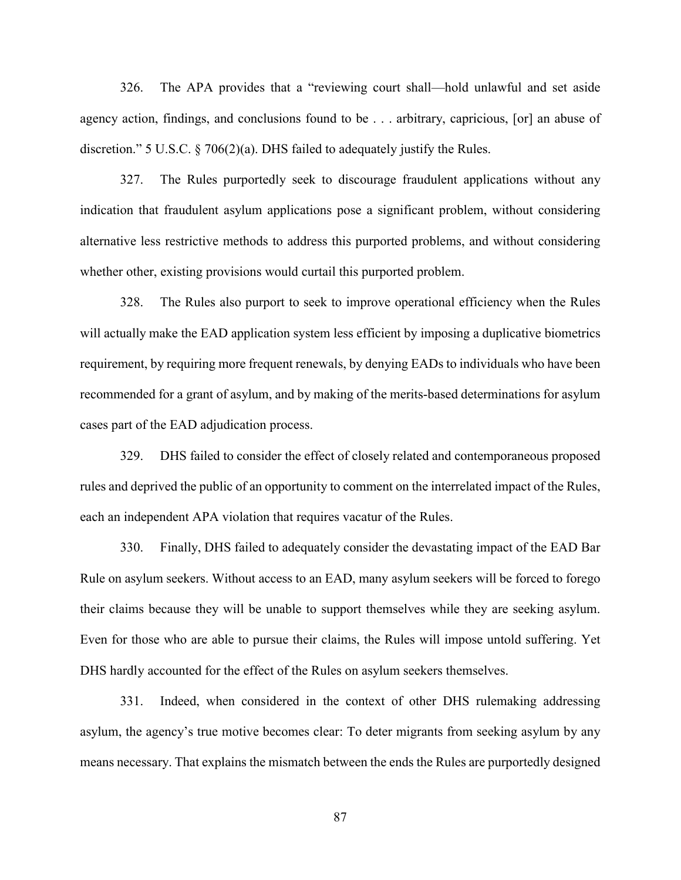326. The APA provides that a "reviewing court shall—hold unlawful and set aside agency action, findings, and conclusions found to be . . . arbitrary, capricious, [or] an abuse of discretion." 5 U.S.C. § 706(2)(a). DHS failed to adequately justify the Rules.

327. The Rules purportedly seek to discourage fraudulent applications without any indication that fraudulent asylum applications pose a significant problem, without considering alternative less restrictive methods to address this purported problems, and without considering whether other, existing provisions would curtail this purported problem.

328. The Rules also purport to seek to improve operational efficiency when the Rules will actually make the EAD application system less efficient by imposing a duplicative biometrics requirement, by requiring more frequent renewals, by denying EADs to individuals who have been recommended for a grant of asylum, and by making of the merits-based determinations for asylum cases part of the EAD adjudication process.

329. DHS failed to consider the effect of closely related and contemporaneous proposed rules and deprived the public of an opportunity to comment on the interrelated impact of the Rules, each an independent APA violation that requires vacatur of the Rules.

330. Finally, DHS failed to adequately consider the devastating impact of the EAD Bar Rule on asylum seekers. Without access to an EAD, many asylum seekers will be forced to forego their claims because they will be unable to support themselves while they are seeking asylum. Even for those who are able to pursue their claims, the Rules will impose untold suffering. Yet DHS hardly accounted for the effect of the Rules on asylum seekers themselves.

331. Indeed, when considered in the context of other DHS rulemaking addressing asylum, the agency's true motive becomes clear: To deter migrants from seeking asylum by any means necessary. That explains the mismatch between the ends the Rules are purportedly designed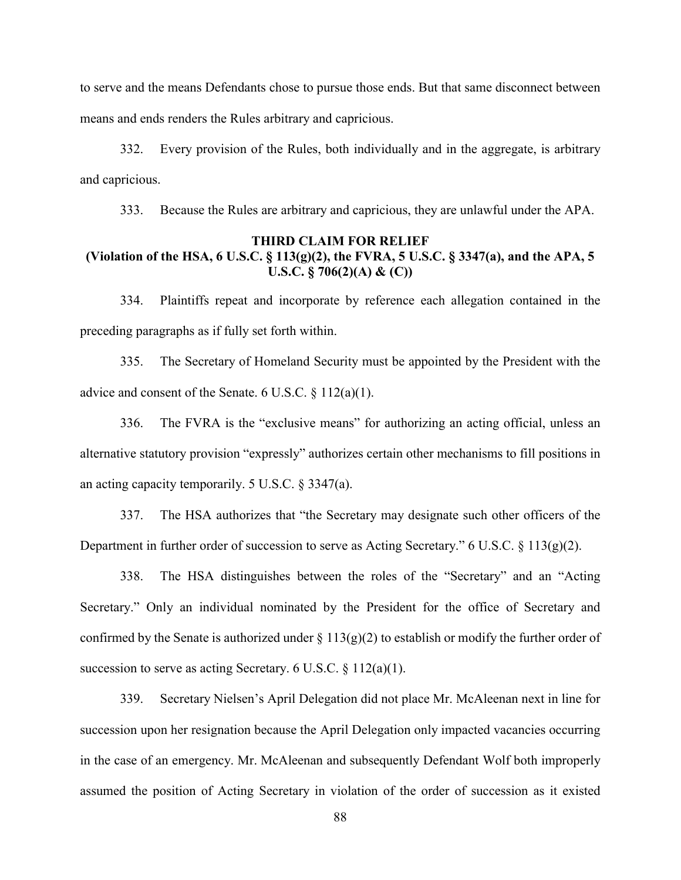to serve and the means Defendants chose to pursue those ends. But that same disconnect between means and ends renders the Rules arbitrary and capricious.

332. Every provision of the Rules, both individually and in the aggregate, is arbitrary and capricious.

333. Because the Rules are arbitrary and capricious, they are unlawful under the APA.

# **THIRD CLAIM FOR RELIEF (Violation of the HSA, 6 U.S.C. § 113(g)(2), the FVRA, 5 U.S.C. § 3347(a), and the APA, 5 U.S.C. § 706(2)(A) & (C))**

334. Plaintiffs repeat and incorporate by reference each allegation contained in the preceding paragraphs as if fully set forth within.

335. The Secretary of Homeland Security must be appointed by the President with the advice and consent of the Senate. 6 U.S.C.  $\S 112(a)(1)$ .

336. The FVRA is the "exclusive means" for authorizing an acting official, unless an alternative statutory provision "expressly" authorizes certain other mechanisms to fill positions in an acting capacity temporarily. 5 U.S.C. § 3347(a).

337. The HSA authorizes that "the Secretary may designate such other officers of the Department in further order of succession to serve as Acting Secretary." 6 U.S.C. § 113(g)(2).

338. The HSA distinguishes between the roles of the "Secretary" and an "Acting Secretary." Only an individual nominated by the President for the office of Secretary and confirmed by the Senate is authorized under  $\S 113(g)(2)$  to establish or modify the further order of succession to serve as acting Secretary. 6 U.S.C.  $\S 112(a)(1)$ .

339. Secretary Nielsen's April Delegation did not place Mr. McAleenan next in line for succession upon her resignation because the April Delegation only impacted vacancies occurring in the case of an emergency. Mr. McAleenan and subsequently Defendant Wolf both improperly assumed the position of Acting Secretary in violation of the order of succession as it existed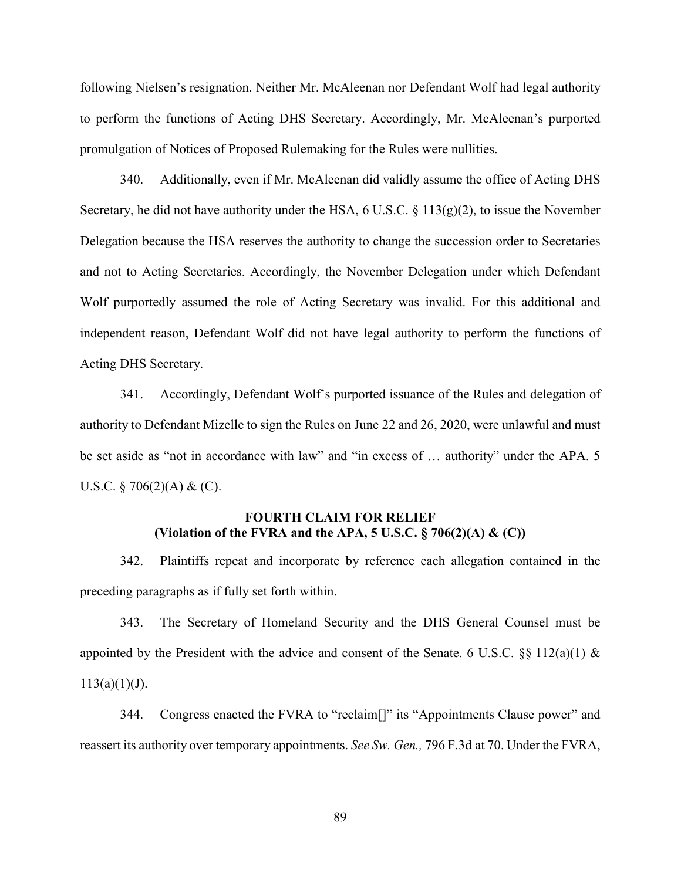following Nielsen's resignation. Neither Mr. McAleenan nor Defendant Wolf had legal authority to perform the functions of Acting DHS Secretary. Accordingly, Mr. McAleenan's purported promulgation of Notices of Proposed Rulemaking for the Rules were nullities.

340. Additionally, even if Mr. McAleenan did validly assume the office of Acting DHS Secretary, he did not have authority under the HSA,  $6 \text{ U.S.C.} \& 113(g)(2)$ , to issue the November Delegation because the HSA reserves the authority to change the succession order to Secretaries and not to Acting Secretaries. Accordingly, the November Delegation under which Defendant Wolf purportedly assumed the role of Acting Secretary was invalid. For this additional and independent reason, Defendant Wolf did not have legal authority to perform the functions of Acting DHS Secretary.

341. Accordingly, Defendant Wolf's purported issuance of the Rules and delegation of authority to Defendant Mizelle to sign the Rules on June 22 and 26, 2020, were unlawful and must be set aside as "not in accordance with law" and "in excess of … authority" under the APA. 5 U.S.C.  $\S 706(2)$ (A) & (C).

# **FOURTH CLAIM FOR RELIEF (Violation of the FVRA and the APA, 5 U.S.C. § 706(2)(A) & (C))**

342. Plaintiffs repeat and incorporate by reference each allegation contained in the preceding paragraphs as if fully set forth within.

343. The Secretary of Homeland Security and the DHS General Counsel must be appointed by the President with the advice and consent of the Senate. 6 U.S.C.  $\S$ § 112(a)(1) &  $113(a)(1)(J)$ .

344. Congress enacted the FVRA to "reclaim[]" its "Appointments Clause power" and reassert its authority over temporary appointments. *See Sw. Gen.,* 796 F.3d at 70. Under the FVRA,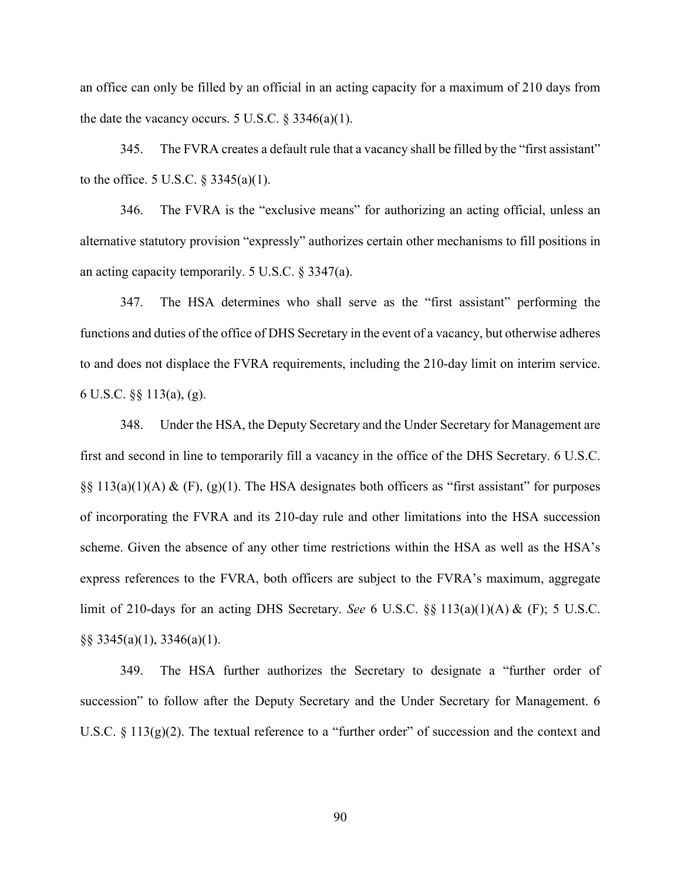an office can only be filled by an official in an acting capacity for a maximum of 210 days from the date the vacancy occurs. 5 U.S.C.  $\S 3346(a)(1)$ .

345. The FVRA creates a default rule that a vacancy shall be filled by the "first assistant" to the office. 5 U.S.C.  $\S 3345(a)(1)$ .

346. The FVRA is the "exclusive means" for authorizing an acting official, unless an alternative statutory provision "expressly" authorizes certain other mechanisms to fill positions in an acting capacity temporarily. 5 U.S.C. § 3347(a).

347. The HSA determines who shall serve as the "first assistant" performing the functions and duties of the office of DHS Secretary in the event of a vacancy, but otherwise adheres to and does not displace the FVRA requirements, including the 210-day limit on interim service. 6 U.S.C. §§ 113(a), (g).

348. Under the HSA, the Deputy Secretary and the Under Secretary for Management are first and second in line to temporarily fill a vacancy in the office of the DHS Secretary. 6 U.S.C.  $\S\S 113(a)(1)(A)$  & (F), (g)(1). The HSA designates both officers as "first assistant" for purposes of incorporating the FVRA and its 210-day rule and other limitations into the HSA succession scheme. Given the absence of any other time restrictions within the HSA as well as the HSA's express references to the FVRA, both officers are subject to the FVRA's maximum, aggregate limit of 210-days for an acting DHS Secretary. *See* 6 U.S.C. §§ 113(a)(1)(A) & (F); 5 U.S.C.  $\S$ § 3345(a)(1), 3346(a)(1).

349. The HSA further authorizes the Secretary to designate a "further order of succession" to follow after the Deputy Secretary and the Under Secretary for Management. 6 U.S.C.  $\S 113(g)(2)$ . The textual reference to a "further order" of succession and the context and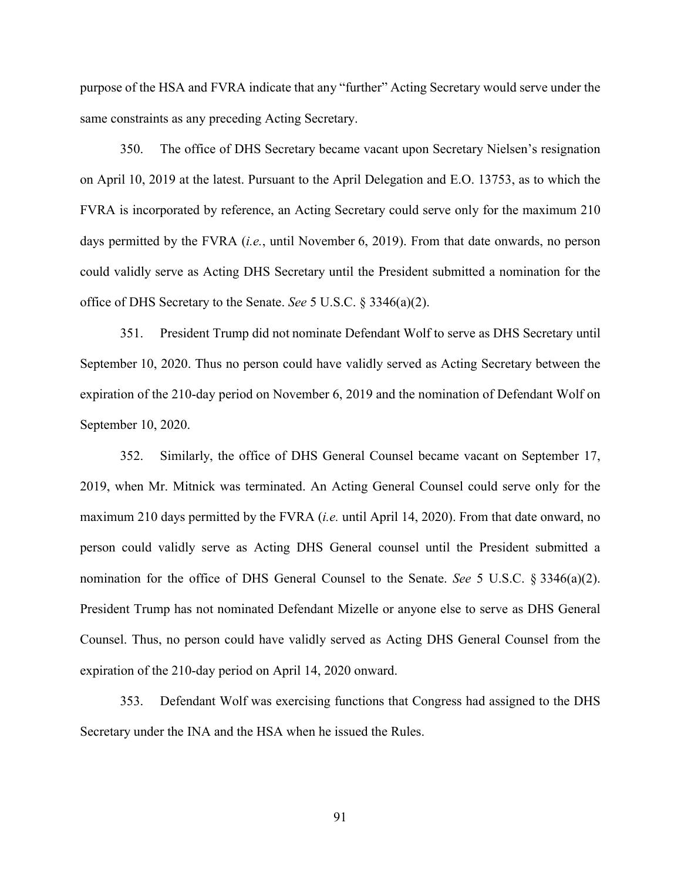purpose of the HSA and FVRA indicate that any "further" Acting Secretary would serve under the same constraints as any preceding Acting Secretary.

350. The office of DHS Secretary became vacant upon Secretary Nielsen's resignation on April 10, 2019 at the latest. Pursuant to the April Delegation and E.O. 13753, as to which the FVRA is incorporated by reference, an Acting Secretary could serve only for the maximum 210 days permitted by the FVRA (*i.e.*, until November 6, 2019). From that date onwards, no person could validly serve as Acting DHS Secretary until the President submitted a nomination for the office of DHS Secretary to the Senate. *See* 5 U.S.C. § 3346(a)(2).

351. President Trump did not nominate Defendant Wolf to serve as DHS Secretary until September 10, 2020. Thus no person could have validly served as Acting Secretary between the expiration of the 210-day period on November 6, 2019 and the nomination of Defendant Wolf on September 10, 2020.

352. Similarly, the office of DHS General Counsel became vacant on September 17, 2019, when Mr. Mitnick was terminated. An Acting General Counsel could serve only for the maximum 210 days permitted by the FVRA (*i.e.* until April 14, 2020). From that date onward, no person could validly serve as Acting DHS General counsel until the President submitted a nomination for the office of DHS General Counsel to the Senate. *See* 5 U.S.C. § 3346(a)(2). President Trump has not nominated Defendant Mizelle or anyone else to serve as DHS General Counsel. Thus, no person could have validly served as Acting DHS General Counsel from the expiration of the 210-day period on April 14, 2020 onward.

353. Defendant Wolf was exercising functions that Congress had assigned to the DHS Secretary under the INA and the HSA when he issued the Rules.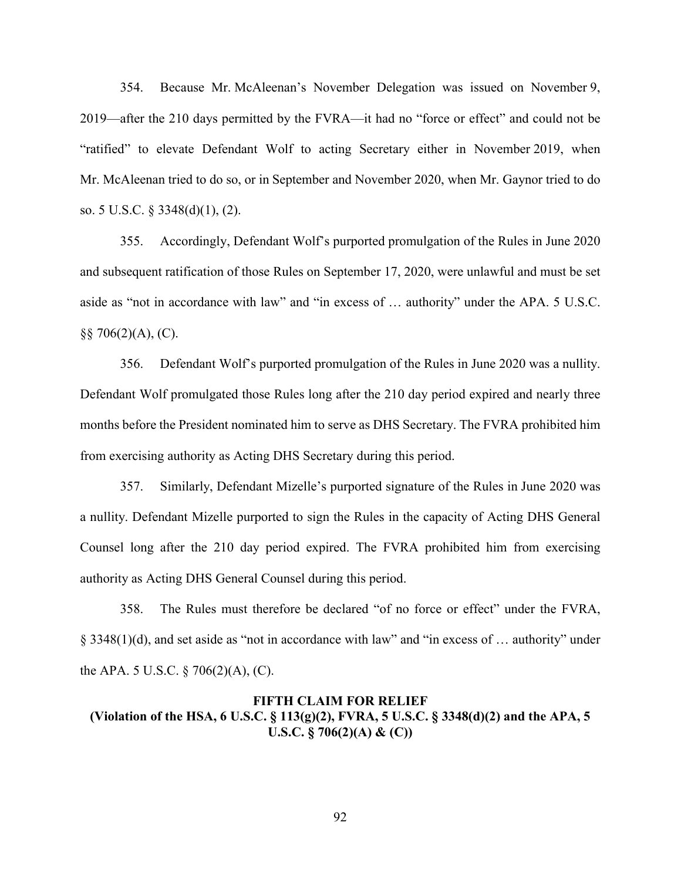354. Because Mr. McAleenan's November Delegation was issued on November 9, 2019—after the 210 days permitted by the FVRA—it had no "force or effect" and could not be "ratified" to elevate Defendant Wolf to acting Secretary either in November 2019, when Mr. McAleenan tried to do so, or in September and November 2020, when Mr. Gaynor tried to do so. 5 U.S.C. § 3348(d)(1), (2).

355. Accordingly, Defendant Wolf's purported promulgation of the Rules in June 2020 and subsequent ratification of those Rules on September 17, 2020, were unlawful and must be set aside as "not in accordance with law" and "in excess of … authority" under the APA. 5 U.S.C. §§ 706(2)(A), (C).

356. Defendant Wolf's purported promulgation of the Rules in June 2020 was a nullity. Defendant Wolf promulgated those Rules long after the 210 day period expired and nearly three months before the President nominated him to serve as DHS Secretary. The FVRA prohibited him from exercising authority as Acting DHS Secretary during this period.

357. Similarly, Defendant Mizelle's purported signature of the Rules in June 2020 was a nullity. Defendant Mizelle purported to sign the Rules in the capacity of Acting DHS General Counsel long after the 210 day period expired. The FVRA prohibited him from exercising authority as Acting DHS General Counsel during this period.

358. The Rules must therefore be declared "of no force or effect" under the FVRA, § 3348(1)(d), and set aside as "not in accordance with law" and "in excess of … authority" under the APA. 5 U.S.C.  $\S$  706(2)(A), (C).

# **FIFTH CLAIM FOR RELIEF (Violation of the HSA, 6 U.S.C. § 113(g)(2), FVRA, 5 U.S.C. § 3348(d)(2) and the APA, 5 U.S.C. § 706(2)(A) & (C))**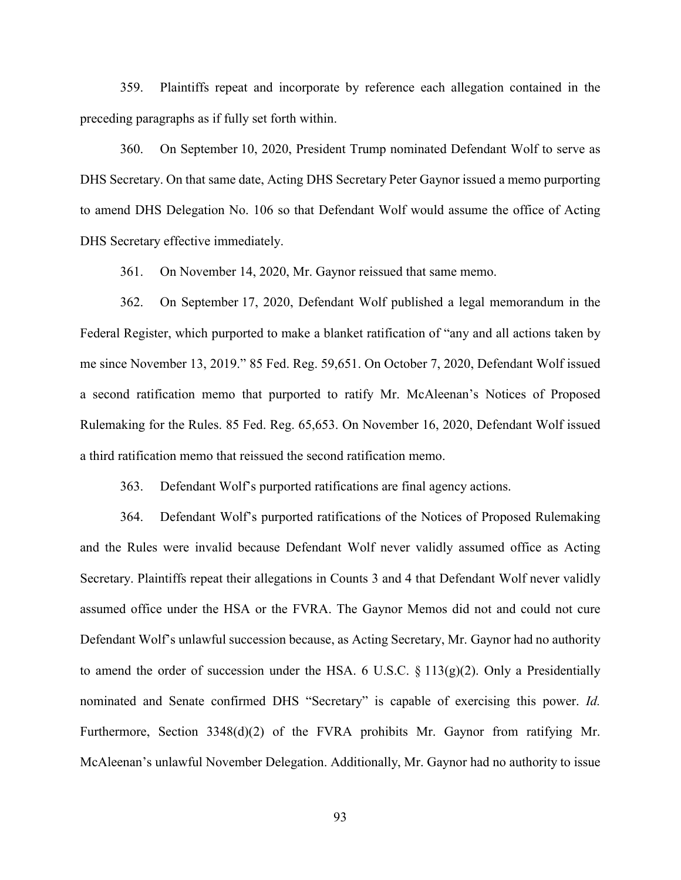359. Plaintiffs repeat and incorporate by reference each allegation contained in the preceding paragraphs as if fully set forth within.

360. On September 10, 2020, President Trump nominated Defendant Wolf to serve as DHS Secretary. On that same date, Acting DHS Secretary Peter Gaynor issued a memo purporting to amend DHS Delegation No. 106 so that Defendant Wolf would assume the office of Acting DHS Secretary effective immediately.

361. On November 14, 2020, Mr. Gaynor reissued that same memo.

362. On September 17, 2020, Defendant Wolf published a legal memorandum in the Federal Register, which purported to make a blanket ratification of "any and all actions taken by me since November 13, 2019." 85 Fed. Reg. 59,651. On October 7, 2020, Defendant Wolf issued a second ratification memo that purported to ratify Mr. McAleenan's Notices of Proposed Rulemaking for the Rules. 85 Fed. Reg. 65,653. On November 16, 2020, Defendant Wolf issued a third ratification memo that reissued the second ratification memo.

363. Defendant Wolf's purported ratifications are final agency actions.

364. Defendant Wolf's purported ratifications of the Notices of Proposed Rulemaking and the Rules were invalid because Defendant Wolf never validly assumed office as Acting Secretary. Plaintiffs repeat their allegations in Counts 3 and 4 that Defendant Wolf never validly assumed office under the HSA or the FVRA. The Gaynor Memos did not and could not cure Defendant Wolf's unlawful succession because, as Acting Secretary, Mr. Gaynor had no authority to amend the order of succession under the HSA. 6 U.S.C.  $\S 113(g)(2)$ . Only a Presidentially nominated and Senate confirmed DHS "Secretary" is capable of exercising this power. *Id.* Furthermore, Section 3348(d)(2) of the FVRA prohibits Mr. Gaynor from ratifying Mr. McAleenan's unlawful November Delegation. Additionally, Mr. Gaynor had no authority to issue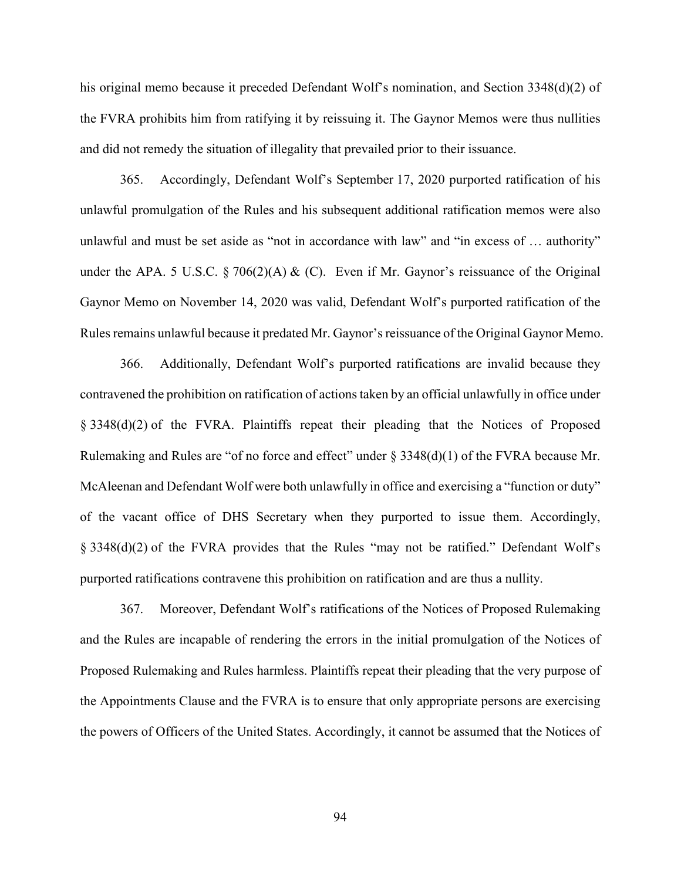his original memo because it preceded Defendant Wolf's nomination, and Section 3348(d)(2) of the FVRA prohibits him from ratifying it by reissuing it. The Gaynor Memos were thus nullities and did not remedy the situation of illegality that prevailed prior to their issuance.

365. Accordingly, Defendant Wolf's September 17, 2020 purported ratification of his unlawful promulgation of the Rules and his subsequent additional ratification memos were also unlawful and must be set aside as "not in accordance with law" and "in excess of … authority" under the APA. 5 U.S.C. § 706(2)(A) & (C). Even if Mr. Gaynor's reissuance of the Original Gaynor Memo on November 14, 2020 was valid, Defendant Wolf's purported ratification of the Rules remains unlawful because it predated Mr. Gaynor's reissuance of the Original Gaynor Memo.

366. Additionally, Defendant Wolf's purported ratifications are invalid because they contravened the prohibition on ratification of actions taken by an official unlawfully in office under § 3348(d)(2) of the FVRA. Plaintiffs repeat their pleading that the Notices of Proposed Rulemaking and Rules are "of no force and effect" under  $\S$  3348(d)(1) of the FVRA because Mr. McAleenan and Defendant Wolf were both unlawfully in office and exercising a "function or duty" of the vacant office of DHS Secretary when they purported to issue them. Accordingly, § 3348(d)(2) of the FVRA provides that the Rules "may not be ratified." Defendant Wolf's purported ratifications contravene this prohibition on ratification and are thus a nullity.

367. Moreover, Defendant Wolf's ratifications of the Notices of Proposed Rulemaking and the Rules are incapable of rendering the errors in the initial promulgation of the Notices of Proposed Rulemaking and Rules harmless. Plaintiffs repeat their pleading that the very purpose of the Appointments Clause and the FVRA is to ensure that only appropriate persons are exercising the powers of Officers of the United States. Accordingly, it cannot be assumed that the Notices of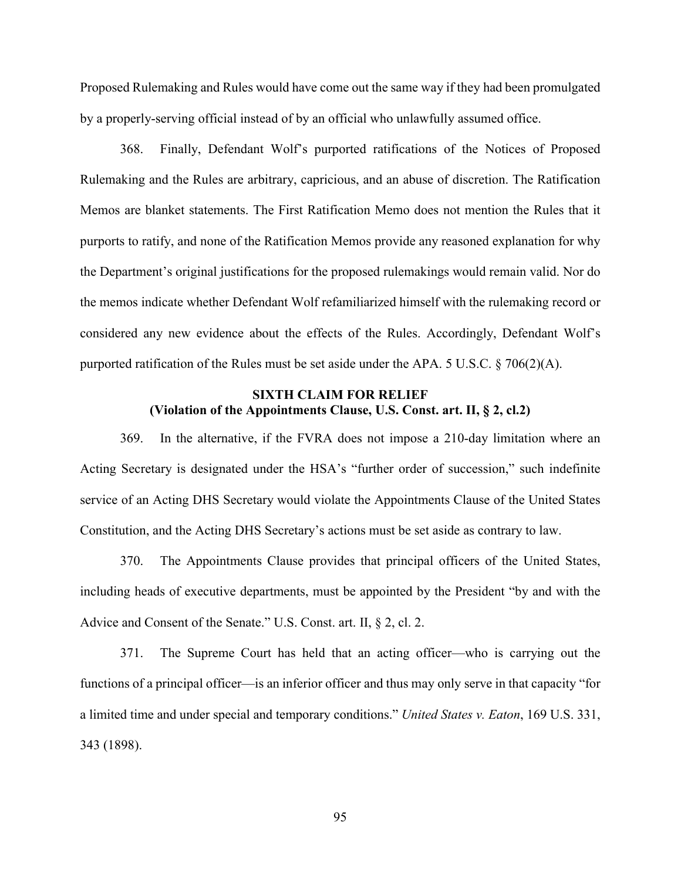Proposed Rulemaking and Rules would have come out the same way if they had been promulgated by a properly-serving official instead of by an official who unlawfully assumed office.

368. Finally, Defendant Wolf's purported ratifications of the Notices of Proposed Rulemaking and the Rules are arbitrary, capricious, and an abuse of discretion. The Ratification Memos are blanket statements. The First Ratification Memo does not mention the Rules that it purports to ratify, and none of the Ratification Memos provide any reasoned explanation for why the Department's original justifications for the proposed rulemakings would remain valid. Nor do the memos indicate whether Defendant Wolf refamiliarized himself with the rulemaking record or considered any new evidence about the effects of the Rules. Accordingly, Defendant Wolf's purported ratification of the Rules must be set aside under the APA. 5 U.S.C. § 706(2)(A).

# **SIXTH CLAIM FOR RELIEF (Violation of the Appointments Clause, U.S. Const. art. II, § 2, cl.2)**

369. In the alternative, if the FVRA does not impose a 210-day limitation where an Acting Secretary is designated under the HSA's "further order of succession," such indefinite service of an Acting DHS Secretary would violate the Appointments Clause of the United States Constitution, and the Acting DHS Secretary's actions must be set aside as contrary to law.

370. The Appointments Clause provides that principal officers of the United States, including heads of executive departments, must be appointed by the President "by and with the Advice and Consent of the Senate." U.S. Const. art. II, § 2, cl. 2.

371. The Supreme Court has held that an acting officer—who is carrying out the functions of a principal officer—is an inferior officer and thus may only serve in that capacity "for a limited time and under special and temporary conditions." *United States v. Eaton*, 169 U.S. 331, 343 (1898).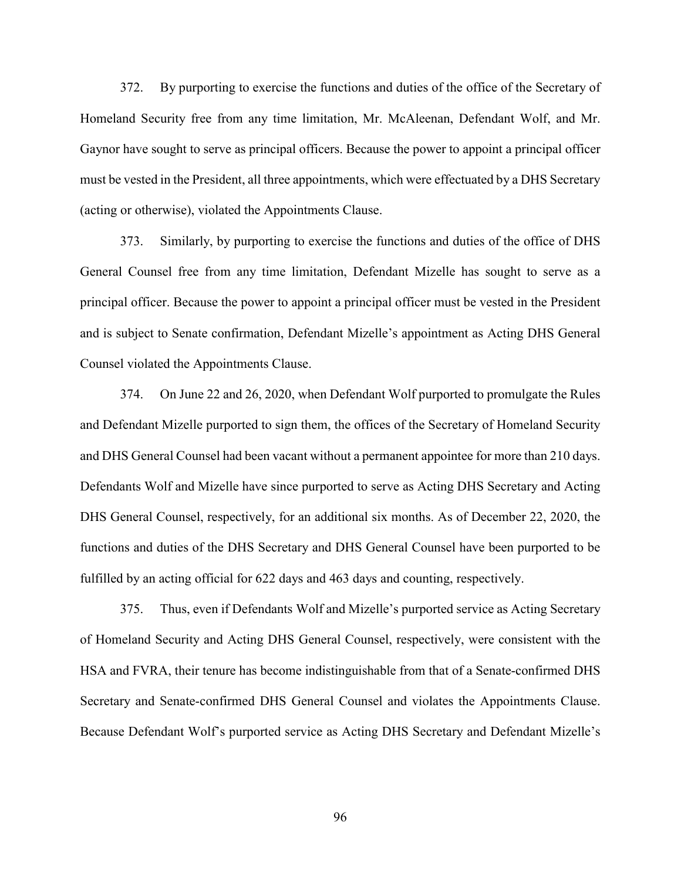372. By purporting to exercise the functions and duties of the office of the Secretary of Homeland Security free from any time limitation, Mr. McAleenan, Defendant Wolf, and Mr. Gaynor have sought to serve as principal officers. Because the power to appoint a principal officer must be vested in the President, all three appointments, which were effectuated by a DHS Secretary (acting or otherwise), violated the Appointments Clause.

373. Similarly, by purporting to exercise the functions and duties of the office of DHS General Counsel free from any time limitation, Defendant Mizelle has sought to serve as a principal officer. Because the power to appoint a principal officer must be vested in the President and is subject to Senate confirmation, Defendant Mizelle's appointment as Acting DHS General Counsel violated the Appointments Clause.

374. On June 22 and 26, 2020, when Defendant Wolf purported to promulgate the Rules and Defendant Mizelle purported to sign them, the offices of the Secretary of Homeland Security and DHS General Counsel had been vacant without a permanent appointee for more than 210 days. Defendants Wolf and Mizelle have since purported to serve as Acting DHS Secretary and Acting DHS General Counsel, respectively, for an additional six months. As of December 22, 2020, the functions and duties of the DHS Secretary and DHS General Counsel have been purported to be fulfilled by an acting official for 622 days and 463 days and counting, respectively.

375. Thus, even if Defendants Wolf and Mizelle's purported service as Acting Secretary of Homeland Security and Acting DHS General Counsel, respectively, were consistent with the HSA and FVRA, their tenure has become indistinguishable from that of a Senate-confirmed DHS Secretary and Senate-confirmed DHS General Counsel and violates the Appointments Clause. Because Defendant Wolf's purported service as Acting DHS Secretary and Defendant Mizelle's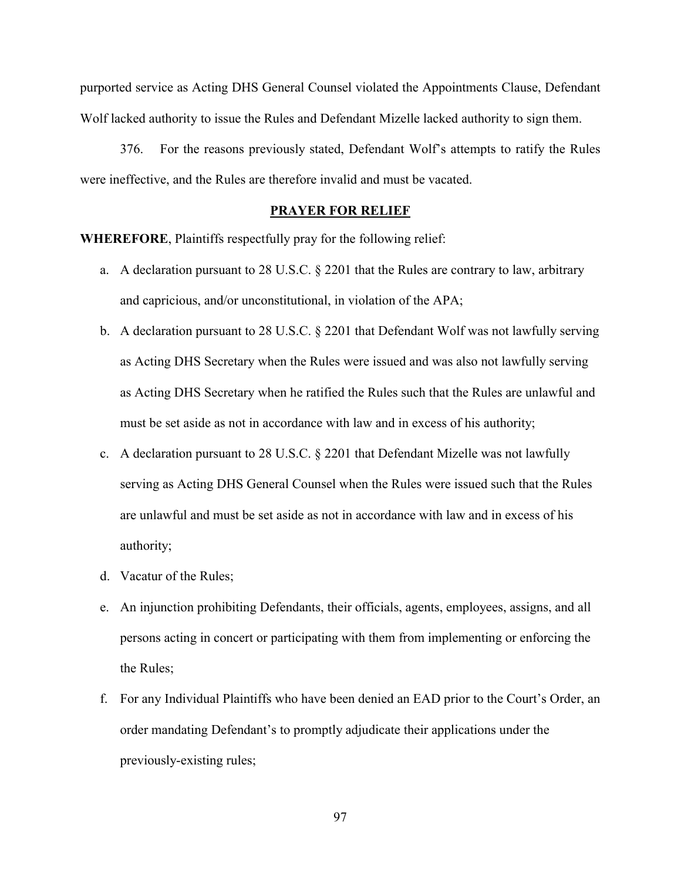purported service as Acting DHS General Counsel violated the Appointments Clause, Defendant Wolf lacked authority to issue the Rules and Defendant Mizelle lacked authority to sign them.

376. For the reasons previously stated, Defendant Wolf's attempts to ratify the Rules were ineffective, and the Rules are therefore invalid and must be vacated.

### **PRAYER FOR RELIEF**

**WHEREFORE**, Plaintiffs respectfully pray for the following relief:

- a. A declaration pursuant to 28 U.S.C. § 2201 that the Rules are contrary to law, arbitrary and capricious, and/or unconstitutional, in violation of the APA;
- b. A declaration pursuant to 28 U.S.C. § 2201 that Defendant Wolf was not lawfully serving as Acting DHS Secretary when the Rules were issued and was also not lawfully serving as Acting DHS Secretary when he ratified the Rules such that the Rules are unlawful and must be set aside as not in accordance with law and in excess of his authority;
- c. A declaration pursuant to 28 U.S.C. § 2201 that Defendant Mizelle was not lawfully serving as Acting DHS General Counsel when the Rules were issued such that the Rules are unlawful and must be set aside as not in accordance with law and in excess of his authority;
- d. Vacatur of the Rules;
- e. An injunction prohibiting Defendants, their officials, agents, employees, assigns, and all persons acting in concert or participating with them from implementing or enforcing the the Rules;
- f. For any Individual Plaintiffs who have been denied an EAD prior to the Court's Order, an order mandating Defendant's to promptly adjudicate their applications under the previously-existing rules;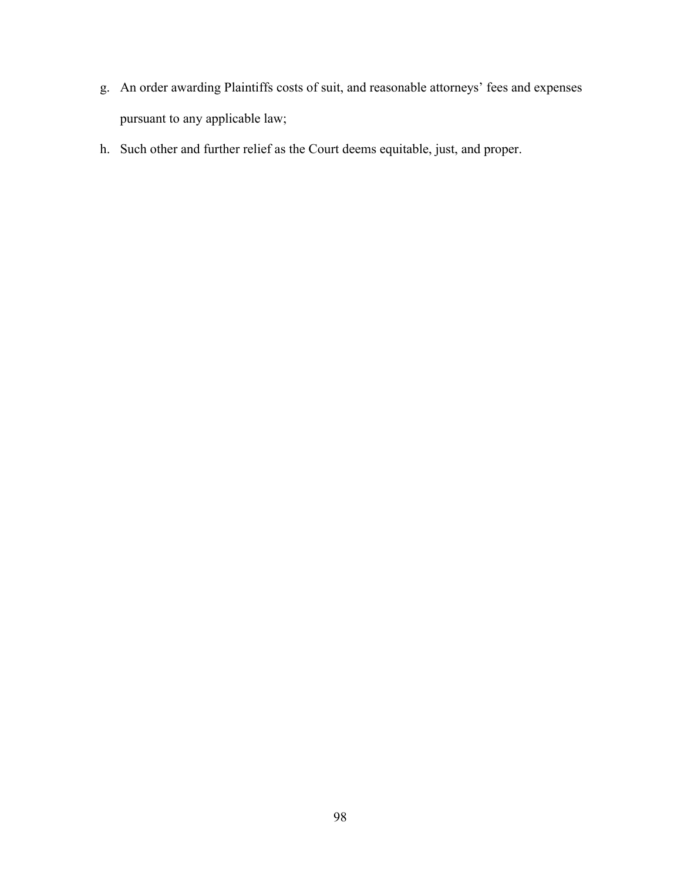- g. An order awarding Plaintiffs costs of suit, and reasonable attorneys' fees and expenses pursuant to any applicable law;
- h. Such other and further relief as the Court deems equitable, just, and proper.